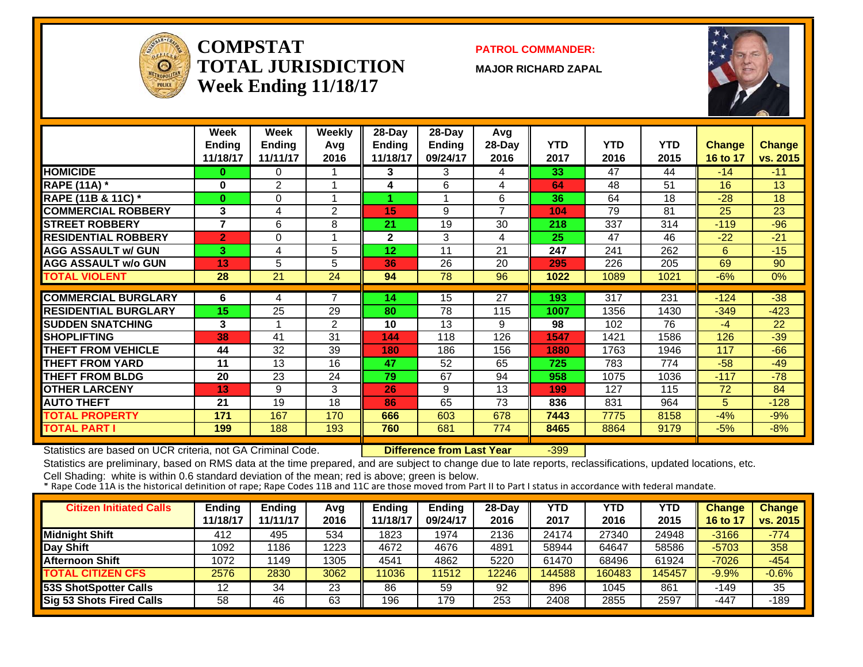

#### **COMPSTATTOTAL JURISDICTIONWeek Ending 11/18/17**

**PATROL COMMANDER:**

**MAJOR RICHARD ZAPAL**



|                             | Week<br><b>Ending</b><br>11/18/17 | <b>Week</b><br><b>Ending</b><br>11/11/17 | Weekly<br>Avg<br>2016   | 28-Day<br><b>Ending</b><br>11/18/17 | 28-Day<br>Ending<br>09/24/17 | Avg<br>28-Day<br>2016 | <b>YTD</b><br>2017 | <b>YTD</b><br>2016 | <b>YTD</b><br>2015 | <b>Change</b><br>16 to 17 | <b>Change</b><br>vs. 2015 |
|-----------------------------|-----------------------------------|------------------------------------------|-------------------------|-------------------------------------|------------------------------|-----------------------|--------------------|--------------------|--------------------|---------------------------|---------------------------|
| <b>HOMICIDE</b>             | 0                                 | $\Omega$                                 |                         | 3                                   | 3                            | 4                     | 33                 | 47                 | 44                 | $-14$                     | $-11$                     |
| <b>RAPE (11A)</b> *         | 0                                 | 2                                        | -1                      | 4                                   | 6                            | 4                     | 64                 | 48                 | 51                 | 16                        | 13                        |
| RAPE (11B & 11C) *          | $\bf{0}$                          | 0                                        |                         |                                     | 1                            | 6                     | 36                 | 64                 | 18                 | $-28$                     | 18                        |
| <b>COMMERCIAL ROBBERY</b>   | 3                                 | 4                                        | 2                       | 15                                  | 9                            | $\overline{7}$        | 104                | 79                 | 81                 | 25                        | 23                        |
| <b>STREET ROBBERY</b>       | $\overline{7}$                    | 6                                        | 8                       | 21                                  | 19                           | 30                    | 218                | 337                | 314                | $-119$                    | $-96$                     |
| <b>RESIDENTIAL ROBBERY</b>  | $\overline{2}$                    | 0                                        | $\overline{\mathbf{A}}$ | $\overline{2}$                      | 3                            | 4                     | 25                 | 47                 | 46                 | $-22$                     | $-21$                     |
| <b>AGG ASSAULT w/ GUN</b>   | 3                                 | 4                                        | 5                       | 12                                  | 11                           | 21                    | 247                | 241                | 262                | 6.                        | $-15$                     |
| <b>AGG ASSAULT w/o GUN</b>  | 13                                | 5                                        | 5                       | 36                                  | 26                           | 20                    | 295                | 226                | 205                | 69                        | 90                        |
| <b>TOTAL VIOLENT</b>        | 28                                | 21                                       | 24                      | 94                                  | 78                           | 96                    | 1022               | 1089               | 1021               | $-6%$                     | 0%                        |
|                             |                                   |                                          |                         |                                     |                              |                       |                    |                    |                    |                           |                           |
| <b>COMMERCIAL BURGLARY</b>  | 6                                 | 4                                        | $\overline{7}$          | 14                                  | 15                           | 27                    | 193                | 317                | 231                | $-124$                    | $-38$                     |
| <b>RESIDENTIAL BURGLARY</b> | 15                                | 25                                       | 29                      | 80                                  | 78                           | 115                   | 1007               | 1356               | 1430               | $-349$                    | $-423$                    |
| <b>ISUDDEN SNATCHING</b>    | 3                                 | 1                                        | 2                       | 10                                  | 13                           | 9                     | 98                 | 102                | 76                 | $-4$                      | 22                        |
| <b>SHOPLIFTING</b>          | 38                                | 41                                       | 31                      | 144                                 | 118                          | 126                   | 1547               | 1421               | 1586               | 126                       | $-39$                     |
| <b>THEFT FROM VEHICLE</b>   | 44                                | 32                                       | 39                      | 180                                 | 186                          | 156                   | 1880               | 1763               | 1946               | 117                       | $-66$                     |
| <b>THEFT FROM YARD</b>      | 11                                | 13                                       | 16                      | 47                                  | 52                           | 65                    | 725                | 783                | 774                | $-58$                     | $-49$                     |
| <b>THEFT FROM BLDG</b>      | 20                                | 23                                       | 24                      | 79                                  | 67                           | 94                    | 958                | 1075               | 1036               | $-117$                    | $-78$                     |
| <b>OTHER LARCENY</b>        | 13                                | 9                                        | 3                       | 26                                  | 9                            | 13                    | 199                | 127                | 115                | 72                        | 84                        |
| <b>AUTO THEFT</b>           | 21                                | 19                                       | 18                      | 86                                  | 65                           | 73                    | 836                | 831                | 964                | 5                         | $-128$                    |
| <b>TOTAL PROPERTY</b>       | 171                               | 167                                      | 170                     | 666                                 | 603                          | 678                   | 7443               | 7775               | 8158               | $-4%$                     | $-9%$                     |
| <b>TOTAL PART I</b>         | 199                               | 188                                      | 193                     | 760                                 | 681                          | 774                   | 8465               | 8864               | 9179               | $-5%$                     | $-8%$                     |

Statistics are based on UCR criteria, not GA Criminal Code. **Difference from Last Year** -399

Statistics are preliminary, based on RMS data at the time prepared, and are subject to change due to late reports, reclassifications, updated locations, etc.

| <b>Citizen Initiated Calls</b> | Ending   | <b>Ending</b> | Avg  | <b>Endina</b> | <b>Ending</b> | 28-Day | YTD    | YTD    | <b>YTD</b> | <b>Change</b> | <b>Change</b> |
|--------------------------------|----------|---------------|------|---------------|---------------|--------|--------|--------|------------|---------------|---------------|
|                                | 11/18/17 | 11/11/17      | 2016 | 11/18/17      | 09/24/17      | 2016   | 2017   | 2016   | 2015       | 16 to 1       | vs. 2015      |
| <b>Midnight Shift</b>          | 412      | 495           | 534  | 1823          | 1974          | 2136   | 24174  | 27340  | 24948      | $-3166$       | $-774$        |
| Day Shift                      | 1092     | 186           | 1223 | 4672          | 4676          | 4891   | 58944  | 64647  | 58586      | $-5703$       | 358           |
| <b>Afternoon Shift</b>         | 1072     | 149           | 1305 | 4541          | 4862          | 5220   | 61470  | 68496  | 61924      | $-7026$       | $-454$        |
| <b>TOTAL CITIZEN CFS</b>       | 2576     | 2830          | 3062 | 11036         | 11512         | 12246  | 144588 | 160483 | 145457     | $-9.9\%$      | $-0.6%$       |
| <b>53S ShotSpotter Calls</b>   |          | 34            | 23   | 86            | 59            | 92     | 896    | 1045   | 861        | -149          | 35            |
| Sig 53 Shots Fired Calls       | 58       | 46            | 63   | 196           | 179           | 253    | 2408   | 2855   | 2597       | -447          | -189          |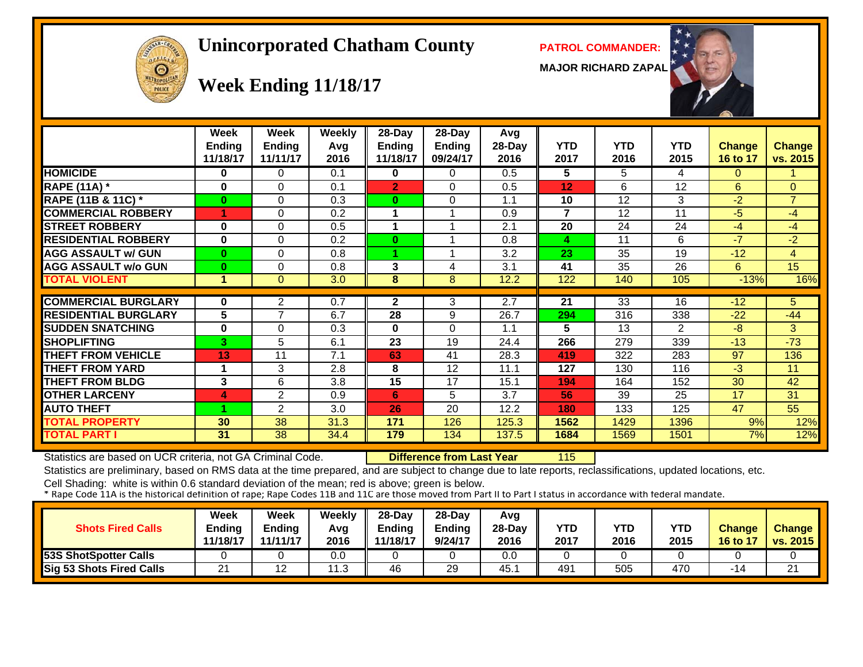# OFFICER  $\Theta$

#### **Unincorporated Chatham County PATROL COMMANDER:**

**MAJOR RICHARD ZAPAL**



# **Week Ending 11/18/17**

|                             | <b>Week</b><br><b>Ending</b><br>11/18/17 | Week<br><b>Ending</b><br>11/11/17 | <b>Weekly</b><br>Avg<br>2016 | 28-Day<br>Ending<br>11/18/17 | 28-Day<br>Ending<br>09/24/17 | Avg<br>28-Day<br>2016 | YTD<br>2017    | YTD<br>2016     | <b>YTD</b><br>2015 | Change<br>16 to 17 | <b>Change</b><br>vs. 2015 |
|-----------------------------|------------------------------------------|-----------------------------------|------------------------------|------------------------------|------------------------------|-----------------------|----------------|-----------------|--------------------|--------------------|---------------------------|
| <b>HOMICIDE</b>             | $\bf{0}$                                 | $\Omega$                          | 0.1                          | 0                            | $\Omega$                     | 0.5                   | 5              | 5               | 4                  | $\Omega$           |                           |
| <b>RAPE (11A)</b> *         | $\bf{0}$                                 | $\Omega$                          | 0.1                          | $\overline{2}$               | $\Omega$                     | 0.5                   | 12             | 6               | 12                 | 6                  | $\Omega$                  |
| RAPE (11B & 11C) *          | $\bf{0}$                                 | $\Omega$                          | 0.3                          | $\bf{0}$                     | $\Omega$                     | 1.1                   | 10             | 12              | 3                  | $-2$               | $\overline{7}$            |
| <b>COMMERCIAL ROBBERY</b>   |                                          | $\Omega$                          | 0.2                          |                              |                              | 0.9                   | $\overline{7}$ | 12              | 11                 | $-5$               | -4                        |
| <b>STREET ROBBERY</b>       | $\bf{0}$                                 | $\Omega$                          | 0.5                          |                              |                              | 2.1                   | 20             | 24              | 24                 | $-4$               | $-4$                      |
| <b>RESIDENTIAL ROBBERY</b>  | $\bf{0}$                                 | $\Omega$                          | 0.2                          | 0                            |                              | 0.8                   | 4              | 11              | 6                  | $-7$               | $-2$                      |
| <b>AGG ASSAULT w/ GUN</b>   | $\bf{0}$                                 | $\Omega$                          | 0.8                          |                              |                              | 3.2                   | 23             | 35              | 19                 | $-12$              | 4                         |
| <b>AGG ASSAULT w/o GUN</b>  | $\bf{0}$                                 | $\Omega$                          | 0.8                          | 3                            | 4                            | 3.1                   | 41             | 35              | 26                 | 6                  | 15                        |
| <b>TOTAL VIOLENT</b>        | 1                                        | $\Omega$                          | 3.0                          | 8                            | 8                            | 12.2                  | 122            | 140             | 105                | $-13%$             | 16%                       |
|                             |                                          |                                   |                              |                              |                              |                       |                |                 |                    |                    |                           |
| <b>COMMERCIAL BURGLARY</b>  | $\bf{0}$                                 | $\overline{2}$                    | 0.7                          | $\mathbf{2}$                 | 3                            | 2.7                   | 21             | $\overline{33}$ | $\overline{16}$    | $-12$              | 5                         |
| <b>RESIDENTIAL BURGLARY</b> | 5                                        | 7                                 | 6.7                          | 28                           | 9                            | 26.7                  | 294            | 316             | 338                | $-22$              | $-44$                     |
| <b>SUDDEN SNATCHING</b>     | $\bf{0}$                                 | $\Omega$                          | 0.3                          | $\bf{0}$                     | $\Omega$                     | 1.1                   | 5              | 13              | 2                  | $-8$               | 3                         |
| <b>SHOPLIFTING</b>          | 3                                        | 5                                 | 6.1                          | 23                           | 19                           | 24.4                  | 266            | 279             | 339                | $-13$              | $-73$                     |
| <b>THEFT FROM VEHICLE</b>   | 13                                       | 11                                | 7.1                          | 63                           | 41                           | 28.3                  | 419            | 322             | 283                | 97                 | 136                       |
| THEFT FROM YARD             | 4                                        | 3                                 | 2.8                          | 8                            | 12                           | 11.1                  | 127            | 130             | 116                | $-3$               | 11                        |
| <b>THEFT FROM BLDG</b>      | 3                                        | 6                                 | 3.8                          | $\overline{15}$              | 17                           | 15.1                  | 194            | 164             | 152                | 30                 | 42                        |
| <b>OTHER LARCENY</b>        | 4                                        | $\mathbf{2}$                      | 0.9                          | 6                            | 5                            | 3.7                   | 56             | 39              | 25                 | 17                 | 31                        |
| <b>AUTO THEFT</b>           |                                          | 2                                 | 3.0                          | 26                           | 20                           | 12.2                  | 180            | 133             | 125                | 47                 | 55                        |
| <b>TOTAL PROPERTY</b>       | 30                                       | 38                                | 31.3                         | 171                          | 126                          | 125.3                 | 1562           | 1429            | 1396               | 9%                 | 12%                       |
| <b>TOTAL PART I</b>         | 31                                       | 38                                | 34.4                         | 179                          | 134                          | 137.5                 | 1684           | 1569            | 1501               | 7%                 | 12%                       |

Statistics are based on UCR criteria, not GA Criminal Code. **Difference from Last Year** 115

Statistics are preliminary, based on RMS data at the time prepared, and are subject to change due to late reports, reclassifications, updated locations, etc.

| <b>Shots Fired Calls</b>     | Week<br>Ending<br>11/18/17 | <b>Week</b><br><b>Ending</b><br>11/11/17 | Weekly<br>Avg<br>2016 | $28$ -Dav<br>Ending<br>11/18/17 | $28$ -Day<br>Ending<br>9/24/17 | Avg<br>$28-Dav$<br>2016 | YTD<br>2017 | <b>YTD</b><br>2016 | <b>YTD</b><br>2015 | <b>Change</b><br><b>16 to 17</b> | <b>Change</b><br>vs. 2015 |
|------------------------------|----------------------------|------------------------------------------|-----------------------|---------------------------------|--------------------------------|-------------------------|-------------|--------------------|--------------------|----------------------------------|---------------------------|
| <b>53S ShotSpotter Calls</b> |                            |                                          | 0.0                   |                                 |                                | 0.0                     |             |                    |                    |                                  |                           |
| Sig 53 Shots Fired Calls     | 21                         |                                          | ົ<br>ں ،              | 46                              | 29                             | 45.                     | 491         | 505                | 470                | -14                              | 21                        |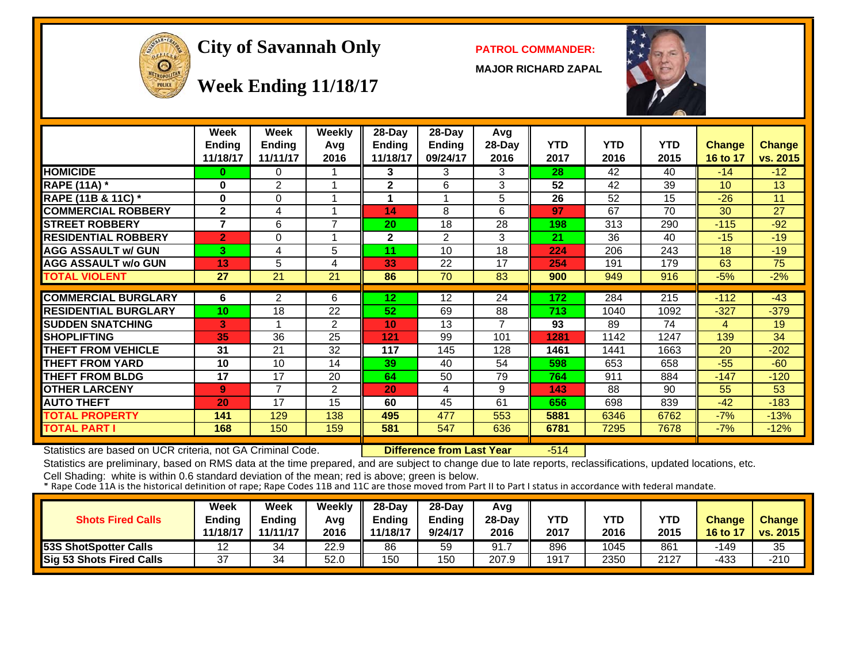

#### **City of Savannah Only PATROL COMMANDER:**

**MAJOR RICHARD ZAPAL**



**Week Ending 11/18/17**

|                             | Week<br><b>Ending</b> | Week<br><b>Ending</b> | Weekly<br>Avg  | 28-Day<br><b>Ending</b> | $28-Day$<br><b>Ending</b> | Avg<br>28-Day            | <b>YTD</b> | <b>YTD</b> | <b>YTD</b> | <b>Change</b>  | <b>Change</b> |
|-----------------------------|-----------------------|-----------------------|----------------|-------------------------|---------------------------|--------------------------|------------|------------|------------|----------------|---------------|
|                             | 11/18/17              | 11/11/17              | 2016           | 11/18/17                | 09/24/17                  | 2016                     | 2017       | 2016       | 2015       | 16 to 17       | vs. 2015      |
| <b>HOMICIDE</b>             | 0                     | 0                     |                | 3.                      | 3                         | 3                        | 28         | 42         | 40         | $-14$          | $-12$         |
| <b>RAPE (11A)</b> *         | 0                     | $\overline{2}$        | 1              | $\mathbf{2}$            | 6                         | 3                        | 52         | 42         | 39         | 10             | 13            |
| RAPE (11B & 11C) *          | $\bf{0}$              | 0                     | 4              |                         |                           | 5                        | 26         | 52         | 15         | $-26$          | 11            |
| <b>COMMERCIAL ROBBERY</b>   | $\mathbf{2}$          | 4                     | 1              | 14                      | 8                         | 6                        | 97         | 67         | 70         | 30             | 27            |
| <b>STREET ROBBERY</b>       | $\overline{7}$        | 6                     | $\overline{7}$ | 20                      | 18                        | 28                       | 198        | 313        | 290        | $-115$         | $-92$         |
| <b>RESIDENTIAL ROBBERY</b>  | $\overline{2}$        | 0                     | 1              | $\mathbf 2$             | $\overline{2}$            | 3                        | 21         | 36         | 40         | $-15$          | $-19$         |
| <b>AGG ASSAULT w/ GUN</b>   | 3                     | 4                     | 5              | 11                      | 10                        | 18                       | 224        | 206        | 243        | 18             | $-19$         |
| <b>AGG ASSAULT w/o GUN</b>  | 13                    | 5                     | 4              | 33                      | 22                        | 17                       | 254        | 191        | 179        | 63             | 75            |
| <b>TOTAL VIOLENT</b>        | 27                    | 21                    | 21             | 86                      | 70                        | 83                       | 900        | 949        | 916        | $-5%$          | $-2%$         |
|                             |                       |                       |                |                         |                           |                          |            |            |            |                |               |
| <b>COMMERCIAL BURGLARY</b>  | 6                     | $\overline{2}$        | 6              | 12                      | 12                        | 24                       | 172        | 284        | 215        | $-112$         | $-43$         |
| <b>RESIDENTIAL BURGLARY</b> | 10                    | 18                    | 22             | 52                      | 69                        | 88                       | 713        | 1040       | 1092       | $-327$         | $-379$        |
| <b>SUDDEN SNATCHING</b>     | 3                     |                       | $\overline{2}$ | 10                      | 13                        | $\overline{\phantom{a}}$ | 93         | 89         | 74         | $\overline{4}$ | 19            |
| <b>SHOPLIFTING</b>          | 35                    | 36                    | 25             | 121                     | 99                        | 101                      | 1281       | 1142       | 1247       | 139            | 34            |
| <b>THEFT FROM VEHICLE</b>   | 31                    | 21                    | 32             | 117                     | 145                       | 128                      | 1461       | 1441       | 1663       | 20             | $-202$        |
| <b>THEFT FROM YARD</b>      | 10                    | 10                    | 14             | 39                      | 40                        | 54                       | 598        | 653        | 658        | $-55$          | $-60$         |
| <b>THEFT FROM BLDG</b>      | 17                    | 17                    | 20             | 64                      | 50                        | 79                       | 764        | 911        | 884        | $-147$         | $-120$        |
| <b>OTHER LARCENY</b>        | 9                     | 7                     | 2              | 20                      | 4                         | 9                        | 143        | 88         | 90         | 55             | 53            |
| <b>AUTO THEFT</b>           | 20                    | 17                    | 15             | 60                      | 45                        | 61                       | 656        | 698        | 839        | $-42$          | $-183$        |
| <b>TOTAL PROPERTY</b>       | 141                   | 129                   | 138            | 495                     | 477                       | 553                      | 5881       | 6346       | 6762       | $-7%$          | $-13%$        |
| <b>TOTAL PART I</b>         | 168                   | 150                   | 159            | 581                     | 547                       | 636                      | 6781       | 7295       | 7678       | $-7%$          | $-12%$        |
|                             |                       |                       |                |                         |                           |                          |            |            |            |                |               |

Statistics are based on UCR criteria, not GA Criminal Code. **Difference from Last Year** -514

Statistics are preliminary, based on RMS data at the time prepared, and are subject to change due to late reports, reclassifications, updated locations, etc.

| <b>Shots Fired Calls</b>     | Week<br>Ending<br>11/18/17 | Week<br><b>Ending</b><br>11/11/17 | Weekly<br>Avg<br>2016 | $28-Dav$<br>Ending<br>1/18/17 | $28-Dav$<br><b>Ending</b><br>9/24/17 | Avg<br>28-Day<br>2016 | YTD<br>2017 | YTD<br>2016 | <b>YTD</b><br>2015 | <b>Change</b><br>$\sqrt{16}$ to $1$ <sup><math>\sqrt{2}</math></sup> | <b>Change</b><br>vs. 2015 |
|------------------------------|----------------------------|-----------------------------------|-----------------------|-------------------------------|--------------------------------------|-----------------------|-------------|-------------|--------------------|----------------------------------------------------------------------|---------------------------|
| <b>53S ShotSpotter Calls</b> | 12                         | 34                                | 22.9                  | 86                            | 59                                   | 91.                   | 896         | 1045        | 861                | -149                                                                 | 35                        |
| Sig 53 Shots Fired Calls     | 37                         | 34                                | 52.0                  | 150                           | 150                                  | 207.9                 | 1917        | 2350        | 2127               | -433                                                                 | $-210$                    |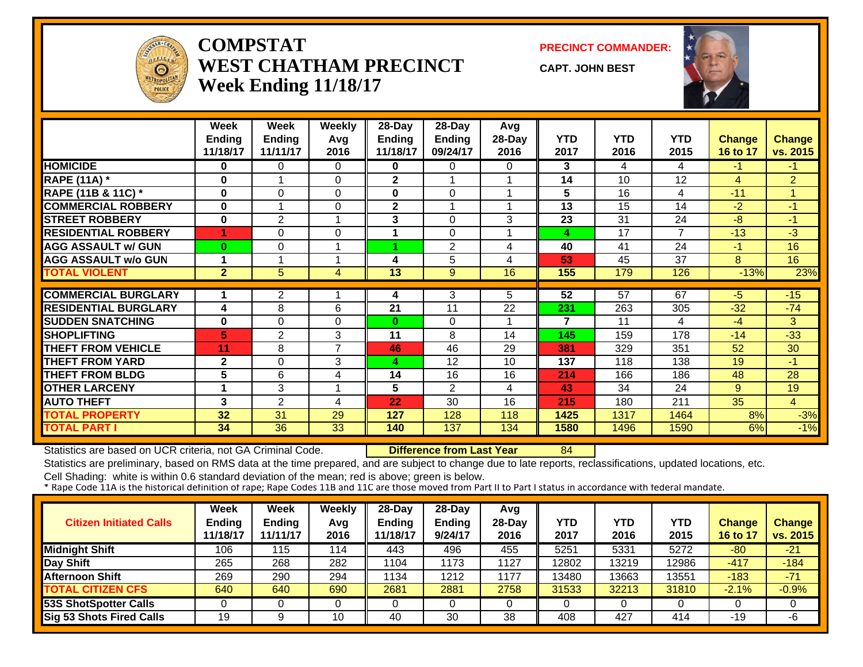

#### **COMPSTATWEST CHATHAM PRECINCTWeek Ending 11/18/17**

**PRECINCT COMMANDER:**

**CAPT. JOHN BEST**



|                             | Week<br><b>Ending</b><br>11/18/17 | Week<br><b>Ending</b><br>11/11/17 | <b>Weekly</b><br>Avg<br>2016 | 28-Day<br><b>Ending</b><br>11/18/17 | 28-Day<br><b>Ending</b><br>09/24/17 | Avg<br>28-Day<br>2016 | <b>YTD</b><br>2017 | <b>YTD</b><br>2016 | <b>YTD</b><br>2015 | Change<br>16 to 17 | <b>Change</b><br>vs. 2015 |
|-----------------------------|-----------------------------------|-----------------------------------|------------------------------|-------------------------------------|-------------------------------------|-----------------------|--------------------|--------------------|--------------------|--------------------|---------------------------|
| <b>HOMICIDE</b>             | 0                                 | 0                                 | $\Omega$                     | 0                                   | 0                                   | 0                     | 3                  | 4                  | 4                  | $-1$               | $-1$                      |
| <b>RAPE (11A) *</b>         | $\bf{0}$                          |                                   | $\Omega$                     | $\overline{2}$                      |                                     |                       | 14                 | 10                 | 12                 | $\overline{4}$     | $\overline{2}$            |
| RAPE (11B & 11C) *          | $\mathbf{0}$                      | $\Omega$                          | $\Omega$                     | $\bf{0}$                            | $\Omega$                            |                       | 5                  | 16                 | 4                  | $-11$              |                           |
| <b>COMMERCIAL ROBBERY</b>   | $\bf{0}$                          |                                   | 0                            | $\mathbf 2$                         |                                     |                       | 13                 | 15                 | 14                 | $-2$               | $-1$                      |
| <b>STREET ROBBERY</b>       | $\mathbf 0$                       | 2                                 | 1                            | 3                                   | $\Omega$                            | 3                     | 23                 | 31                 | 24                 | -8                 | $-1$                      |
| <b>RESIDENTIAL ROBBERY</b>  |                                   | 0                                 | $\Omega$                     |                                     | $\Omega$                            |                       | 4                  | 17                 | $\overline{7}$     | $-13$              | -3                        |
| <b>AGG ASSAULT w/ GUN</b>   | $\bf{0}$                          | 0                                 | 1                            |                                     | $\overline{2}$                      | 4                     | 40                 | 41                 | 24                 | -1                 | 16                        |
| <b>AGG ASSAULT w/o GUN</b>  |                                   |                                   | -4                           | 4                                   | 5                                   | 4                     | 53                 | 45                 | 37                 | 8                  | 16                        |
| <b>TOTAL VIOLENT</b>        | $\mathbf{2}$                      | 5                                 | 4                            | 13                                  | 9                                   | 16                    | 155                | 179                | 126                | $-13%$             | 23%                       |
|                             |                                   |                                   |                              |                                     |                                     |                       |                    |                    |                    |                    |                           |
| <b>COMMERCIAL BURGLARY</b>  | 1                                 | $\overline{2}$                    |                              | 4                                   | 3                                   | 5.                    | 52                 | 57                 | 67                 | -5                 | $-15$                     |
| <b>RESIDENTIAL BURGLARY</b> | 4                                 | 8                                 | 6                            | 21                                  | 11                                  | 22                    | 231                | 263                | 305                | $-32$              | $-74$                     |
| <b>SUDDEN SNATCHING</b>     | $\bf{0}$                          | 0                                 | $\Omega$                     | $\bf{0}$                            | $\Omega$                            |                       | 7                  | 11                 | 4                  | -4                 | 3                         |
| <b>SHOPLIFTING</b>          | 5                                 | $\overline{2}$                    | 3                            | 11                                  | 8                                   | 14                    | 145                | 159                | 178                | $-14$              | $-33$                     |
| <b>THEFT FROM VEHICLE</b>   | 11                                | 8                                 | $\overline{7}$               | 46                                  | 46                                  | 29                    | 381                | 329                | 351                | 52                 | 30                        |
| <b>THEFT FROM YARD</b>      | $\mathbf{2}$                      | 0                                 | 3                            | 4                                   | 12                                  | 10                    | 137                | 118                | 138                | 19                 | -1                        |
| <b>THEFT FROM BLDG</b>      | 5                                 | 6                                 | 4                            | 14                                  | 16                                  | 16                    | 214                | 166                | 186                | 48                 | 28                        |
| <b>OTHER LARCENY</b>        | 1                                 | 3                                 | 1                            | 5                                   | 2                                   | 4                     | 43                 | 34                 | 24                 | 9                  | 19                        |
| <b>AUTO THEFT</b>           | 3                                 | $\overline{2}$                    | 4                            | 22                                  | 30                                  | 16                    | 215                | 180                | 211                | 35                 | $\overline{4}$            |
| <b>TOTAL PROPERTY</b>       | 32                                | 31                                | 29                           | 127                                 | 128                                 | 118                   | 1425               | 1317               | 1464               | 8%                 | $-3%$                     |
| <b>TOTAL PART I</b>         | 34                                | 36                                | 33                           | 140                                 | 137                                 | 134                   | 1580               | 1496               | 1590               | 6%                 | $-1%$                     |

Statistics are based on UCR criteria, not GA Criminal Code. **Difference from Last Year** 84

Statistics are preliminary, based on RMS data at the time prepared, and are subject to change due to late reports, reclassifications, updated locations, etc.

| <b>Citizen Initiated Calls</b>  | Week<br><b>Ending</b><br>11/18/17 | <b>Week</b><br>Ending<br>11/11/17 | <b>Weekly</b><br>Avg<br>2016 | 28-Day<br><b>Ending</b><br>11/18/17 | 28-Day<br><b>Ending</b><br>9/24/17 | Avg<br>$28-Day$<br>2016 | YTD<br>2017 | YTD<br>2016 | YTD<br>2015 | <b>Change</b><br>16 to 17 | <b>Change</b><br>vs. 2015 |
|---------------------------------|-----------------------------------|-----------------------------------|------------------------------|-------------------------------------|------------------------------------|-------------------------|-------------|-------------|-------------|---------------------------|---------------------------|
| <b>Midnight Shift</b>           | 106                               | 115                               | 114                          | 443                                 | 496                                | 455                     | 5251        | 5331        | 5272        | $-80$                     | $-21$                     |
| Day Shift                       | 265                               | 268                               | 282                          | 1104                                | 1173                               | 1127                    | 12802       | 13219       | 12986       | $-417$                    | $-184$                    |
| <b>Afternoon Shift</b>          | 269                               | 290                               | 294                          | 1134                                | 1212                               | 1177                    | 13480       | 13663       | 13551       | $-183$                    | $-71$                     |
| <b>TOTAL CITIZEN CFS</b>        | 640                               | 640                               | 690                          | 2681                                | 2881                               | 2758                    | 31533       | 32213       | 31810       | $-2.1%$                   | $-0.9%$                   |
| <b>53S ShotSpotter Calls</b>    |                                   |                                   |                              |                                     |                                    |                         |             |             |             |                           |                           |
| <b>Sig 53 Shots Fired Calls</b> | 19                                |                                   | 10                           | 40                                  | 30                                 | 38                      | 408         | 427         | 414         | -19                       | -6                        |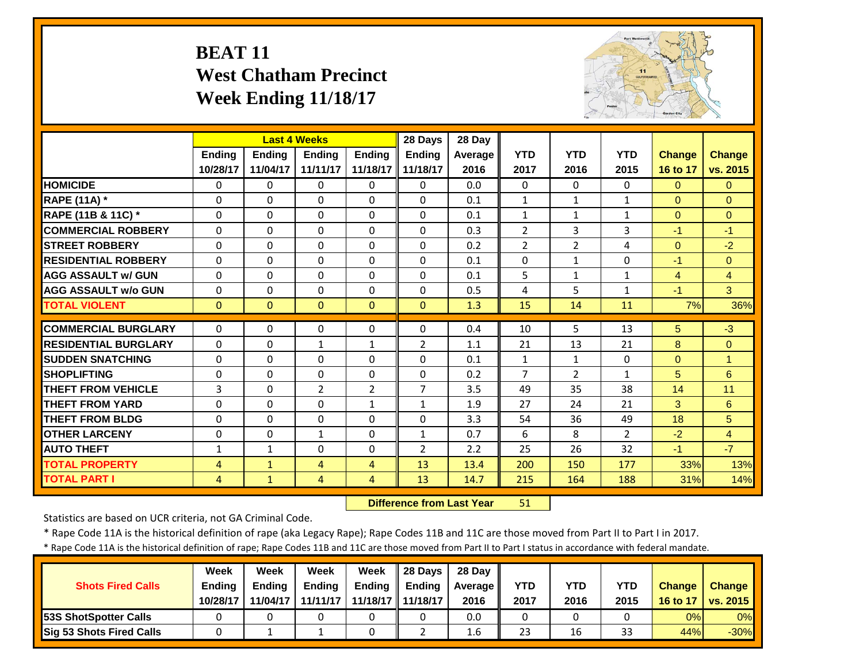## **BEAT 11 West Chatham Precinct Week Ending 11/18/17**



|                             |                | <b>Last 4 Weeks</b> |                |                | 28 Days        | 28 Day  |                |                |                |                |                |
|-----------------------------|----------------|---------------------|----------------|----------------|----------------|---------|----------------|----------------|----------------|----------------|----------------|
|                             | <b>Ending</b>  | <b>Endina</b>       | <b>Endina</b>  | <b>Endina</b>  | <b>Ending</b>  | Average | <b>YTD</b>     | <b>YTD</b>     | <b>YTD</b>     | <b>Change</b>  | <b>Change</b>  |
|                             | 10/28/17       | 11/04/17            | 11/11/17       | 11/18/17       | 11/18/17       | 2016    | 2017           | 2016           | 2015           | 16 to 17       | vs. 2015       |
| <b>HOMICIDE</b>             | $\Omega$       | 0                   | $\mathbf{0}$   | $\mathbf{0}$   | $\Omega$       | 0.0     | $\Omega$       | $\Omega$       | 0              | $\Omega$       | $\overline{0}$ |
| <b>RAPE (11A) *</b>         | $\Omega$       | $\Omega$            | $\Omega$       | $\Omega$       | $\Omega$       | 0.1     | $\mathbf{1}$   | $\mathbf{1}$   | $\mathbf{1}$   | $\Omega$       | $\Omega$       |
| RAPE (11B & 11C) *          | $\mathbf 0$    | $\Omega$            | $\Omega$       | $\Omega$       | $\Omega$       | 0.1     | $\mathbf{1}$   | $\mathbf{1}$   | $\mathbf{1}$   | $\overline{0}$ | $\mathbf{0}$   |
| <b>COMMERCIAL ROBBERY</b>   | $\Omega$       | $\Omega$            | $\Omega$       | $\Omega$       | $\Omega$       | 0.3     | $\overline{2}$ | 3              | 3              | $-1$           | $-1$           |
| <b>STREET ROBBERY</b>       | $\Omega$       | $\Omega$            | $\Omega$       | $\Omega$       | $\Omega$       | 0.2     | $\overline{2}$ | $\overline{2}$ | 4              | $\Omega$       | $-2$           |
| <b>RESIDENTIAL ROBBERY</b>  | $\Omega$       | $\Omega$            | $\Omega$       | $\Omega$       | $\Omega$       | 0.1     | $\Omega$       | $\mathbf{1}$   | 0              | $-1$           | $\Omega$       |
| <b>AGG ASSAULT w/ GUN</b>   | $\Omega$       | 0                   | $\Omega$       | $\Omega$       | $\Omega$       | 0.1     | 5              | $\mathbf{1}$   | $\mathbf{1}$   | 4              | $\overline{4}$ |
| <b>AGG ASSAULT w/o GUN</b>  | $\Omega$       | 0                   | $\Omega$       | $\Omega$       | $\Omega$       | 0.5     | 4              | 5              | $\mathbf{1}$   | $-1$           | 3              |
| <b>TOTAL VIOLENT</b>        | $\Omega$       | $\Omega$            | $\Omega$       | $\Omega$       | $\Omega$       | 1.3     | 15             | 14             | 11             | 7%             | 36%            |
| <b>COMMERCIAL BURGLARY</b>  | $\Omega$       | 0                   | $\Omega$       | $\Omega$       | $\Omega$       | 0.4     | 10             | 5.             | 13             | 5              | $-3$           |
| <b>RESIDENTIAL BURGLARY</b> | $\Omega$       | 0                   | 1              | 1              | $\overline{2}$ | 1.1     | 21             | 13             | 21             | 8              | $\mathbf{0}$   |
| <b>SUDDEN SNATCHING</b>     | $\Omega$       | 0                   | $\Omega$       | $\Omega$       | $\Omega$       | 0.1     | $\mathbf{1}$   | $\mathbf{1}$   | 0              | $\Omega$       | 1              |
| <b>SHOPLIFTING</b>          | $\Omega$       | 0                   | $\Omega$       | $\Omega$       | 0              | 0.2     | $\overline{7}$ | $\overline{2}$ | $\mathbf{1}$   | 5              | 6              |
| <b>THEFT FROM VEHICLE</b>   | 3              | 0                   | $\overline{2}$ | $\overline{2}$ | $\overline{7}$ | 3.5     | 49             | 35             | 38             | 14             | 11             |
| <b>THEFT FROM YARD</b>      | $\Omega$       | 0                   | $\Omega$       | 1              | $\mathbf{1}$   | 1.9     | 27             | 24             | 21             | 3              | 6              |
| <b>THEFT FROM BLDG</b>      | $\Omega$       | 0                   | $\Omega$       | $\Omega$       | 0              | 3.3     | 54             | 36             | 49             | 18             | 5              |
| <b>OTHER LARCENY</b>        | $\Omega$       | 0                   | $\mathbf{1}$   | $\Omega$       | $\mathbf{1}$   | 0.7     | 6              | 8              | $\overline{2}$ | $-2$           | $\overline{4}$ |
| <b>AUTO THEFT</b>           | $\mathbf{1}$   | $\mathbf{1}$        | $\Omega$       | $\Omega$       | $\overline{2}$ | 2.2     | 25             | 26             | 32             | $-1$           | $-7$           |
| <b>TOTAL PROPERTY</b>       | $\overline{4}$ | $\mathbf{1}$        | 4              | 4              | 13             | 13.4    | 200            | 150            | 177            | 33%            | 13%            |
| <b>TOTAL PART I</b>         | $\overline{4}$ | $\mathbf{1}$        | 4              | 4              | 13             | 14.7    | 215            | 164            | 188            | 31%            | 14%            |

 **Difference from Last Year**51

Statistics are based on UCR criteria, not GA Criminal Code.

\* Rape Code 11A is the historical definition of rape (aka Legacy Rape); Rape Codes 11B and 11C are those moved from Part II to Part I in 2017.

\* Rape Code 11A is the historical definition of rape; Rape Codes 11B and 11C are those moved from Part II to Part I status in accordance with federal mandate.

|                                 | Week          | Week          | Week          | Week                | 28 Davs       | 28 Day     |      |      |            |               |                          |
|---------------------------------|---------------|---------------|---------------|---------------------|---------------|------------|------|------|------------|---------------|--------------------------|
| <b>Shots Fired Calls</b>        | <b>Ending</b> | <b>Ending</b> | <b>Ending</b> | <b>Ending</b>       | <b>Endina</b> | Average II | YTD  | YTD  | <b>YTD</b> | <b>Change</b> | <b>Change</b>            |
|                                 | 10/28/17      | 11/04/17      | 11/11/17      | 11/18/17   11/18/17 |               | 2016       | 2017 | 2016 | 2015       | 16 to 17      | $\vert$ vs. 2015 $\vert$ |
| <b>53S ShotSpotter Calls</b>    |               |               |               |                     |               | 0.0        |      |      |            | 0%            | 0%                       |
| <b>Sig 53 Shots Fired Calls</b> |               |               |               |                     |               | 1.6        | 23   | 16   | 33         | 44%           | $-30\%$                  |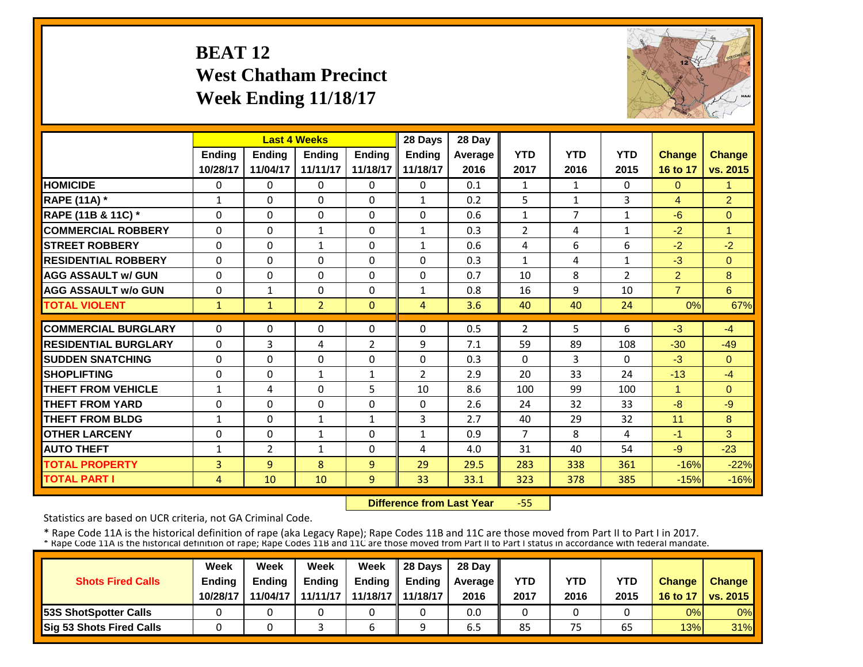## **BEAT 12 West Chatham Precinct Week Ending 11/18/17**



|                             |                | <b>Last 4 Weeks</b> |                |                | 28 Days        | 28 Day  |                |                |                |                |                |
|-----------------------------|----------------|---------------------|----------------|----------------|----------------|---------|----------------|----------------|----------------|----------------|----------------|
|                             | Ending         | <b>Ending</b>       | Ending         | <b>Ending</b>  | <b>Ending</b>  | Average | <b>YTD</b>     | <b>YTD</b>     | <b>YTD</b>     | <b>Change</b>  | Change         |
|                             | 10/28/17       | 11/04/17            | 11/11/17       | 11/18/17       | 11/18/17       | 2016    | 2017           | 2016           | 2015           | 16 to 17       | vs. 2015       |
| <b>HOMICIDE</b>             | 0              | 0                   | $\Omega$       | $\mathbf{0}$   | 0              | 0.1     | 1              | $\mathbf{1}$   | 0              | $\Omega$       | 1              |
| <b>RAPE (11A)</b> *         | $\mathbf{1}$   | $\Omega$            | $\Omega$       | $\Omega$       | $\mathbf{1}$   | 0.2     | 5              | $\mathbf{1}$   | 3              | $\overline{4}$ | $\overline{2}$ |
| RAPE (11B & 11C) *          | $\Omega$       | $\Omega$            | $\Omega$       | $\Omega$       | $\Omega$       | 0.6     | $\mathbf{1}$   | $\overline{7}$ | 1              | $-6$           | $\Omega$       |
| <b>COMMERCIAL ROBBERY</b>   | $\Omega$       | $\Omega$            | $\mathbf{1}$   | $\Omega$       | $\mathbf{1}$   | 0.3     | 2              | 4              | 1              | $-2$           | 1              |
| <b>ISTREET ROBBERY</b>      | $\Omega$       | $\Omega$            | 1              | $\Omega$       | 1              | 0.6     | $\overline{4}$ | 6              | 6              | $-2$           | $-2$           |
| <b>RESIDENTIAL ROBBERY</b>  | 0              | $\Omega$            | $\Omega$       | 0              | $\Omega$       | 0.3     | $\mathbf{1}$   | 4              | $\mathbf{1}$   | $-3$           | $\Omega$       |
| <b>AGG ASSAULT w/ GUN</b>   | $\Omega$       | $\Omega$            | $\Omega$       | $\Omega$       | 0              | 0.7     | 10             | 8              | $\overline{2}$ | $\overline{2}$ | 8              |
| <b>AGG ASSAULT w/o GUN</b>  | 0              | $\mathbf{1}$        | $\Omega$       | $\Omega$       | $\mathbf{1}$   | 0.8     | 16             | 9              | 10             | $\overline{7}$ | 6              |
| <b>TOTAL VIOLENT</b>        | $\mathbf{1}$   | $\mathbf{1}$        | $\overline{2}$ | $\Omega$       | 4              | 3.6     | 40             | 40             | 24             | 0%             | 67%            |
| <b>COMMERCIAL BURGLARY</b>  | $\Omega$       | $\Omega$            | $\Omega$       | $\Omega$       | 0              | 0.5     | $\overline{2}$ | 5.             | 6              | $-3$           | $-4$           |
| <b>RESIDENTIAL BURGLARY</b> | $\Omega$       | 3                   | 4              | $\overline{2}$ | 9              | 7.1     | 59             | 89             | 108            | $-30$          | $-49$          |
| <b>SUDDEN SNATCHING</b>     | 0              | $\Omega$            | $\Omega$       | 0              | 0              | 0.3     | $\Omega$       | 3              | 0              | $-3$           | $\Omega$       |
| <b>SHOPLIFTING</b>          | $\Omega$       | $\Omega$            | $\mathbf{1}$   | $\mathbf{1}$   | $\overline{2}$ | 2.9     | 20             | 33             | 24             | $-13$          | $-4$           |
| <b>THEFT FROM VEHICLE</b>   | $\mathbf{1}$   | 4                   | $\Omega$       | 5              | 10             | 8.6     | 100            | 99             | 100            | 1              | $\Omega$       |
| <b>THEFT FROM YARD</b>      | 0              | $\Omega$            | $\Omega$       | 0              | 0              | 2.6     | 24             | 32             | 33             | $-8$           | $-9$           |
| <b>THEFT FROM BLDG</b>      | $\mathbf{1}$   | $\Omega$            | $\mathbf{1}$   | 1              | 3              | 2.7     | 40             | 29             | 32             | 11             | 8              |
| <b>OTHER LARCENY</b>        | $\Omega$       | $\Omega$            | $\mathbf{1}$   | $\Omega$       | 1              | 0.9     | $\overline{7}$ | 8              | 4              | $-1$           | 3              |
| <b>AUTO THEFT</b>           | $\mathbf{1}$   | $\overline{2}$      | $\mathbf{1}$   | $\Omega$       | 4              | 4.0     | 31             | 40             | 54             | $-9$           | $-23$          |
| <b>TOTAL PROPERTY</b>       | 3              | 9                   | 8              | 9              | 29             | 29.5    | 283            | 338            | 361            | $-16%$         | $-22%$         |
| <b>TOTAL PART I</b>         | $\overline{4}$ | 10                  | 10             | 9              | 33             | 33.1    | 323            | 378            | 385            | $-15%$         | $-16%$         |

 **Difference from Last Year**‐55

Statistics are based on UCR criteria, not GA Criminal Code.

|                              | Week          | Week          | Week          | Week     | 28 Days       | 28 Day    |      |      |            |               |                     |
|------------------------------|---------------|---------------|---------------|----------|---------------|-----------|------|------|------------|---------------|---------------------|
| <b>Shots Fired Calls</b>     | <b>Ending</b> | <b>Ending</b> | <b>Ending</b> | Ending   | <b>Ending</b> | Average I | YTD  | YTD  | <b>YTD</b> | <b>Change</b> | <b>Change</b>       |
|                              | 10/28/17      | 11/04/17      | 11/11/17      | 11/18/17 | 11/18/17      | 2016      | 2017 | 2016 | 2015       |               | 16 to 17   vs. 2015 |
| <b>53S ShotSpotter Calls</b> |               |               |               |          |               | 0.0       |      |      |            | 0%            | $0\%$               |
| Sig 53 Shots Fired Calls     |               |               |               |          |               | 6.5       | 85   | 75   | 65         | 13%           | 31%                 |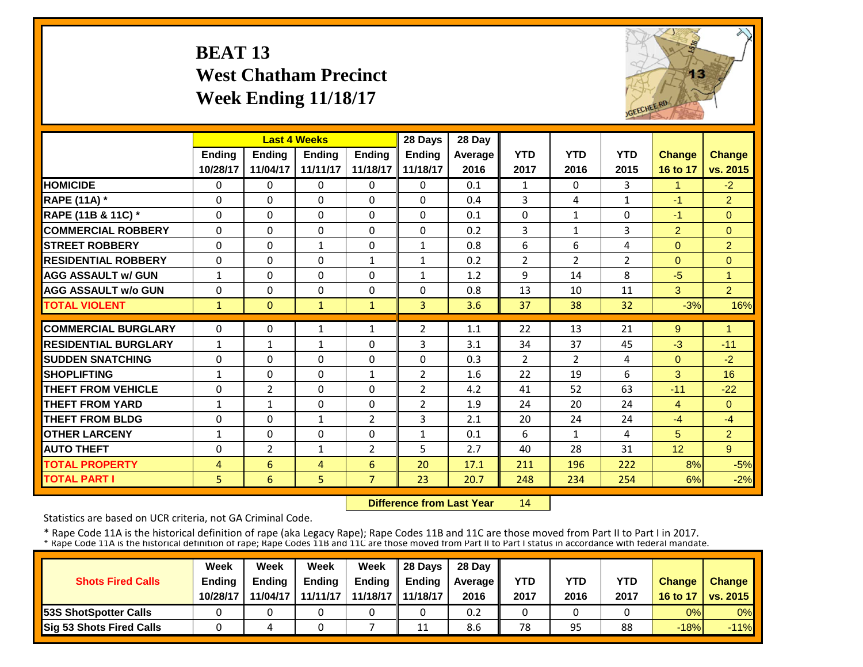# **BEAT 13 West Chatham Precinct Week Ending 11/18/17**



|                             |              | <b>Last 4 Weeks</b> |              |                | 28 Days        | 28 Day  |                |                |                |                      |                |
|-----------------------------|--------------|---------------------|--------------|----------------|----------------|---------|----------------|----------------|----------------|----------------------|----------------|
|                             | Ending       | Ending              | Ending       | <b>Ending</b>  | <b>Ending</b>  | Average | <b>YTD</b>     | <b>YTD</b>     | <b>YTD</b>     | <b>Change</b>        | <b>Change</b>  |
|                             | 10/28/17     | 11/04/17            | 11/11/17     | 11/18/17       | 11/18/17       | 2016    | 2017           | 2016           | 2015           | 16 to 17             | vs. 2015       |
| <b>HOMICIDE</b>             | 0            | $\Omega$            | 0            | 0              | $\Omega$       | 0.1     | 1              | $\Omega$       | 3              | $\blacktriangleleft$ | $-2$           |
| <b>RAPE (11A)</b> *         | $\Omega$     | $\Omega$            | $\Omega$     | 0              | $\Omega$       | 0.4     | 3              | 4              | $\mathbf{1}$   | $-1$                 | $\overline{2}$ |
| RAPE (11B & 11C) *          | $\Omega$     | $\Omega$            | $\Omega$     | $\Omega$       | $\Omega$       | 0.1     | $\Omega$       | $\mathbf{1}$   | 0              | $-1$                 | $\Omega$       |
| <b>COMMERCIAL ROBBERY</b>   | $\Omega$     | $\Omega$            | $\Omega$     | 0              | $\Omega$       | 0.2     | 3              | 1              | 3              | $\overline{2}$       | $\Omega$       |
| <b>STREET ROBBERY</b>       | 0            | $\Omega$            | $\mathbf{1}$ | 0              | $\mathbf{1}$   | 0.8     | 6              | 6              | 4              | $\Omega$             | $\overline{2}$ |
| <b>RESIDENTIAL ROBBERY</b>  | 0            | $\Omega$            | $\Omega$     | $\mathbf{1}$   | $\mathbf{1}$   | 0.2     | $\overline{2}$ | 2              | $\overline{2}$ | $\Omega$             | $\Omega$       |
| <b>AGG ASSAULT w/ GUN</b>   | $\mathbf{1}$ | $\Omega$            | $\Omega$     | 0              | $\mathbf{1}$   | 1.2     | 9              | 14             | 8              | $-5$                 | 1              |
| <b>AGG ASSAULT w/o GUN</b>  | 0            | 0                   | $\Omega$     | 0              | 0              | 0.8     | 13             | 10             | 11             | 3                    | $\overline{2}$ |
| <b>TOTAL VIOLENT</b>        | $\mathbf{1}$ | $\Omega$            | $\mathbf{1}$ | 1              | 3              | 3.6     | 37             | 38             | 32             | $-3%$                | 16%            |
| <b>COMMERCIAL BURGLARY</b>  | $\Omega$     | $\Omega$            | 1            | $\mathbf{1}$   | $\overline{2}$ | 1.1     | 22             | 13             | 21             | 9                    | -1             |
| <b>RESIDENTIAL BURGLARY</b> | $\mathbf{1}$ | $\mathbf{1}$        | $\mathbf{1}$ | 0              | 3              | 3.1     | 34             | 37             | 45             | $-3$                 | $-11$          |
| <b>SUDDEN SNATCHING</b>     | 0            | 0                   | $\Omega$     | 0              | $\Omega$       | 0.3     | $\overline{2}$ | $\overline{2}$ | 4              | $\Omega$             | $-2$           |
| <b>SHOPLIFTING</b>          | $\mathbf{1}$ | $\Omega$            | $\Omega$     | $\mathbf{1}$   | $\overline{2}$ | 1.6     | 22             | 19             | 6              | 3                    | 16             |
| <b>THEFT FROM VEHICLE</b>   | $\Omega$     | $\overline{2}$      | $\Omega$     | 0              | $\overline{2}$ | 4.2     | 41             | 52             | 63             | $-11$                | $-22$          |
| <b>THEFT FROM YARD</b>      | $\mathbf{1}$ | $\mathbf{1}$        | $\Omega$     | 0              | $\overline{2}$ | 1.9     | 24             | 20             | 24             | $\overline{4}$       | $\Omega$       |
| <b>THEFT FROM BLDG</b>      | $\Omega$     | $\Omega$            | $\mathbf{1}$ | $\overline{2}$ | 3              | 2.1     | 20             | 24             | 24             | -4                   | $-4$           |
| <b>OTHER LARCENY</b>        | $\mathbf{1}$ | $\Omega$            | $\Omega$     | 0              | $\mathbf{1}$   | 0.1     | 6              | $\mathbf{1}$   | 4              | 5                    | $\overline{2}$ |
| <b>AUTO THEFT</b>           | $\Omega$     | $\overline{2}$      | $\mathbf{1}$ | $\overline{2}$ | 5              | 2.7     | 40             | 28             | 31             | 12 <sup>2</sup>      | 9              |
| <b>TOTAL PROPERTY</b>       | 4            | 6                   | 4            | 6              | 20             | 17.1    | 211            | 196            | 222            | 8%                   | $-5%$          |
| <b>TOTAL PART I</b>         | 5            | 6                   | 5            | $\overline{7}$ | 23             | 20.7    | 248            | 234            | 254            | 6%                   | $-2%$          |

 **Difference from Last Year**14

Statistics are based on UCR criteria, not GA Criminal Code.

|                               | Week     | Week     | Week          | Week                | Il 28 Davs    | 28 Day         |      |      |      |               |                 |
|-------------------------------|----------|----------|---------------|---------------------|---------------|----------------|------|------|------|---------------|-----------------|
| <b>Shots Fired Calls</b>      | Ending   | Ending   | <b>Ending</b> | <b>Ending</b>       | <b>Ending</b> | <b>Average</b> | YTD  | YTD  | YTD  | <b>Change</b> | <b>Change</b>   |
|                               | 10/28/17 | 11/04/17 | 11/11/17      | 11/18/17   11/18/17 |               | 2016           | 2017 | 2016 | 2017 | 16 to 17      | <b>vs. 2015</b> |
| <b>153S ShotSpotter Calls</b> |          |          |               |                     |               | 0.2            |      |      |      | 0%            | $0\%$           |
| Sig 53 Shots Fired Calls      |          |          |               |                     | 11            | 8.6            | 78   | 95   | 88   | $-18%$        | $-11%$          |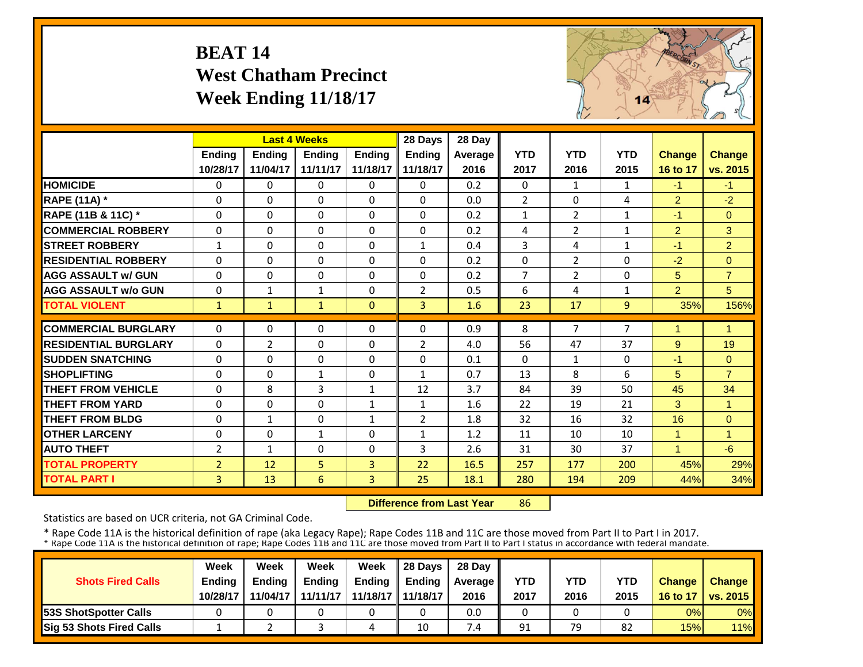# **BEAT 14 West Chatham Precinct Week Ending 11/18/17**



|                             |                | <b>Last 4 Weeks</b> |               |               | 28 Days        | 28 Day  |                |                |              |                |                |
|-----------------------------|----------------|---------------------|---------------|---------------|----------------|---------|----------------|----------------|--------------|----------------|----------------|
|                             | Ending         | <b>Ending</b>       | <b>Ending</b> | <b>Endina</b> | <b>Ending</b>  | Average | <b>YTD</b>     | <b>YTD</b>     | <b>YTD</b>   | <b>Change</b>  | <b>Change</b>  |
|                             | 10/28/17       | 11/04/17            | 11/11/17      | 11/18/17      | 11/18/17       | 2016    | 2017           | 2016           | 2015         | 16 to 17       | vs. 2015       |
| <b>HOMICIDE</b>             | $\Omega$       | 0                   | $\Omega$      | $\Omega$      | $\Omega$       | 0.2     | $\Omega$       | $\mathbf{1}$   | $\mathbf{1}$ | $-1$           | $-1$           |
| <b>RAPE (11A) *</b>         | $\Omega$       | $\Omega$            | $\Omega$      | $\Omega$      | $\Omega$       | 0.0     | $\overline{2}$ | $\Omega$       | 4            | $\overline{2}$ | $-2$           |
| RAPE (11B & 11C) *          | $\Omega$       | 0                   | $\Omega$      | $\Omega$      | $\Omega$       | 0.2     | $\mathbf{1}$   | $\overline{2}$ | 1            | $-1$           | $\Omega$       |
| <b>COMMERCIAL ROBBERY</b>   | $\Omega$       | $\Omega$            | $\Omega$      | $\Omega$      | $\Omega$       | 0.2     | 4              | $\overline{2}$ | $\mathbf{1}$ | $\overline{2}$ | 3              |
| <b>STREET ROBBERY</b>       | $\mathbf{1}$   | $\Omega$            | $\Omega$      | $\Omega$      | $\mathbf{1}$   | 0.4     | 3              | 4              | $\mathbf{1}$ | $-1$           | $\overline{2}$ |
| <b>RESIDENTIAL ROBBERY</b>  | $\Omega$       | $\Omega$            | $\Omega$      | $\Omega$      | $\Omega$       | 0.2     | $\Omega$       | $\overline{2}$ | 0            | $-2$           | $\Omega$       |
| <b>AGG ASSAULT w/ GUN</b>   | $\Omega$       | $\Omega$            | $\mathbf 0$   | $\Omega$      | $\Omega$       | 0.2     | $\overline{7}$ | 2              | 0            | 5              | $\overline{7}$ |
| <b>AGG ASSAULT w/o GUN</b>  | $\Omega$       | $\mathbf{1}$        | 1             | $\Omega$      | $\overline{2}$ | 0.5     | 6              | 4              | 1            | $\overline{2}$ | 5 <sup>5</sup> |
| <b>TOTAL VIOLENT</b>        | $\mathbf{1}$   | $\mathbf{1}$        | $\mathbf{1}$  | $\mathbf{0}$  | 3              | 1.6     | 23             | 17             | 9            | 35%            | 156%           |
| <b>COMMERCIAL BURGLARY</b>  | $\Omega$       | 0                   | $\Omega$      | $\Omega$      | $\Omega$       | 0.9     | 8              | $\overline{7}$ | 7            | 1              | $\overline{1}$ |
| <b>RESIDENTIAL BURGLARY</b> | $\Omega$       | $\overline{2}$      | 0             | $\Omega$      | $\overline{2}$ | 4.0     | 56             | 47             | 37           | 9              | 19             |
| <b>ISUDDEN SNATCHING</b>    | $\Omega$       | 0                   | $\Omega$      | $\Omega$      | $\Omega$       | 0.1     | $\Omega$       | $\mathbf{1}$   | 0            | $-1$           | $\Omega$       |
| <b>SHOPLIFTING</b>          | $\Omega$       | 0                   | 1             | $\Omega$      | $\mathbf{1}$   | 0.7     | 13             | 8              | 6            | 5              | $\overline{7}$ |
| <b>THEFT FROM VEHICLE</b>   | $\Omega$       | 8                   | 3             | 1             | 12             | 3.7     | 84             | 39             | 50           | 45             | 34             |
| <b>THEFT FROM YARD</b>      | $\Omega$       | 0                   | $\Omega$      | 1             | $\mathbf{1}$   | 1.6     | 22             | 19             | 21           | 3              | 1              |
| <b>THEFT FROM BLDG</b>      | $\Omega$       | $\mathbf{1}$        | $\Omega$      | $\mathbf{1}$  | $\overline{2}$ | 1.8     | 32             | 16             | 32           | 16             | $\Omega$       |
| <b>OTHER LARCENY</b>        | $\Omega$       | 0                   | 1             | $\Omega$      | $\mathbf{1}$   | 1.2     | 11             | 10             | 10           | 1              | 1              |
| <b>AUTO THEFT</b>           | $\overline{2}$ | $\mathbf{1}$        | $\Omega$      | $\Omega$      | 3              | 2.6     | 31             | 30             | 37           | 1              | $-6$           |
| <b>TOTAL PROPERTY</b>       | $\overline{2}$ | 12                  | 5             | 3             | 22             | 16.5    | 257            | 177            | 200          | 45%            | 29%            |
| <b>TOTAL PART I</b>         | 3              | 13                  | 6             | 3             | 25             | 18.1    | 280            | 194            | 209          | 44%            | 34%            |
|                             |                |                     |               |               |                |         |                |                |              |                |                |

 **Difference from Last Year**86

Statistics are based on UCR criteria, not GA Criminal Code.

|                               | Week     | Week     | Week          | Week                | Il 28 Davs    | 28 Day         |      |      |      |               |                 |
|-------------------------------|----------|----------|---------------|---------------------|---------------|----------------|------|------|------|---------------|-----------------|
| <b>Shots Fired Calls</b>      | Ending   | Ending   | <b>Ending</b> | <b>Ending</b>       | <b>Ending</b> | <b>Average</b> | YTD  | YTD  | YTD  | <b>Change</b> | <b>Change</b>   |
|                               | 10/28/17 | 11/04/17 | 11/11/17      | 11/18/17   11/18/17 |               | 2016           | 2017 | 2016 | 2015 | 16 to 17      | <b>vs. 2015</b> |
| <b>153S ShotSpotter Calls</b> |          |          |               |                     |               | 0.0            |      |      |      | 0%            | $0\%$           |
| Sig 53 Shots Fired Calls      |          |          |               | 4                   | 10            | $\overline{A}$ | 91   | 79   | 82   | 15%           | 11%             |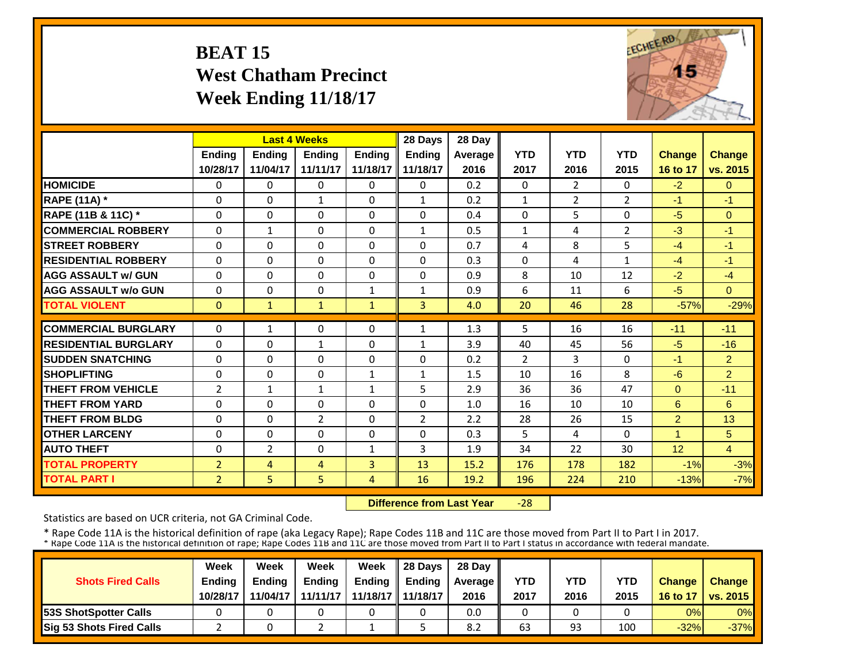#### **BEAT 15 West Chatham Precinct Week Ending 11/18/17**



|                             |                |                | <b>Last 4 Weeks</b> |               | 28 Days        | 28 Day  |                |                |                |                 |                |
|-----------------------------|----------------|----------------|---------------------|---------------|----------------|---------|----------------|----------------|----------------|-----------------|----------------|
|                             | Ending         | Ending         | Ending              | <b>Ending</b> | <b>Ending</b>  | Average | <b>YTD</b>     | <b>YTD</b>     | <b>YTD</b>     | <b>Change</b>   | Change         |
|                             | 10/28/17       | 11/04/17       | 11/11/17            | 11/18/17      | 11/18/17       | 2016    | 2017           | 2016           | 2015           | 16 to 17        | vs. 2015       |
| <b>HOMICIDE</b>             | 0              | $\Omega$       | 0                   | $\mathbf{0}$  | $\Omega$       | 0.2     | $\Omega$       | $\overline{2}$ | 0              | $-2$            | $\mathbf{0}$   |
| <b>RAPE (11A)</b> *         | $\Omega$       | $\Omega$       | $\mathbf{1}$        | $\Omega$      | $\mathbf{1}$   | 0.2     | $\mathbf{1}$   | $\overline{2}$ | $\overline{2}$ | $-1$            | $-1$           |
| RAPE (11B & 11C) *          | $\Omega$       | $\Omega$       | $\Omega$            | $\Omega$      | $\Omega$       | 0.4     | $\Omega$       | 5              | 0              | $-5$            | $\Omega$       |
| <b>COMMERCIAL ROBBERY</b>   | $\Omega$       | $\mathbf{1}$   | $\Omega$            | $\Omega$      | $\mathbf{1}$   | 0.5     | $\mathbf{1}$   | 4              | 2              | $-3$            | $-1$           |
| <b>STREET ROBBERY</b>       | $\Omega$       | $\Omega$       | $\Omega$            | $\Omega$      | 0              | 0.7     | 4              | 8              | 5              | $-4$            | $-1$           |
| <b>RESIDENTIAL ROBBERY</b>  | 0              | $\Omega$       | $\Omega$            | $\Omega$      | 0              | 0.3     | $\Omega$       | 4              | $\mathbf{1}$   | $-4$            | $-1$           |
| <b>AGG ASSAULT w/ GUN</b>   | 0              | $\Omega$       | $\Omega$            | $\Omega$      | 0              | 0.9     | 8              | 10             | 12             | $-2$            | $-4$           |
| <b>AGG ASSAULT w/o GUN</b>  | $\Omega$       | $\Omega$       | $\Omega$            | 1             | $\mathbf{1}$   | 0.9     | 6              | 11             | 6              | $-5$            | $\Omega$       |
| <b>TOTAL VIOLENT</b>        | $\mathbf{0}$   | $\mathbf{1}$   | $\mathbf{1}$        | $\mathbf{1}$  | $\overline{3}$ | 4.0     | 20             | 46             | 28             | $-57%$          | $-29%$         |
| <b>COMMERCIAL BURGLARY</b>  | $\Omega$       | $\mathbf{1}$   | 0                   | 0             | $\mathbf{1}$   | 1.3     | 5              | 16             | 16             | $-11$           | $-11$          |
| <b>RESIDENTIAL BURGLARY</b> | $\Omega$       | $\Omega$       | $\mathbf 1$         | $\Omega$      | $\mathbf{1}$   | 3.9     | 40             | 45             | 56             | $-5$            | $-16$          |
| <b>SUDDEN SNATCHING</b>     | 0              | $\Omega$       | $\Omega$            | $\Omega$      | 0              | 0.2     | $\overline{2}$ | 3              | 0              | $-1$            | 2 <sup>1</sup> |
| <b>SHOPLIFTING</b>          | $\Omega$       | $\Omega$       | $\Omega$            | $\mathbf{1}$  | $\mathbf{1}$   | 1.5     | 10             | 16             | 8              | $-6$            | $\overline{2}$ |
| <b>THEFT FROM VEHICLE</b>   | $\overline{2}$ | $\mathbf{1}$   | 1                   | 1             | 5              | 2.9     | 36             | 36             | 47             | $\Omega$        | $-11$          |
| <b>THEFT FROM YARD</b>      | $\Omega$       | $\Omega$       | $\Omega$            | $\Omega$      | 0              | 1.0     | 16             | 10             | 10             | 6               | 6              |
| <b>THEFT FROM BLDG</b>      | $\Omega$       | $\Omega$       | $\overline{2}$      | $\Omega$      | $\overline{2}$ | 2.2     | 28             | 26             | 15             | $\overline{2}$  | 13             |
| <b>OTHER LARCENY</b>        | $\Omega$       | $\Omega$       | $\Omega$            | 0             | 0              | 0.3     | 5              | 4              | 0              | 1               | 5              |
| <b>AUTO THEFT</b>           | $\Omega$       | $\overline{2}$ | $\Omega$            | $\mathbf{1}$  | 3              | 1.9     | 34             | 22             | 30             | 12 <sup>2</sup> | $\overline{4}$ |
| <b>TOTAL PROPERTY</b>       | $\overline{2}$ | 4              | 4                   | 3             | 13             | 15.2    | 176            | 178            | 182            | $-1%$           | $-3%$          |
| <b>TOTAL PART I</b>         | $\overline{2}$ | 5              | 5                   | 4             | 16             | 19.2    | 196            | 224            | 210            | $-13%$          | $-7%$          |

 **Difference from Last Year** $-28$ 

Statistics are based on UCR criteria, not GA Criminal Code.

|                               | Week          | Week          | Week          | Week                | $\parallel$ 28 Davs | 28 Day    |      |      |      |               |                     |
|-------------------------------|---------------|---------------|---------------|---------------------|---------------------|-----------|------|------|------|---------------|---------------------|
| <b>Shots Fired Calls</b>      | <b>Ending</b> | <b>Ending</b> | <b>Ending</b> | <b>Ending</b>       | <b>Ending</b>       | Average I | YTD  | YTD  | YTD  | <b>Change</b> | <b>Change</b>       |
|                               | 10/28/17      | 11/04/17      | 11/11/17      | 11/18/17   11/18/17 |                     | 2016      | 2017 | 2016 | 2015 |               | 16 to 17   vs. 2015 |
| <b>153S ShotSpotter Calls</b> |               |               |               |                     |                     | 0.0       |      |      |      | 0%            | $0\%$               |
| Sig 53 Shots Fired Calls      |               |               |               |                     |                     | 8.2       | 63   | 93   | 100  | $-32%$        | $-37%$              |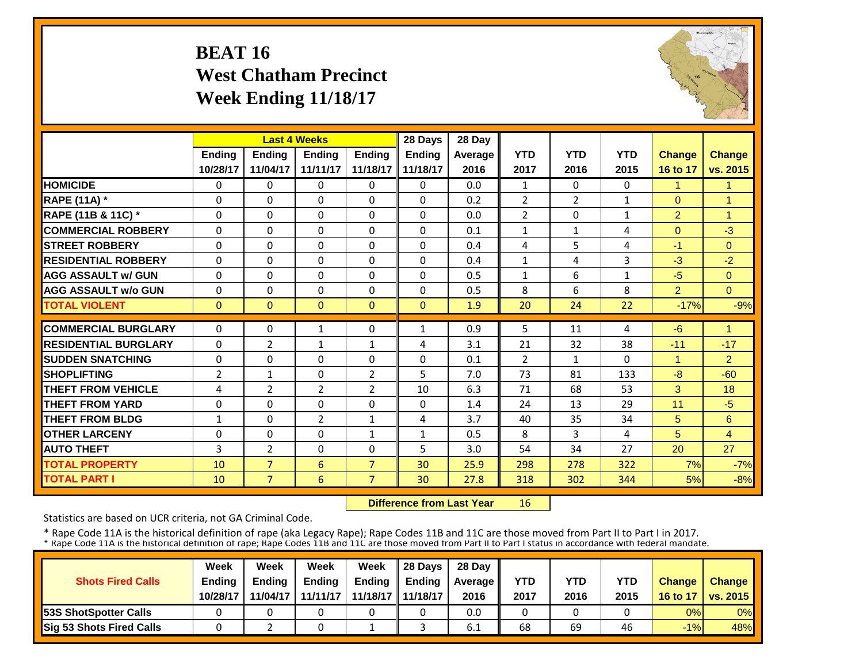## **BEAT 16 West Chatham Precinct Week Ending 11/18/17**



|                             |                | <b>Last 4 Weeks</b> |                |                | 28 Days       | 28 Day  |                |                |              |                |                |
|-----------------------------|----------------|---------------------|----------------|----------------|---------------|---------|----------------|----------------|--------------|----------------|----------------|
|                             | <b>Ending</b>  | <b>Ending</b>       | <b>Ending</b>  | <b>Endina</b>  | <b>Ending</b> | Average | <b>YTD</b>     | <b>YTD</b>     | <b>YTD</b>   | <b>Change</b>  | <b>Change</b>  |
|                             | 10/28/17       | 11/04/17            | 11/11/17       | 11/18/17       | 11/18/17      | 2016    | 2017           | 2016           | 2015         | 16 to 17       | vs. 2015       |
| <b>HOMICIDE</b>             | $\Omega$       | $\Omega$            | $\Omega$       | $\Omega$       | $\Omega$      | 0.0     | $\mathbf{1}$   | $\Omega$       | 0            | 1              | 1              |
| <b>RAPE (11A) *</b>         | $\Omega$       | $\Omega$            | $\Omega$       | $\Omega$       | $\Omega$      | 0.2     | $\overline{2}$ | $\overline{2}$ | $\mathbf{1}$ | $\Omega$       | $\overline{1}$ |
| RAPE (11B & 11C) *          | $\Omega$       | $\Omega$            | $\Omega$       | $\Omega$       | $\Omega$      | 0.0     | $\overline{2}$ | $\Omega$       | $\mathbf{1}$ | 2              | $\overline{1}$ |
| <b>COMMERCIAL ROBBERY</b>   | $\mathbf{0}$   | $\Omega$            | $\Omega$       | $\Omega$       | 0             | 0.1     | $\mathbf{1}$   | $\mathbf{1}$   | 4            | $\Omega$       | $-3$           |
| <b>STREET ROBBERY</b>       | 0              | $\Omega$            | 0              | $\Omega$       | 0             | 0.4     | 4              | 5              | 4            | $-1$           | $\mathbf{0}$   |
| <b>RESIDENTIAL ROBBERY</b>  | $\Omega$       | $\Omega$            | $\Omega$       | $\Omega$       | 0             | 0.4     | $\mathbf{1}$   | 4              | 3            | $-3$           | $-2$           |
| <b>AGG ASSAULT w/ GUN</b>   | $\Omega$       | $\Omega$            | $\Omega$       | $\Omega$       | $\Omega$      | 0.5     | $\mathbf{1}$   | 6              | $\mathbf{1}$ | $-5$           | $\Omega$       |
| <b>AGG ASSAULT w/o GUN</b>  | $\Omega$       | $\Omega$            | $\Omega$       | $\Omega$       | $\Omega$      | 0.5     | 8              | 6              | 8            | $\overline{2}$ | $\Omega$       |
| <b>TOTAL VIOLENT</b>        | $\mathbf{0}$   | $\mathbf{0}$        | $\mathbf{0}$   | $\Omega$       | $\mathbf{0}$  | 1.9     | 20             | 24             | 22           | $-17%$         | $-9%$          |
| <b>COMMERCIAL BURGLARY</b>  | $\Omega$       | $\Omega$            |                | $\Omega$       |               |         |                |                |              |                | 1              |
|                             |                |                     | 1              |                | 1             | 0.9     | 5              | 11             | 4            | $-6$           |                |
| <b>RESIDENTIAL BURGLARY</b> | $\Omega$       | 2                   | $\mathbf{1}$   | $\mathbf{1}$   | 4             | 3.1     | 21             | 32             | 38           | $-11$          | $-17$          |
| <b>SUDDEN SNATCHING</b>     | $\Omega$       | $\Omega$            | $\Omega$       | $\Omega$       | 0             | 0.1     | $\overline{2}$ | $\mathbf{1}$   | 0            | 1              | $\overline{2}$ |
| <b>SHOPLIFTING</b>          | $\overline{2}$ | $\mathbf{1}$        | 0              | $\overline{2}$ | 5             | 7.0     | 73             | 81             | 133          | $-8$           | $-60$          |
| <b>THEFT FROM VEHICLE</b>   | 4              | $\overline{2}$      | $\overline{2}$ | $\overline{2}$ | 10            | 6.3     | 71             | 68             | 53           | 3              | 18             |
| <b>THEFT FROM YARD</b>      | 0              | $\Omega$            | $\Omega$       | $\Omega$       | 0             | 1.4     | 24             | 13             | 29           | 11             | $-5$           |
| <b>THEFT FROM BLDG</b>      | $\mathbf{1}$   | $\Omega$            | $\overline{2}$ | $\mathbf{1}$   | 4             | 3.7     | 40             | 35             | 34           | 5              | 6              |
| <b>OTHER LARCENY</b>        | $\Omega$       | $\Omega$            | $\Omega$       | 1              | $\mathbf{1}$  | 0.5     | 8              | 3              | 4            | 5              | $\overline{4}$ |
| <b>AUTO THEFT</b>           | 3              | $\overline{2}$      | $\Omega$       | $\Omega$       | 5             | 3.0     | 54             | 34             | 27           | 20             | 27             |
| <b>TOTAL PROPERTY</b>       | 10             | $\overline{7}$      | 6              | $\overline{7}$ | 30            | 25.9    | 298            | 278            | 322          | 7%             | $-7%$          |
| <b>TOTAL PART I</b>         | 10             | $\overline{7}$      | 6              | $\overline{7}$ | 30            | 27.8    | 318            | 302            | 344          | 5%             | $-8%$          |

 **Difference from Last Year**16

Statistics are based on UCR criteria, not GA Criminal Code.

|                                 | Week          | Week          | Week          | Week     | 28 Davs       | 28 Day    |      |      |      |               |                     |
|---------------------------------|---------------|---------------|---------------|----------|---------------|-----------|------|------|------|---------------|---------------------|
| <b>Shots Fired Calls</b>        | <b>Ending</b> | <b>Ending</b> | <b>Ending</b> | Ending   | <b>Endina</b> | Average I | YTD  | YTD  | YTD  | <b>Change</b> | <b>Change</b>       |
|                                 | 10/28/17      | 11/04/17      | 11/11/17      | 11/18/17 | 11/18/17      | 2016      | 2017 | 2016 | 2015 |               | 16 to 17   vs. 2015 |
| <b>53S ShotSpotter Calls</b>    |               |               |               |          |               | 0.0       |      |      |      | 0%            | 0%                  |
| <b>Sig 53 Shots Fired Calls</b> |               |               |               |          |               | -6.1      | 68   | 69   | 46   | $-1%$         | 48%                 |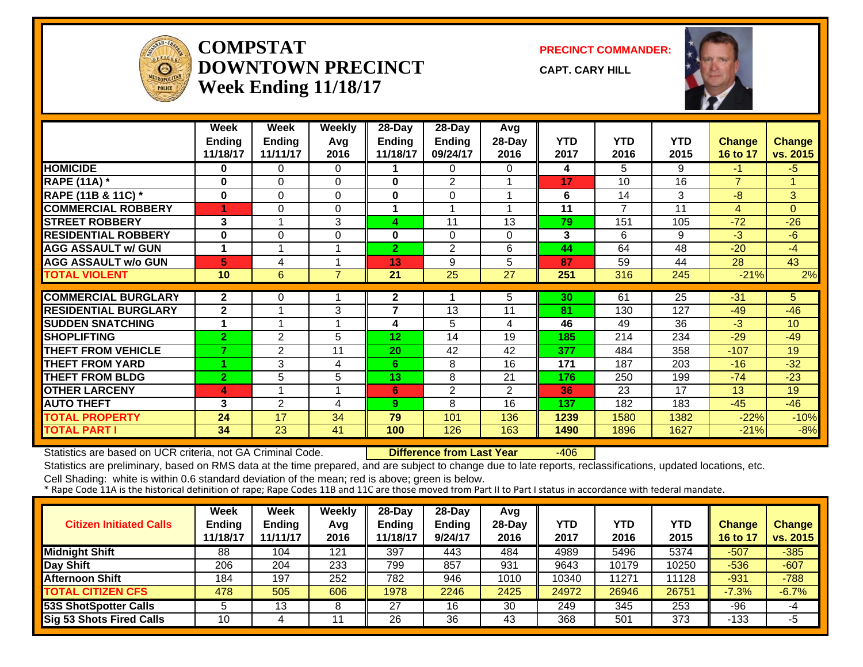

#### **COMPSTATDOWNTOWN PRECINCTWeek Ending 11/18/17**

**PRECINCT COMMANDER:**

**CAPT. CARY HILL**



|                             | Week           | Week           | <b>Weekly</b>  | 28-Day          | 28-Day                  | Avg      |            |                |      |                 |                |
|-----------------------------|----------------|----------------|----------------|-----------------|-------------------------|----------|------------|----------------|------|-----------------|----------------|
|                             | Ending         | <b>Ending</b>  | Avg            | Ending          | Ending                  | 28-Day   | <b>YTD</b> | <b>YTD</b>     | YTD  | <b>Change</b>   | Change         |
|                             | 11/18/17       | 11/11/17       | 2016           | 11/18/17        | 09/24/17                | 2016     | 2017       | 2016           | 2015 | <b>16 to 17</b> | vs. 2015       |
| <b>HOMICIDE</b>             | 0              | $\Omega$       | $\Omega$       |                 | $\Omega$                | 0        | 4          | 5              | 9    | $-1$            | $-5$           |
| <b>RAPE (11A) *</b>         | $\bf{0}$       | $\Omega$       | $\Omega$       | $\bf{0}$        | 2                       |          | 17         | 10             | 16   | $\overline{7}$  | 1              |
| RAPE (11B & 11C) *          | 0              | 0              | 0              | 0               | 0                       |          | 6          | 14             | 3    | $-8$            | 3 <sup>1</sup> |
| <b>COMMERCIAL ROBBERY</b>   |                | 0              | $\Omega$       |                 | $\overline{\mathbf{A}}$ |          | 11         | $\overline{7}$ | 11   | $\overline{4}$  | $\Omega$       |
| <b>STREET ROBBERY</b>       | 3              |                | 3              | 4               | 11                      | 13       | 79         | 151            | 105  | $-72$           | $-26$          |
| <b>RESIDENTIAL ROBBERY</b>  | $\bf{0}$       | $\Omega$       | 0              | $\bf{0}$        | $\Omega$                | $\Omega$ | 3          | 6              | 9    | $-3$            | $-6$           |
| <b>AGG ASSAULT w/ GUN</b>   |                |                |                | $\overline{2}$  | $\overline{2}$          | 6        | 44         | 64             | 48   | $-20$           | $-4$           |
| <b>AGG ASSAULT w/o GUN</b>  | 5              | 4              |                | 13              | 9                       | 5        | 87         | 59             | 44   | 28              | 43             |
| <b>TOTAL VIOLENT</b>        | 10             | 6              | $\overline{7}$ | 21              | 25                      | 27       | 251        | 316            | 245  | $-21%$          | 2%             |
| <b>COMMERCIAL BURGLARY</b>  | $\mathbf{2}$   |                |                |                 |                         |          |            |                |      |                 |                |
|                             |                | 0              |                | $\mathbf{2}$    |                         | 5        | 30         | 61             | 25   | $-31$           | 5              |
| <b>RESIDENTIAL BURGLARY</b> | $\mathbf{2}$   |                | 3              | 7               | 13                      | 11       | 81         | 130            | 127  | $-49$           | $-46$          |
| <b>SUDDEN SNATCHING</b>     |                |                |                | 4               | 5                       | 4        | 46         | 49             | 36   | $-3$            | 10             |
| <b>SHOPLIFTING</b>          | $\overline{2}$ | 2              | 5              | 12 <sub>2</sub> | 14                      | 19       | 185        | 214            | 234  | $-29$           | -49            |
| <b>THEFT FROM VEHICLE</b>   | 7              | $\overline{2}$ | 11             | 20              | 42                      | 42       | 377        | 484            | 358  | $-107$          | 19             |
| <b>THEFT FROM YARD</b>      |                | 3              | 4              | 6               | 8                       | 16       | 171        | 187            | 203  | $-16$           | $-32$          |
| <b>THEFT FROM BLDG</b>      | 2              | 5              | 5              | 13              | 8                       | 21       | 176        | 250            | 199  | $-74$           | $-23$          |
| <b>OTHER LARCENY</b>        | 4              |                |                | 6               | $\overline{2}$          | 2        | 36         | 23             | 17   | 13              | 19             |
| <b>AUTO THEFT</b>           | 3              | $\overline{2}$ | 4              | 9               | 8                       | 16       | 137        | 182            | 183  | $-45$           | $-46$          |
| <b>TOTAL PROPERTY</b>       | 24             | 17             | 34             | 79              | 101                     | 136      | 1239       | 1580           | 1382 | $-22%$          | $-10%$         |
| TOTAL PART I                | 34             | 23             | 41             | 100             | 126                     | 163      | 1490       | 1896           | 1627 | $-21%$          | $-8%$          |

Statistics are based on UCR criteria, not GA Criminal Code. **Difference from Last Year** -406

Statistics are preliminary, based on RMS data at the time prepared, and are subject to change due to late reports, reclassifications, updated locations, etc.

| <b>Citizen Initiated Calls</b>  | <b>Week</b><br><b>Ending</b><br>11/18/17 | Week<br><b>Ending</b><br>11/11/17 | Weekly<br>Avg<br>2016 | 28-Day<br><b>Ending</b><br>11/18/17 | $28-Dav$<br><b>Ending</b><br>9/24/17 | Avg<br>$28-Day$<br>2016 | <b>YTD</b><br>2017 | YTD<br>2016 | <b>YTD</b><br>2015 | <b>Change</b><br>16 to 17 | <b>Change</b><br>vs. 2015 |
|---------------------------------|------------------------------------------|-----------------------------------|-----------------------|-------------------------------------|--------------------------------------|-------------------------|--------------------|-------------|--------------------|---------------------------|---------------------------|
| <b>Midnight Shift</b>           | 88                                       | 104                               | 121                   | 397                                 | 443                                  | 484                     | 4989               | 5496        | 5374               | $-507$                    | $-385$                    |
| Day Shift                       | 206                                      | 204                               | 233                   | 799                                 | 857                                  | 931                     | 9643               | 10179       | 10250              | $-536$                    | $-607$                    |
| <b>Afternoon Shift</b>          | 184                                      | 197                               | 252                   | 782                                 | 946                                  | 1010                    | 10340              | 11271       | 11128              | -931                      | $-788$                    |
| <b>TOTAL CITIZEN CFS</b>        | 478                                      | 505                               | 606                   | 1978                                | 2246                                 | 2425                    | 24972              | 26946       | 26751              | $-7.3%$                   | $-6.7%$                   |
| <b>53S ShotSpotter Calls</b>    |                                          | 13                                |                       | 27                                  | 16                                   | 30                      | 249                | 345         | 253                | $-96$                     | -4                        |
| <b>Sig 53 Shots Fired Calls</b> | 10                                       |                                   |                       | 26                                  | 36                                   | 43                      | 368                | 501         | 373                | $-133$                    | -5                        |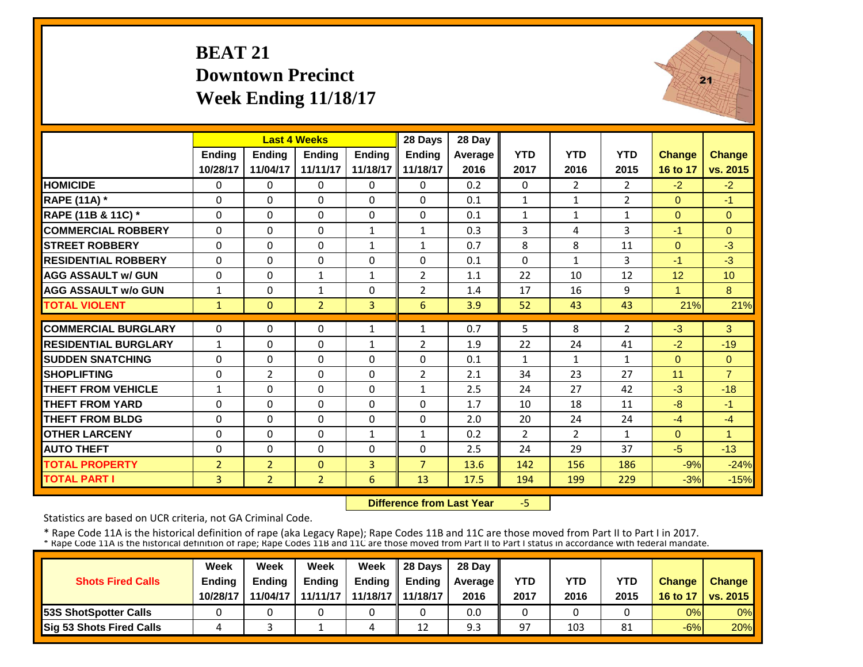# **BEAT 21 Downtown PrecinctWeek Ending 11/18/17**



|                             |                | <b>Last 4 Weeks</b> |                |               | 28 Days        | 28 Day  |                |                |                |                |                |
|-----------------------------|----------------|---------------------|----------------|---------------|----------------|---------|----------------|----------------|----------------|----------------|----------------|
|                             | Ending         | Ending              | <b>Ending</b>  | <b>Ending</b> | Ending         | Average | <b>YTD</b>     | <b>YTD</b>     | <b>YTD</b>     | <b>Change</b>  | <b>Change</b>  |
|                             | 10/28/17       | 11/04/17            | 11/11/17       | 11/18/17      | 11/18/17       | 2016    | 2017           | 2016           | 2015           | 16 to 17       | vs. 2015       |
| <b>HOMICIDE</b>             | $\Omega$       | $\Omega$            | $\Omega$       | $\Omega$      | $\Omega$       | 0.2     | $\Omega$       | $\overline{2}$ | $\overline{2}$ | $-2$           | $-2$           |
| <b>RAPE (11A) *</b>         | $\Omega$       | $\Omega$            | $\Omega$       | $\Omega$      | $\Omega$       | 0.1     | $\mathbf{1}$   | $\mathbf{1}$   | $\overline{2}$ | $\Omega$       | $-1$           |
| RAPE (11B & 11C) *          | $\Omega$       | 0                   | $\mathbf{0}$   | 0             | $\Omega$       | 0.1     | $\mathbf{1}$   | $\mathbf{1}$   | $\mathbf{1}$   | $\overline{0}$ | $\overline{0}$ |
| <b>COMMERCIAL ROBBERY</b>   | $\Omega$       | $\Omega$            | $\Omega$       | $\mathbf{1}$  | $\mathbf{1}$   | 0.3     | 3              | 4              | 3              | $-1$           | $\Omega$       |
| <b>STREET ROBBERY</b>       | 0              | 0                   | $\mathbf 0$    | $\mathbf{1}$  | $\mathbf{1}$   | 0.7     | 8              | 8              | 11             | $\mathbf{0}$   | $-3$           |
| <b>RESIDENTIAL ROBBERY</b>  | $\Omega$       | $\Omega$            | $\Omega$       | $\Omega$      | $\Omega$       | 0.1     | $\Omega$       | $\mathbf{1}$   | 3              | $-1$           | $-3$           |
| <b>AGG ASSAULT w/ GUN</b>   | $\Omega$       | $\Omega$            | $\mathbf{1}$   | $\mathbf{1}$  | $\overline{2}$ | 1.1     | 22             | 10             | 12             | 12             | 10             |
| <b>AGG ASSAULT w/o GUN</b>  | 1              | $\Omega$            | $\mathbf{1}$   | 0             | $\overline{2}$ | 1.4     | 17             | 16             | 9              | 1              | 8              |
| <b>TOTAL VIOLENT</b>        | $\mathbf{1}$   | $\Omega$            | 2 <sup>2</sup> | 3             | 6              | 3.9     | 52             | 43             | 43             | 21%            | 21%            |
| <b>COMMERCIAL BURGLARY</b>  | $\Omega$       | $\Omega$            | $\Omega$       | $\mathbf{1}$  | $\mathbf{1}$   | 0.7     | 5              | 8              | $\overline{2}$ | $-3$           | 3              |
| <b>RESIDENTIAL BURGLARY</b> | $\mathbf{1}$   | $\Omega$            | $\Omega$       | 1             | $\overline{2}$ | 1.9     | 22             | 24             | 41             | $-2$           | $-19$          |
| <b>ISUDDEN SNATCHING</b>    | $\Omega$       | $\Omega$            | $\Omega$       | $\Omega$      | $\Omega$       | 0.1     | $\mathbf{1}$   | $\mathbf{1}$   | $\mathbf{1}$   | $\Omega$       | $\Omega$       |
| <b>SHOPLIFTING</b>          | $\Omega$       | $\overline{2}$      | $\Omega$       | $\Omega$      | $\overline{2}$ | 2.1     | 34             | 23             | 27             | 11             | $\overline{7}$ |
| <b>THEFT FROM VEHICLE</b>   | 1              | $\Omega$            | $\Omega$       | $\Omega$      | 1              | 2.5     | 24             | 27             | 42             | $-3$           | $-18$          |
| <b>THEFT FROM YARD</b>      | $\Omega$       | $\Omega$            | $\Omega$       | $\Omega$      | $\Omega$       | 1.7     | 10             | 18             | 11             | -8             | $-1$           |
| <b>THEFT FROM BLDG</b>      | $\Omega$       | $\Omega$            | $\Omega$       | $\Omega$      | $\Omega$       | 2.0     | 20             | 24             | 24             | $-4$           | $-4$           |
| <b>OTHER LARCENY</b>        | $\Omega$       | $\Omega$            | $\Omega$       | 1             | $\mathbf{1}$   | 0.2     | $\overline{2}$ | $\overline{2}$ | 1              | $\Omega$       | $\overline{1}$ |
| <b>AUTO THEFT</b>           | $\Omega$       | $\Omega$            | $\Omega$       | 0             | $\Omega$       | 2.5     | 24             | 29             | 37             | $-5$           | $-13$          |
| <b>TOTAL PROPERTY</b>       | $\overline{2}$ | $\overline{2}$      | $\mathbf{0}$   | 3             | $\overline{7}$ | 13.6    | 142            | 156            | 186            | $-9%$          | $-24%$         |
| <b>TOTAL PART I</b>         | 3              | $\overline{2}$      | 2 <sup>1</sup> | 6             | 13             | 17.5    | 194            | 199            | 229            | $-3%$          | $-15%$         |
|                             |                |                     |                |               |                |         |                |                |                |                |                |

 **Difference from Last Year** $-5$ 

Statistics are based on UCR criteria, not GA Criminal Code.

|                               | Week          | Week          | Week          | Week                | $\parallel$ 28 Davs | 28 Day    |      |      |            |               |                     |
|-------------------------------|---------------|---------------|---------------|---------------------|---------------------|-----------|------|------|------------|---------------|---------------------|
| <b>Shots Fired Calls</b>      | <b>Ending</b> | <b>Ending</b> | <b>Ending</b> | <b>Ending</b>       | <b>Ending</b>       | Average I | YTD  | YTD  | <b>YTD</b> | <b>Change</b> | <b>Change</b>       |
|                               | 10/28/17      | 11/04/17      | 11/11/17      | 11/18/17   11/18/17 |                     | 2016      | 2017 | 2016 | 2015       |               | 16 to 17   vs. 2015 |
| <b>153S ShotSpotter Calls</b> |               |               |               |                     |                     | 0.0       |      |      |            | 0%            | $0\%$               |
| Sig 53 Shots Fired Calls      |               |               |               | 4                   | 12                  | 9.3       | 97   | 103  | 81         | $-6%$         | 20%                 |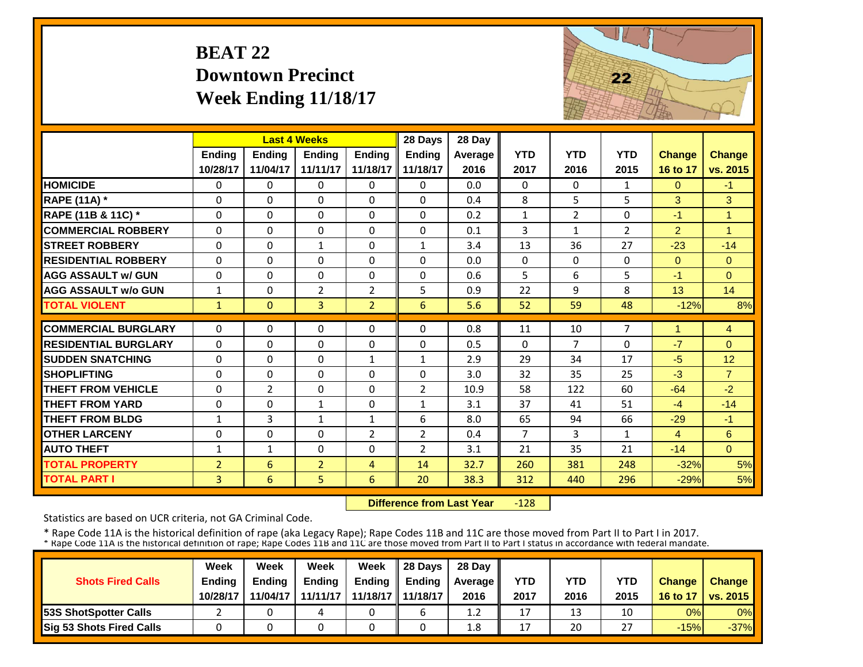# **BEAT 22 Downtown PrecinctWeek Ending 11/18/17**



|                             |                | <b>Last 4 Weeks</b> |                |                | 28 Days        | 28 Day  |                |                |              |                |                |
|-----------------------------|----------------|---------------------|----------------|----------------|----------------|---------|----------------|----------------|--------------|----------------|----------------|
|                             | <b>Ending</b>  | <b>Endina</b>       | <b>Ending</b>  | <b>Ending</b>  | <b>Ending</b>  | Average | <b>YTD</b>     | <b>YTD</b>     | <b>YTD</b>   | <b>Change</b>  | <b>Change</b>  |
|                             | 10/28/17       | 11/04/17            | 11/11/17       | 11/18/17       | 11/18/17       | 2016    | 2017           | 2016           | 2015         | 16 to 17       | vs. 2015       |
| <b>HOMICIDE</b>             | $\Omega$       | 0                   | $\Omega$       | $\Omega$       | $\Omega$       | 0.0     | $\Omega$       | $\Omega$       | $\mathbf{1}$ | $\Omega$       | $-1$           |
| <b>RAPE (11A) *</b>         | $\Omega$       | 0                   | $\Omega$       | $\Omega$       | $\Omega$       | 0.4     | 8              | 5              | 5            | 3              | 3              |
| RAPE (11B & 11C) *          | $\Omega$       | 0                   | $\Omega$       | $\Omega$       | $\Omega$       | 0.2     | $\mathbf{1}$   | $\overline{2}$ | 0            | $-1$           | $\mathbf{1}$   |
| <b>COMMERCIAL ROBBERY</b>   | $\Omega$       | $\Omega$            | $\Omega$       | $\Omega$       | $\Omega$       | 0.1     | 3              | $\mathbf{1}$   | 2            | $\overline{2}$ | $\overline{1}$ |
| <b>STREET ROBBERY</b>       | $\mathbf 0$    | 0                   | $\mathbf{1}$   | $\Omega$       | $\mathbf{1}$   | 3.4     | 13             | 36             | 27           | $-23$          | $-14$          |
| <b>RESIDENTIAL ROBBERY</b>  | $\Omega$       | 0                   | $\Omega$       | $\Omega$       | 0              | 0.0     | $\Omega$       | $\Omega$       | 0            | $\Omega$       | $\Omega$       |
| <b>AGG ASSAULT w/ GUN</b>   | $\Omega$       | $\Omega$            | $\Omega$       | $\Omega$       | $\Omega$       | 0.6     | 5              | 6              | 5            | $-1$           | $\Omega$       |
| <b>AGG ASSAULT w/o GUN</b>  | $\mathbf{1}$   | 0                   | $\overline{2}$ | $\overline{2}$ | 5              | 0.9     | 22             | 9              | 8            | 13             | 14             |
| <b>TOTAL VIOLENT</b>        | $\mathbf{1}$   | $\Omega$            | $\overline{3}$ | $\overline{2}$ | 6              | 5.6     | 52             | 59             | 48           | $-12%$         | 8%             |
| <b>COMMERCIAL BURGLARY</b>  | $\Omega$       | 0                   | 0              | 0              | 0              | 0.8     | 11             | 10             | 7            | 1              | 4              |
| <b>RESIDENTIAL BURGLARY</b> | $\Omega$       | 0                   | $\Omega$       | $\Omega$       | $\Omega$       | 0.5     | $\Omega$       | $\overline{7}$ | 0            | $-7$           | $\Omega$       |
| <b>SUDDEN SNATCHING</b>     | $\Omega$       | 0                   | 0              | $\mathbf{1}$   | $\mathbf{1}$   | 2.9     | 29             | 34             | 17           | $-5$           | 12             |
| <b>SHOPLIFTING</b>          | $\Omega$       | $\Omega$            | 0              | $\Omega$       | $\Omega$       | 3.0     | 32             | 35             | 25           | $-3$           | $\overline{7}$ |
| <b>THEFT FROM VEHICLE</b>   | $\Omega$       | $\overline{2}$      | $\Omega$       | $\Omega$       | $\overline{2}$ | 10.9    | 58             | 122            | 60           | $-64$          | $-2$           |
| <b>THEFT FROM YARD</b>      | $\Omega$       | 0                   | 1              | $\Omega$       | $\mathbf{1}$   | 3.1     | 37             | 41             | 51           | $-4$           | $-14$          |
| <b>THEFT FROM BLDG</b>      | $\mathbf{1}$   | 3                   | $\mathbf{1}$   | $\mathbf{1}$   | 6              | 8.0     | 65             | 94             | 66           | $-29$          | $-1$           |
| <b>OTHER LARCENY</b>        | $\Omega$       | 0                   | $\Omega$       | $\overline{2}$ | $\overline{2}$ | 0.4     | $\overline{7}$ | 3              | $\mathbf{1}$ | $\overline{4}$ | 6              |
| <b>AUTO THEFT</b>           | $\mathbf{1}$   | $\mathbf{1}$        | $\Omega$       | $\Omega$       | $\overline{2}$ | 3.1     | 21             | 35             | 21           | $-14$          | $\Omega$       |
| <b>TOTAL PROPERTY</b>       | $\overline{2}$ | 6                   | $\overline{2}$ | 4              | 14             | 32.7    | 260            | 381            | 248          | $-32%$         | 5%             |
| <b>TOTAL PART I</b>         | 3              | 6                   | 5              | 6              | 20             | 38.3    | 312            | 440            | 296          | $-29%$         | 5%             |

 **Difference from Last Year** $-128$ 

Statistics are based on UCR criteria, not GA Criminal Code.

|                               | Week     | Week     | Week          | Week                | Il 28 Davs    | 28 Day         |      |      |               |               |                 |
|-------------------------------|----------|----------|---------------|---------------------|---------------|----------------|------|------|---------------|---------------|-----------------|
| <b>Shots Fired Calls</b>      | Ending   | Ending   | <b>Ending</b> | <b>Ending</b>       | <b>Ending</b> | <b>Average</b> | YTD  | YTD  | YTD           | <b>Change</b> | <b>Change</b>   |
|                               | 10/28/17 | 11/04/17 | 11/11/17      | 11/18/17   11/18/17 |               | 2016           | 2017 | 2016 | 2015          | 16 to 17      | <b>vs. 2015</b> |
| <b>153S ShotSpotter Calls</b> |          |          |               |                     |               | 1.2            | 17   | 13   | 10            | 0%            | 0%              |
| Sig 53 Shots Fired Calls      |          |          |               |                     |               | 1.8            | 17   | 20   | $\sim$<br>، ے | $-15%$        | $-37%$          |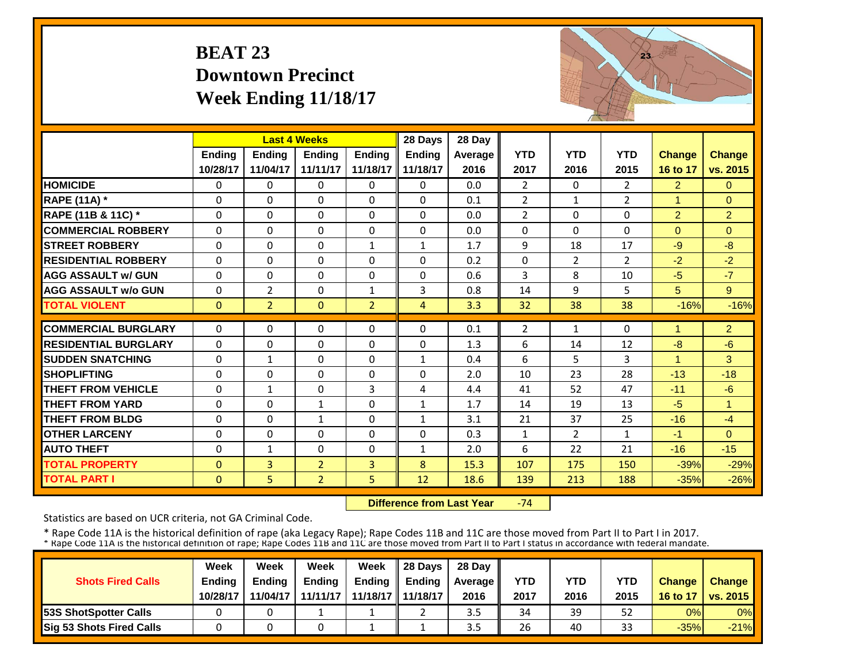## **BEAT 23 Downtown PrecinctWeek Ending 11/18/17**



|                             |              | <b>Last 4 Weeks</b> |                |                | 28 Days        | 28 Day  |                |                |                |                |                |
|-----------------------------|--------------|---------------------|----------------|----------------|----------------|---------|----------------|----------------|----------------|----------------|----------------|
|                             | Ending       | <b>Ending</b>       | <b>Endina</b>  | <b>Ending</b>  | <b>Endina</b>  | Average | <b>YTD</b>     | <b>YTD</b>     | <b>YTD</b>     | <b>Change</b>  | <b>Change</b>  |
|                             | 10/28/17     | 11/04/17            | 11/11/17       | 11/18/17       | 11/18/17       | 2016    | 2017           | 2016           | 2015           | 16 to 17       | vs. 2015       |
| <b>HOMICIDE</b>             | 0            | $\Omega$            | 0              | $\Omega$       | 0              | 0.0     | $\overline{2}$ | $\Omega$       | $\overline{2}$ | $\overline{2}$ | $\Omega$       |
| <b>RAPE (11A) *</b>         | $\Omega$     | $\Omega$            | $\Omega$       | $\Omega$       | $\Omega$       | 0.1     | $\overline{2}$ | $\mathbf{1}$   | $\overline{2}$ | 1              | $\Omega$       |
| RAPE (11B & 11C) *          | 0            | $\Omega$            | $\Omega$       | $\Omega$       | $\Omega$       | 0.0     | $\overline{2}$ | $\Omega$       | 0              | $\overline{2}$ | $\overline{2}$ |
| <b>COMMERCIAL ROBBERY</b>   | $\Omega$     | $\Omega$            | $\Omega$       | $\Omega$       | $\Omega$       | 0.0     | $\Omega$       | $\Omega$       | $\Omega$       | $\Omega$       | $\Omega$       |
| <b>STREET ROBBERY</b>       | $\Omega$     | $\Omega$            | $\Omega$       | $\mathbf{1}$   | $\mathbf{1}$   | 1.7     | 9              | 18             | 17             | $-9$           | $-8$           |
| <b>RESIDENTIAL ROBBERY</b>  | $\Omega$     | $\Omega$            | $\Omega$       | $\Omega$       | $\Omega$       | 0.2     | $\Omega$       | $\overline{2}$ | $\overline{2}$ | $-2$           | $-2$           |
| <b>AGG ASSAULT w/ GUN</b>   | $\Omega$     | $\Omega$            | $\Omega$       | $\Omega$       | $\Omega$       | 0.6     | 3              | 8              | 10             | $-5$           | $-7$           |
| <b>AGG ASSAULT w/o GUN</b>  | 0            | $\overline{2}$      | 0              | $\mathbf{1}$   | 3              | 0.8     | 14             | 9              | 5              | 5              | 9              |
| <b>TOTAL VIOLENT</b>        | $\mathbf{0}$ | $\overline{2}$      | $\Omega$       | $\overline{2}$ | $\overline{4}$ | 3.3     | 32             | 38             | 38             | $-16%$         | $-16%$         |
| <b>COMMERCIAL BURGLARY</b>  | $\Omega$     | $\Omega$            | $\Omega$       | $\Omega$       | 0              | 0.1     | 2              | $\mathbf{1}$   | 0              |                | $\overline{2}$ |
| <b>RESIDENTIAL BURGLARY</b> | $\Omega$     | $\Omega$            | $\Omega$       | 0              | 0              | 1.3     | 6              | 14             | 12             | $-8$           | $-6$           |
| <b>SUDDEN SNATCHING</b>     | 0            | $\mathbf{1}$        | $\Omega$       | $\Omega$       | 1              | 0.4     | 6              | 5.             | 3              |                | 3              |
| <b>SHOPLIFTING</b>          | $\Omega$     | $\Omega$            | $\Omega$       | $\mathbf{0}$   | 0              | 2.0     | 10             | 23             | 28             | $-13$          | $-18$          |
| <b>THEFT FROM VEHICLE</b>   | $\Omega$     | $\mathbf{1}$        | $\Omega$       | 3              | 4              | 4.4     | 41             | 52             | 47             | $-11$          | $-6$           |
| <b>THEFT FROM YARD</b>      | $\Omega$     | $\Omega$            | 1              | $\Omega$       | $\mathbf{1}$   | 1.7     | 14             | 19             | 13             | $-5$           | $\mathbf{1}$   |
| <b>THEFT FROM BLDG</b>      | $\Omega$     | $\Omega$            | $\mathbf{1}$   | $\Omega$       | $\mathbf{1}$   | 3.1     | 21             | 37             | 25             | $-16$          | $-4$           |
| <b>OTHER LARCENY</b>        | 0            | $\Omega$            | $\Omega$       | $\Omega$       | $\Omega$       | 0.3     | $\mathbf{1}$   | $\overline{2}$ | $\mathbf{1}$   | $-1$           | $\Omega$       |
| <b>AUTO THEFT</b>           | 0            | $\mathbf{1}$        | $\Omega$       | $\Omega$       | $\mathbf{1}$   | 2.0     | 6              | 22             | 21             | $-16$          | $-15$          |
| <b>TOTAL PROPERTY</b>       | $\mathbf{0}$ | $\overline{3}$      | $\overline{2}$ | 3              | 8              | 15.3    | 107            | 175            | 150            | $-39%$         | $-29%$         |
| <b>TOTAL PART I</b>         | $\mathbf{0}$ | 5                   | $\overline{2}$ | 5              | 12             | 18.6    | 139            | 213            | 188            | $-35%$         | $-26%$         |

 **Difference from Last Year**‐74

Statistics are based on UCR criteria, not GA Criminal Code.

|                               | Week     | Week          | Week          | Week                | $\parallel$ 28 Davs | 28 Day    |      |      |      |               |                     |
|-------------------------------|----------|---------------|---------------|---------------------|---------------------|-----------|------|------|------|---------------|---------------------|
| <b>Shots Fired Calls</b>      | Ending   | <b>Ending</b> | <b>Ending</b> | <b>Ending</b>       | <b>Ending</b>       | Average I | YTD  | YTD  | YTD  | <b>Change</b> | <b>Change</b>       |
|                               | 10/28/17 | 11/04/17      | 11/11/17      | 11/18/17   11/18/17 |                     | 2016      | 2017 | 2016 | 2015 |               | 16 to 17   vs. 2015 |
| <b>153S ShotSpotter Calls</b> |          |               |               |                     |                     | 3.5       | 34   | 39   | 52   | 0%            | $0\%$               |
| Sig 53 Shots Fired Calls      |          |               |               |                     |                     | ں د       | 26   | 40   | 33   | $-35%$        | $-21%$              |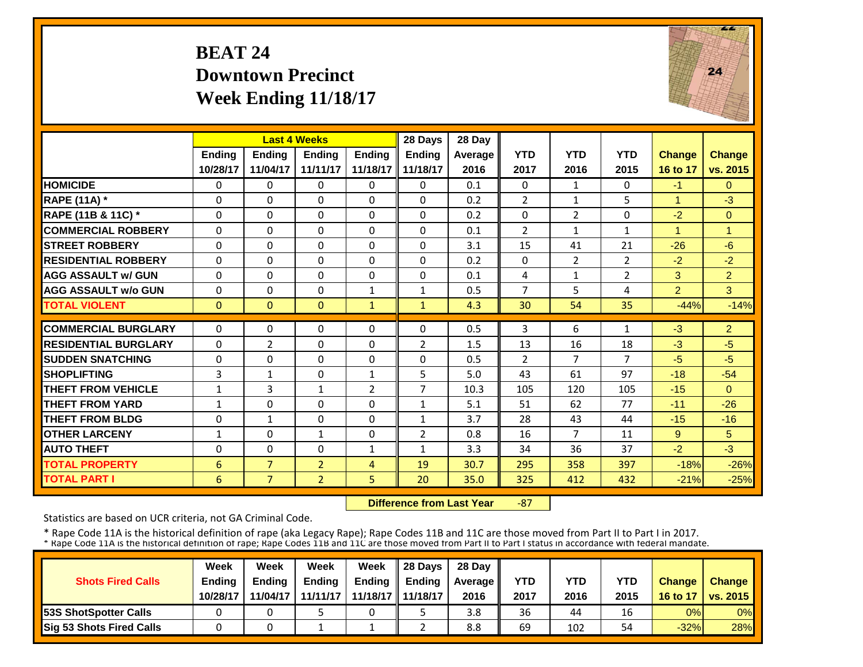## **BEAT 24 Downtown PrecinctWeek Ending 11/18/17**



|                             |               | <b>Last 4 Weeks</b> |                |                | 28 Days        | 28 Day  |                |                |                |                |                |
|-----------------------------|---------------|---------------------|----------------|----------------|----------------|---------|----------------|----------------|----------------|----------------|----------------|
|                             | <b>Ending</b> | <b>Ending</b>       | <b>Endina</b>  | <b>Endina</b>  | <b>Endina</b>  | Average | <b>YTD</b>     | <b>YTD</b>     | <b>YTD</b>     | <b>Change</b>  | Change         |
|                             | 10/28/17      | 11/04/17            | 11/11/17       | 11/18/17       | 11/18/17       | 2016    | 2017           | 2016           | 2015           | 16 to 17       | vs. 2015       |
| <b>HOMICIDE</b>             | 0             | $\Omega$            | $\mathbf{0}$   | 0              | 0              | 0.1     | $\Omega$       | $\mathbf{1}$   | 0              | $-1$           | $\Omega$       |
| <b>RAPE (11A) *</b>         | $\Omega$      | $\Omega$            | $\Omega$       | 0              | $\Omega$       | 0.2     | $\overline{2}$ | 1              | 5              | 1              | $-3$           |
| RAPE (11B & 11C) *          | $\Omega$      | $\Omega$            | $\Omega$       | $\Omega$       | $\Omega$       | 0.2     | $\Omega$       | $\overline{2}$ | 0              | $-2$           | $\Omega$       |
| <b>COMMERCIAL ROBBERY</b>   | $\Omega$      | $\Omega$            | $\Omega$       | $\Omega$       | $\Omega$       | 0.1     | $\overline{2}$ | $\mathbf{1}$   | $\mathbf{1}$   | 4              | $\overline{1}$ |
| <b>STREET ROBBERY</b>       | $\Omega$      | $\Omega$            | $\Omega$       | $\Omega$       | $\Omega$       | 3.1     | 15             | 41             | 21             | $-26$          | $-6$           |
| <b>RESIDENTIAL ROBBERY</b>  | $\Omega$      | $\Omega$            | $\Omega$       | $\Omega$       | $\Omega$       | 0.2     | $\Omega$       | $\overline{2}$ | $\overline{2}$ | $-2$           | $-2$           |
| <b>AGG ASSAULT w/ GUN</b>   | $\Omega$      | $\Omega$            | $\Omega$       | 0              | $\Omega$       | 0.1     | 4              | 1              | $\overline{2}$ | 3              | $\overline{2}$ |
| <b>AGG ASSAULT w/o GUN</b>  | $\Omega$      | $\Omega$            | $\Omega$       | 1              | $\mathbf{1}$   | 0.5     | $\overline{7}$ | 5.             | 4              | $\overline{2}$ | 3              |
| <b>TOTAL VIOLENT</b>        | $\Omega$      | $\Omega$            | $\Omega$       | $\mathbf{1}$   | $\mathbf{1}$   | 4.3     | 30             | 54             | 35             | $-44%$         | $-14%$         |
| <b>COMMERCIAL BURGLARY</b>  | $\Omega$      | 0                   | 0              | 0              | 0              | 0.5     | 3              | 6.             | 1              | $-3$           | $\overline{2}$ |
| <b>RESIDENTIAL BURGLARY</b> |               |                     |                | $\Omega$       |                |         |                |                |                |                | $-5$           |
|                             | $\Omega$      | 2                   | $\Omega$       |                | $\overline{2}$ | 1.5     | 13             | 16             | 18             | $-3$           |                |
| <b>SUDDEN SNATCHING</b>     | $\Omega$      | $\Omega$            | $\Omega$       | 0              | $\Omega$       | 0.5     | 2              | 7              | $\overline{7}$ | $-5$           | $-5$           |
| <b>SHOPLIFTING</b>          | 3             | $\mathbf{1}$        | $\Omega$       | 1              | 5              | 5.0     | 43             | 61             | 97             | $-18$          | $-54$          |
| <b>THEFT FROM VEHICLE</b>   | 1             | 3                   | 1              | 2              | $\overline{7}$ | 10.3    | 105            | 120            | 105            | $-15$          | $\Omega$       |
| <b>THEFT FROM YARD</b>      | $\mathbf{1}$  | $\Omega$            | $\Omega$       | $\Omega$       | $\mathbf{1}$   | 5.1     | 51             | 62             | 77             | $-11$          | $-26$          |
| <b>THEFT FROM BLDG</b>      | $\Omega$      | $\mathbf{1}$        | $\Omega$       | $\Omega$       | $\mathbf{1}$   | 3.7     | 28             | 43             | 44             | $-15$          | $-16$          |
| <b>OTHER LARCENY</b>        | $\mathbf{1}$  | $\Omega$            | $\mathbf{1}$   | $\Omega$       | $\overline{2}$ | 0.8     | 16             | $\overline{7}$ | 11             | 9              | 5              |
| <b>AUTO THEFT</b>           | 0             | $\Omega$            | $\Omega$       | $\mathbf{1}$   | $\mathbf{1}$   | 3.3     | 34             | 36             | 37             | $-2$           | $-3$           |
| <b>TOTAL PROPERTY</b>       | 6             | $\overline{7}$      | $\overline{2}$ | $\overline{4}$ | 19             | 30.7    | 295            | 358            | 397            | $-18%$         | $-26%$         |
| <b>TOTAL PART I</b>         | 6             | $\overline{7}$      | $\overline{2}$ | 5              | 20             | 35.0    | 325            | 412            | 432            | $-21%$         | $-25%$         |

 **Difference from Last Year** $-87$ 

Statistics are based on UCR criteria, not GA Criminal Code.

|                               | Week     | Week          | Week          | Week                | $\parallel$ 28 Davs | 28 Day    |      |      |      |               |                     |
|-------------------------------|----------|---------------|---------------|---------------------|---------------------|-----------|------|------|------|---------------|---------------------|
| <b>Shots Fired Calls</b>      | Ending   | <b>Ending</b> | <b>Ending</b> | <b>Ending</b>       | <b>Ending</b>       | Average I | YTD  | YTD  | YTD  | <b>Change</b> | <b>Change</b>       |
|                               | 10/28/17 | 11/04/17      | 11/11/17      | 11/18/17   11/18/17 |                     | 2016      | 2017 | 2016 | 2015 |               | 16 to 17   vs. 2015 |
| <b>153S ShotSpotter Calls</b> |          |               |               |                     |                     | 3.8       | 36   | 44   | 16   | 0%            | $0\%$               |
| Sig 53 Shots Fired Calls      |          |               |               |                     |                     | 8.8       | 69   | 102  | 54   | $-32%$        | 28%                 |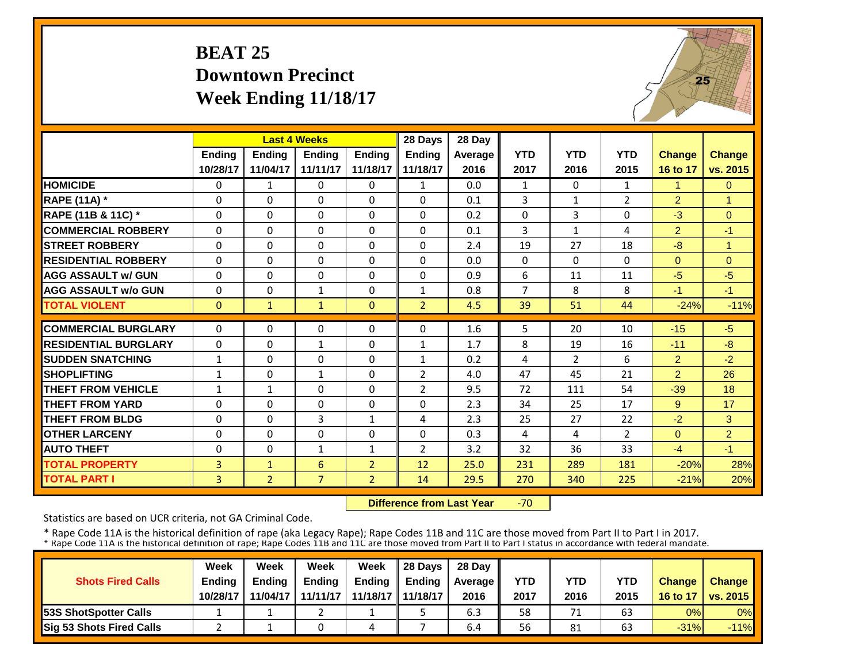# **BEAT 25 Downtown PrecinctWeek Ending 11/18/17**



|                             |              | <b>Last 4 Weeks</b> |                |                | 28 Days        | 28 Day  |                |                |                |                |                |
|-----------------------------|--------------|---------------------|----------------|----------------|----------------|---------|----------------|----------------|----------------|----------------|----------------|
|                             | Ending       | Ending              | <b>Endina</b>  | <b>Endina</b>  | <b>Ending</b>  | Average | <b>YTD</b>     | <b>YTD</b>     | <b>YTD</b>     | <b>Change</b>  | <b>Change</b>  |
|                             | 10/28/17     | 11/04/17            | 11/11/17       | 11/18/17       | 11/18/17       | 2016    | 2017           | 2016           | 2015           | 16 to 17       | vs. 2015       |
| <b>HOMICIDE</b>             | $\mathbf{0}$ | $\mathbf{1}$        | 0              | $\Omega$       | $\mathbf{1}$   | 0.0     | $\mathbf{1}$   | $\Omega$       | $\mathbf{1}$   | 1              | $\Omega$       |
| <b>RAPE (11A) *</b>         | $\Omega$     | $\Omega$            | $\Omega$       | $\Omega$       | $\Omega$       | 0.1     | 3              | $\mathbf{1}$   | $\overline{2}$ | $\overline{2}$ | 1              |
| RAPE (11B & 11C) *          | $\Omega$     | $\Omega$            | $\Omega$       | $\Omega$       | $\Omega$       | 0.2     | $\Omega$       | 3              | 0              | $-3$           | $\Omega$       |
| <b>COMMERCIAL ROBBERY</b>   | $\mathbf{0}$ | $\Omega$            | $\Omega$       | $\Omega$       | 0              | 0.1     | 3              | $\mathbf{1}$   | 4              | $\overline{2}$ | $-1$           |
| <b>STREET ROBBERY</b>       | $\Omega$     | $\Omega$            | $\Omega$       | $\Omega$       | $\Omega$       | 2.4     | 19             | 27             | 18             | $-8$           | $\overline{1}$ |
| <b>RESIDENTIAL ROBBERY</b>  | $\Omega$     | $\Omega$            | $\Omega$       | $\Omega$       | $\Omega$       | 0.0     | $\Omega$       | $\Omega$       | 0              | $\Omega$       | $\Omega$       |
| <b>AGG ASSAULT w/ GUN</b>   | $\Omega$     | $\Omega$            | $\Omega$       | $\Omega$       | $\Omega$       | 0.9     | 6              | 11             | 11             | $-5$           | $-5$           |
| <b>AGG ASSAULT w/o GUN</b>  | $\Omega$     | $\Omega$            | 1              | $\Omega$       | $\mathbf{1}$   | 0.8     | $\overline{7}$ | 8              | 8              | $-1$           | $-1$           |
| <b>TOTAL VIOLENT</b>        | $\mathbf{0}$ | $\mathbf{1}$        | $\mathbf{1}$   | $\Omega$       | $\overline{2}$ | 4.5     | 39             | 51             | 44             | $-24%$         | $-11%$         |
| <b>COMMERCIAL BURGLARY</b>  | $\Omega$     | $\Omega$            | 0              | 0              | 0              | 1.6     | 5              | 20             | 10             | $-15$          | $-5$           |
| <b>RESIDENTIAL BURGLARY</b> | $\mathbf 0$  | $\Omega$            | $\mathbf{1}$   | 0              | 1              | 1.7     | 8              | 19             | 16             | $-11$          | $-8$           |
| <b>ISUDDEN SNATCHING</b>    | $\mathbf{1}$ | $\Omega$            | $\Omega$       | 0              | $\mathbf{1}$   | 0.2     | 4              | $\overline{2}$ | 6              | $\overline{2}$ | $-2$           |
| <b>SHOPLIFTING</b>          | $\mathbf{1}$ | $\Omega$            | 1              | $\Omega$       | $\overline{2}$ | 4.0     | 47             | 45             | 21             | $\overline{2}$ | 26             |
| <b>THEFT FROM VEHICLE</b>   | $\mathbf{1}$ | $\mathbf{1}$        | $\Omega$       | $\Omega$       | $\overline{2}$ | 9.5     | 72             | 111            | 54             | $-39$          | 18             |
| <b>THEFT FROM YARD</b>      | $\Omega$     | $\Omega$            | $\Omega$       | $\Omega$       | 0              | 2.3     | 34             | 25             | 17             | 9              | 17             |
| <b>THEFT FROM BLDG</b>      | 0            | $\Omega$            | 3              | $\mathbf{1}$   | 4              | 2.3     | 25             | 27             | 22             | $-2$           | 3              |
| <b>OTHER LARCENY</b>        | 0            | $\Omega$            | $\Omega$       | 0              | 0              | 0.3     | 4              | 4              | $\overline{2}$ | $\Omega$       | $\overline{2}$ |
| <b>AUTO THEFT</b>           | $\Omega$     | $\Omega$            | $\mathbf{1}$   | 1              | $\overline{2}$ | 3.2     | 32             | 36             | 33             | $-4$           | $-1$           |
| <b>TOTAL PROPERTY</b>       | 3            | $\mathbf{1}$        | 6              | $\overline{2}$ | 12             | 25.0    | 231            | 289            | 181            | $-20%$         | 28%            |
| <b>TOTAL PART I</b>         | 3            | $\overline{2}$      | $\overline{7}$ | $\overline{2}$ | 14             | 29.5    | 270            | 340            | 225            | $-21%$         | 20%            |

 **Difference from Last Year**‐70

Statistics are based on UCR criteria, not GA Criminal Code.

|                               | Week     | Week          | Week          | Week                | $\parallel$ 28 Davs | 28 Day    |      |      |      |               |                     |
|-------------------------------|----------|---------------|---------------|---------------------|---------------------|-----------|------|------|------|---------------|---------------------|
| <b>Shots Fired Calls</b>      | Ending   | <b>Ending</b> | <b>Ending</b> | <b>Ending</b>       | <b>Ending</b>       | Average I | YTD  | YTD  | YTD  | <b>Change</b> | <b>Change</b>       |
|                               | 10/28/17 | 11/04/17      | 11/11/17      | 11/18/17   11/18/17 |                     | 2016      | 2017 | 2016 | 2015 |               | 16 to 17   vs. 2015 |
| <b>153S ShotSpotter Calls</b> |          |               |               |                     |                     | 6.3       | 58   | 71   | 63   | 0%            | $0\%$               |
| Sig 53 Shots Fired Calls      |          |               |               | 4                   |                     | 6.4       | 56   | 81   | 63   | $-31%$        | $-11%$              |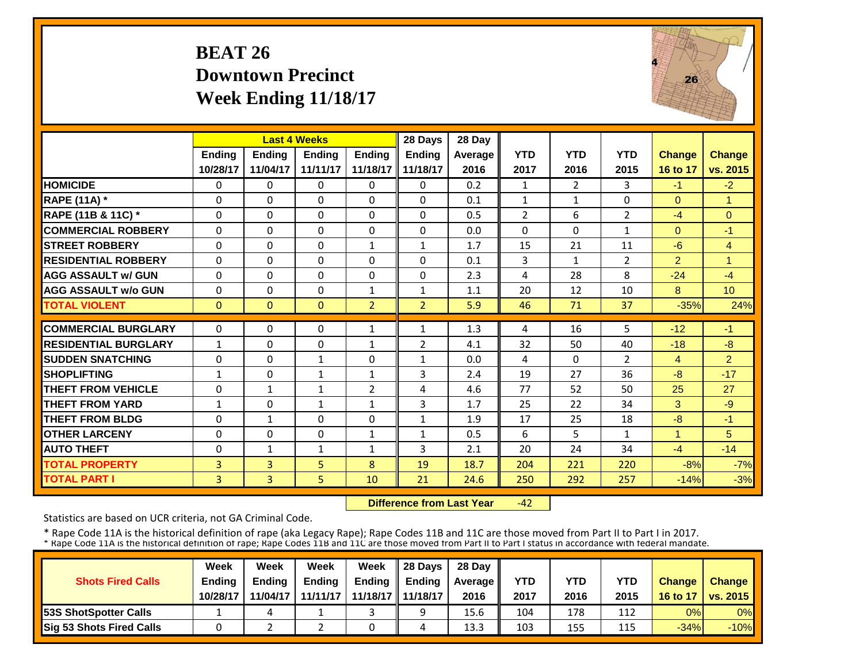#### **BEAT 26 Downtown PrecinctWeek Ending 11/18/17**



|                             |               | <b>Last 4 Weeks</b> |               |                | 28 Days        | 28 Day  |                |                |                |                |                |
|-----------------------------|---------------|---------------------|---------------|----------------|----------------|---------|----------------|----------------|----------------|----------------|----------------|
|                             | <b>Ending</b> | <b>Endina</b>       | <b>Endina</b> | <b>Endina</b>  | <b>Endina</b>  | Average | <b>YTD</b>     | <b>YTD</b>     | <b>YTD</b>     | <b>Change</b>  | <b>Change</b>  |
|                             | 10/28/17      | 11/04/17            | 11/11/17      | 11/18/17       | 11/18/17       | 2016    | 2017           | 2016           | 2015           | 16 to 17       | vs. 2015       |
| <b>HOMICIDE</b>             | $\Omega$      | $\Omega$            | $\Omega$      | $\Omega$       | 0              | 0.2     | $\mathbf{1}$   | $\overline{2}$ | 3              | $-1$           | $-2$           |
| <b>RAPE (11A) *</b>         | $\Omega$      | $\Omega$            | $\Omega$      | $\Omega$       | $\Omega$       | 0.1     | $\mathbf{1}$   | $\mathbf{1}$   | $\Omega$       | $\Omega$       | $\overline{1}$ |
| RAPE (11B & 11C) *          | $\mathbf{0}$  | $\Omega$            | $\Omega$      | $\Omega$       | 0              | 0.5     | $\overline{2}$ | 6              | $\overline{2}$ | $-4$           | $\Omega$       |
| <b>COMMERCIAL ROBBERY</b>   | $\Omega$      | $\Omega$            | $\Omega$      | $\Omega$       | $\Omega$       | 0.0     | $\Omega$       | $\Omega$       | 1              | $\Omega$       | $-1$           |
| <b>STREET ROBBERY</b>       | $\Omega$      | $\Omega$            | $\Omega$      | $\mathbf{1}$   | 1              | 1.7     | 15             | 21             | 11             | $-6$           | $\overline{4}$ |
| <b>RESIDENTIAL ROBBERY</b>  | $\Omega$      | $\Omega$            | $\Omega$      | 0              | 0              | 0.1     | 3              | 1              | 2              | $\overline{2}$ | 1              |
| <b>AGG ASSAULT w/ GUN</b>   | $\Omega$      | $\Omega$            | $\Omega$      | 0              | $\Omega$       | 2.3     | 4              | 28             | 8              | $-24$          | $-4$           |
| <b>AGG ASSAULT w/o GUN</b>  | 0             | $\Omega$            | $\Omega$      | $\mathbf{1}$   | $\mathbf{1}$   | 1.1     | 20             | 12             | 10             | 8              | 10             |
| <b>TOTAL VIOLENT</b>        | $\mathbf{0}$  | $\mathbf{0}$        | $\Omega$      | $\overline{2}$ | $\overline{2}$ | 5.9     | 46             | 71             | 37             | $-35%$         | 24%            |
| <b>COMMERCIAL BURGLARY</b>  | $\Omega$      | $\Omega$            | $\Omega$      | $\mathbf{1}$   |                | 1.3     |                | 16             | 5              | $-12$          | $-1$           |
|                             |               |                     |               |                | $\mathbf{1}$   |         | 4              |                |                |                |                |
| <b>RESIDENTIAL BURGLARY</b> | $\mathbf{1}$  | $\Omega$            | $\Omega$      | $\mathbf{1}$   | $\overline{2}$ | 4.1     | 32             | 50             | 40             | $-18$          | $-8$           |
| <b>SUDDEN SNATCHING</b>     | 0             | $\Omega$            | 1             | 0              | $\mathbf{1}$   | 0.0     | 4              | $\Omega$       | $\overline{2}$ | $\overline{4}$ | $\overline{2}$ |
| <b>SHOPLIFTING</b>          | 1             | $\Omega$            | $\mathbf{1}$  | $\mathbf{1}$   | 3              | 2.4     | 19             | 27             | 36             | $-8$           | $-17$          |
| <b>THEFT FROM VEHICLE</b>   | 0             | 1                   | 1             | 2              | 4              | 4.6     | 77             | 52             | 50             | 25             | 27             |
| <b>THEFT FROM YARD</b>      | $\mathbf{1}$  | 0                   | 1             | 1              | 3              | 1.7     | 25             | 22             | 34             | 3              | $-9$           |
| <b>THEFT FROM BLDG</b>      | $\Omega$      | $\mathbf{1}$        | 0             | $\Omega$       | $\mathbf{1}$   | 1.9     | 17             | 25             | 18             | -8             | $-1$           |
| <b>OTHER LARCENY</b>        | $\Omega$      | $\Omega$            | $\Omega$      | $\mathbf{1}$   | $\mathbf{1}$   | 0.5     | 6              | 5.             | $\mathbf{1}$   | 1              | 5              |
| <b>AUTO THEFT</b>           | 0             | 1                   | 1             | $\mathbf{1}$   | 3              | 2.1     | 20             | 24             | 34             | $-4$           | $-14$          |
| <b>TOTAL PROPERTY</b>       | 3             | 3                   | 5.            | 8              | 19             | 18.7    | 204            | 221            | 220            | $-8%$          | $-7%$          |
| <b>TOTAL PART I</b>         | 3             | $\overline{3}$      | 5             | 10             | 21             | 24.6    | 250            | 292            | 257            | $-14%$         | $-3%$          |

 **Difference from Last Year** $-42$ 

Statistics are based on UCR criteria, not GA Criminal Code.

|                               | Week     | Week          | Week          | Week                | 28 Davs       | 28 Day    |      |      |      |               |                       |
|-------------------------------|----------|---------------|---------------|---------------------|---------------|-----------|------|------|------|---------------|-----------------------|
| <b>Shots Fired Calls</b>      | Ending   | <b>Ending</b> | <b>Ending</b> | <b>Ending</b>       | <b>Ending</b> | Average I | YTD  | YTD  | YTD  | <b>Change</b> | <b>Change</b>         |
|                               | 10/28/17 | 11/04/17      | 11/11/17      | 11/18/17   11/18/17 |               | 2016      | 2017 | 2016 | 2015 | 16 to 17      | <b>O</b> I vs. 2015 I |
| <b>153S ShotSpotter Calls</b> |          |               |               |                     |               | 15.6      | 104  | 178  | 112  | 0%            | $0\%$                 |
| Sig 53 Shots Fired Calls      |          |               |               |                     |               | 13.3      | 103  | 155  | 115  | $-34%$        | $-10%$                |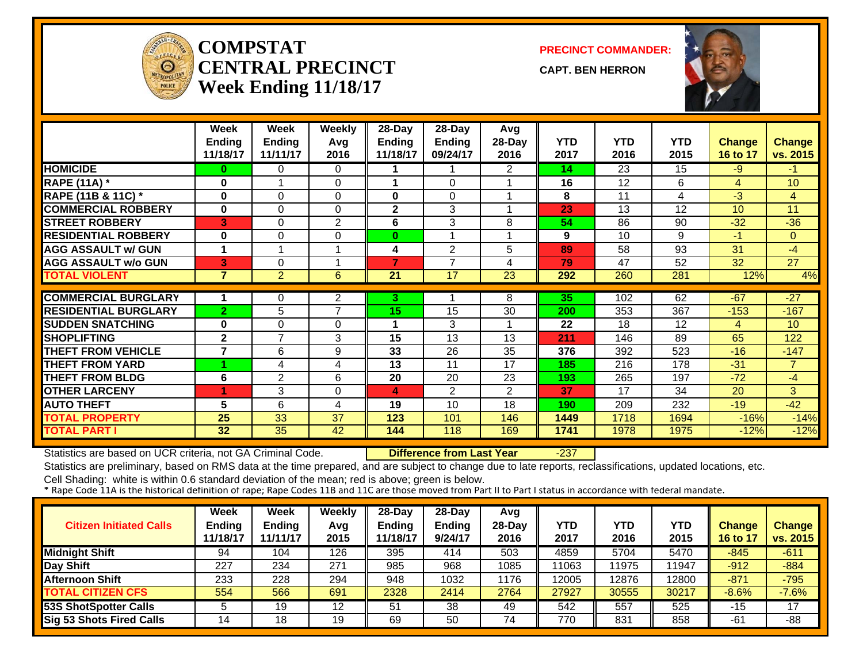

#### **COMPSTATCENTRAL PRECINCTWeek Ending 11/18/17**

**PRECINCT COMMANDER:**

**CAPT. BEN HERRON**



|                               | Week<br><b>Ending</b><br>11/18/17 | <b>Week</b><br><b>Ending</b><br>11/11/17 | <b>Weekly</b><br>Avg<br>2016 | 28-Day<br><b>Ending</b><br>11/18/17 | 28-Day<br>Ending<br>09/24/17 | Avg<br>28-Day<br>2016 | <b>YTD</b><br>2017 | <b>YTD</b><br>2016 | <b>YTD</b><br>2015 | <b>Change</b><br>16 to 17 | <b>Change</b><br>vs. 2015 |
|-------------------------------|-----------------------------------|------------------------------------------|------------------------------|-------------------------------------|------------------------------|-----------------------|--------------------|--------------------|--------------------|---------------------------|---------------------------|
| <b>HOMICIDE</b>               | 0                                 | 0                                        | 0                            |                                     |                              | 2                     | 14                 | 23                 | 15                 | $-9$                      | $-1$                      |
| <b>RAPE (11A)</b> *           | 0                                 |                                          | $\Omega$                     |                                     | $\Omega$                     |                       | 16                 | 12                 | 6                  | $\overline{4}$            | 10 <sup>°</sup>           |
| <b>RAPE (11B &amp; 11C) *</b> | 0                                 | 0                                        | $\Omega$                     | $\bf{0}$                            | $\Omega$                     |                       | 8                  | 11                 | 4                  | $-3$                      | 4                         |
| <b>COMMERCIAL ROBBERY</b>     | 0                                 | 0                                        | $\Omega$                     | $\mathbf{2}$                        | 3                            |                       | 23                 | 13                 | 12                 | 10 <sup>°</sup>           | 11                        |
| <b>STREET ROBBERY</b>         | 3                                 | 0                                        | 2                            | 6                                   | 3                            | 8                     | 54                 | 86                 | 90                 | $-32$                     | $-36$                     |
| <b>RESIDENTIAL ROBBERY</b>    | 0                                 | 0                                        | 0                            | $\mathbf{0}$                        |                              |                       | 9                  | 10                 | 9                  | $-1$                      | $\overline{0}$            |
| <b>AGG ASSAULT w/ GUN</b>     | 1                                 |                                          |                              | 4                                   | $\overline{2}$               | 5                     | 89                 | 58                 | 93                 | 31                        | $-4$                      |
| <b>AGG ASSAULT w/o GUN</b>    | 3                                 | 0                                        |                              | 7                                   | 7                            | 4                     | 79                 | 47                 | 52                 | 32                        | $\overline{27}$           |
| <b>TOTAL VIOLENT</b>          | $\overline{7}$                    | $\overline{2}$                           | 6                            | 21                                  | 17                           | 23                    | 292                | 260                | 281                | 12%                       | 4%                        |
|                               |                                   |                                          |                              |                                     |                              |                       |                    |                    |                    |                           |                           |
| <b>COMMERCIAL BURGLARY</b>    | 1                                 | 0                                        | 2                            | 3.                                  |                              | 8                     | 35                 | 102                | 62                 | $-67$                     | $-27$                     |
| <b>RESIDENTIAL BURGLARY</b>   | $\overline{2}$                    | 5                                        | 7                            | 15                                  | 15                           | 30                    | 200                | 353                | 367                | $-153$                    | $-167$                    |
| <b>SUDDEN SNATCHING</b>       | 0                                 | 0                                        | $\Omega$                     |                                     | 3                            |                       | 22                 | 18                 | 12                 | 4                         | 10 <sup>°</sup>           |
| <b>SHOPLIFTING</b>            | $\mathbf{2}$                      | $\overline{7}$                           | 3                            | 15                                  | 13                           | 13                    | 211                | 146                | 89                 | 65                        | 122                       |
| <b>THEFT FROM VEHICLE</b>     | 7                                 | 6                                        | 9                            | 33                                  | 26                           | 35                    | 376                | 392                | 523                | $-16$                     | $-147$                    |
| <b>THEFT FROM YARD</b>        |                                   | 4                                        | 4                            | 13                                  | 11                           | 17                    | 185                | 216                | 178                | $-31$                     | $\overline{7}$            |
| <b>THEFT FROM BLDG</b>        | 6                                 | $\overline{2}$                           | 6                            | 20                                  | 20                           | 23                    | 193                | 265                | 197                | $-72$                     | $-4$                      |
| <b>OTHER LARCENY</b>          |                                   | 3                                        | $\Omega$                     | 4                                   | $\overline{2}$               | $\overline{2}$        | 37                 | 17                 | 34                 | 20                        | 3                         |
| <b>AUTO THEFT</b>             | 5                                 | 6                                        | 4                            | 19                                  | 10                           | 18                    | 190                | 209                | 232                | $-19$                     | $-42$                     |
| <b>TOTAL PROPERTY</b>         | 25                                | 33                                       | 37                           | 123                                 | 101                          | 146                   | 1449               | 1718               | 1694               | $-16%$                    | $-14%$                    |
| <b>TOTAL PART I</b>           | 32                                | 35                                       | 42                           | 144                                 | 118                          | 169                   | 1741               | 1978               | 1975               | $-12%$                    | $-12%$                    |

Statistics are based on UCR criteria, not GA Criminal Code. **Difference from Last Year** -237

Statistics are preliminary, based on RMS data at the time prepared, and are subject to change due to late reports, reclassifications, updated locations, etc.

| <b>Citizen Initiated Calls</b>  | <b>Week</b><br><b>Ending</b><br>11/18/17 | Week<br><b>Ending</b><br>11/11/17 | Weekly<br>Avg<br>2015 | $28$ -Day<br><b>Ending</b><br>1/18/17 | $28-Dav$<br>Ending<br>9/24/17 | Avg<br>$28-Day$<br>2016 | YTD<br>2017 | YTD<br>2016 | YTD<br>2015 | <b>Change</b><br><b>16 to 17</b> | <b>Change</b><br>vs. 2015 |
|---------------------------------|------------------------------------------|-----------------------------------|-----------------------|---------------------------------------|-------------------------------|-------------------------|-------------|-------------|-------------|----------------------------------|---------------------------|
| <b>Midnight Shift</b>           | 94                                       | 104                               | 126                   | 395                                   | 414                           | 503                     | 4859        | 5704        | 5470        | $-845$                           | $-611$                    |
| Day Shift                       | 227                                      | 234                               | 271                   | 985                                   | 968                           | 1085                    | 11063       | 1975        | 11947       | $-912$                           | $-884$                    |
| <b>Afternoon Shift</b>          | 233                                      | 228                               | 294                   | 948                                   | 1032                          | 1176                    | 12005       | 2876        | 12800       | $-871$                           | $-795$                    |
| <b>TOTAL CITIZEN CFS</b>        | 554                                      | 566                               | 691                   | 2328                                  | 2414                          | 2764                    | 27927       | 30555       | 30217       | $-8.6%$                          | $-7.6%$                   |
| <b>53S ShotSpotter Calls</b>    |                                          | 19                                | 12                    | 51                                    | 38                            | 49                      | 542         | 557         | 525         | $-15$                            | 17                        |
| <b>Sig 53 Shots Fired Calls</b> | 14                                       | 18                                | 19                    | 69                                    | 50                            | 74                      | 770         | 831         | 858         | -61                              | $-88$                     |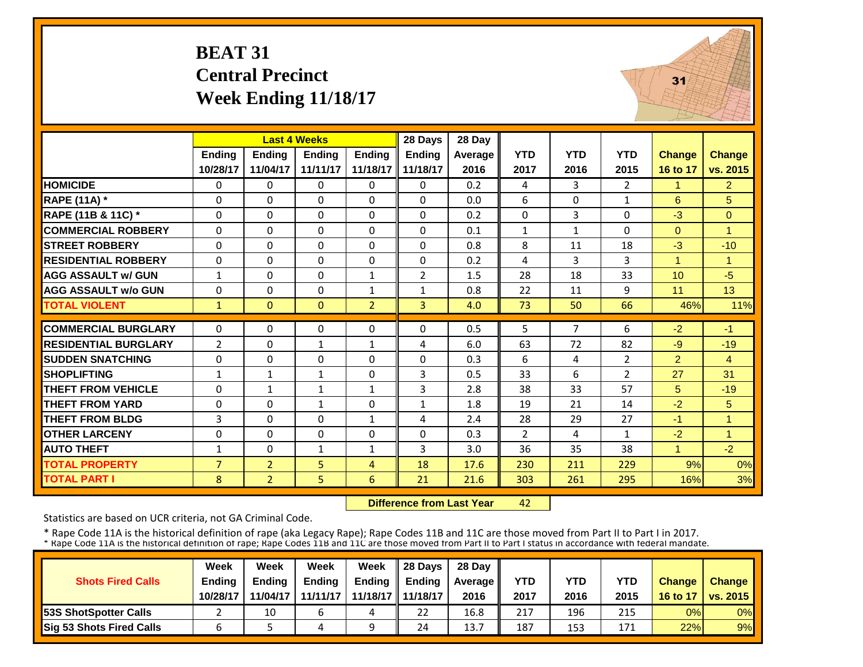# **BEAT 31 Central Precinct Week Ending 11/18/17**



|                             |                             | <b>Last 4 Weeks</b> |               |                | 28 Days        | 28 Day     |              |                |                |                      |                |
|-----------------------------|-----------------------------|---------------------|---------------|----------------|----------------|------------|--------------|----------------|----------------|----------------------|----------------|
|                             | Ending                      | <b>Ending</b>       | <b>Ending</b> | <b>Ending</b>  | <b>Ending</b>  | Average    | <b>YTD</b>   | <b>YTD</b>     | <b>YTD</b>     | <b>Change</b>        | <b>Change</b>  |
|                             | 10/28/17                    | 11/04/17            | 11/11/17      | 11/18/17       | 11/18/17       | 2016       | 2017         | 2016           | 2015           | 16 to 17             | vs. 2015       |
| <b>HOMICIDE</b>             | $\Omega$                    | $\Omega$            | $\Omega$      | $\Omega$       | 0              | 0.2        | 4            | 3              | $\overline{2}$ | 1                    | 2              |
| <b>RAPE (11A) *</b>         | $\Omega$                    | $\Omega$            | $\Omega$      | $\Omega$       | $\Omega$       | 0.0        | 6            | $\Omega$       | $\mathbf{1}$   | 6                    | 5              |
| RAPE (11B & 11C) *          | $\Omega$                    | $\Omega$            | $\Omega$      | $\Omega$       | $\Omega$       | 0.2        | $\Omega$     | $\overline{3}$ | 0              | $-3$                 | $\Omega$       |
| <b>COMMERCIAL ROBBERY</b>   | $\Omega$                    | $\Omega$            | $\Omega$      | $\Omega$       | $\Omega$       | 0.1        | $\mathbf{1}$ | $\mathbf{1}$   | $\Omega$       | $\Omega$             | $\overline{1}$ |
| <b>STREET ROBBERY</b>       | $\mathbf 0$                 | $\mathbf 0$         | $\mathbf 0$   | $\Omega$       | 0              | 0.8        | 8            | 11             | 18             | $-3$                 | $-10$          |
| <b>RESIDENTIAL ROBBERY</b>  | $\Omega$                    | $\Omega$            | $\Omega$      | $\Omega$       | $\Omega$       | 0.2        | 4            | 3              | 3              | $\overline{1}$       | $\overline{1}$ |
| <b>AGG ASSAULT w/ GUN</b>   | $\mathbf{1}$                | $\Omega$            | $\Omega$      | $\mathbf{1}$   | $\overline{2}$ | 1.5        | 28           | 18             | 33             | 10                   | $-5$           |
| <b>AGG ASSAULT w/o GUN</b>  | $\Omega$                    | $\Omega$            | $\Omega$      | $\mathbf{1}$   | $\mathbf{1}$   | 0.8        | 22           | 11             | 9              | 11                   | 13             |
| <b>TOTAL VIOLENT</b>        | $\mathbf{1}$                | $\mathbf{0}$        | $\mathbf{0}$  | $\overline{2}$ | $\overline{3}$ | 4.0        | 73           | 50             | 66             | 46%                  | 11%            |
| <b>COMMERCIAL BURGLARY</b>  | $\Omega$                    | $\Omega$            | 0             | $\Omega$       | $\Omega$       | 0.5        | 5            | $\overline{7}$ | 6              | $-2$                 | $-1$           |
| <b>RESIDENTIAL BURGLARY</b> | $\overline{2}$              | $\Omega$            | $\mathbf{1}$  | $\mathbf{1}$   | 4              | 6.0        | 63           | 72             | 82             | $-9$                 | $-19$          |
| <b>ISUDDEN SNATCHING</b>    |                             | $\Omega$            | $\Omega$      |                | $\Omega$       |            | 6            |                | $\overline{2}$ |                      | $\overline{4}$ |
| <b>SHOPLIFTING</b>          | $\mathbf 0$<br>$\mathbf{1}$ | $\mathbf{1}$        | $\mathbf{1}$  | 0<br>0         | 3              | 0.3<br>0.5 | 33           | 4<br>6         | $\overline{2}$ | $\overline{2}$<br>27 | 31             |
| <b>THEFT FROM VEHICLE</b>   | $\mathbf 0$                 | $\mathbf{1}$        | 1             | $\mathbf{1}$   | 3              | 2.8        | 38           | 33             | 57             | 5                    | $-19$          |
| <b>THEFT FROM YARD</b>      | $\Omega$                    | $\Omega$            | $\mathbf{1}$  | $\Omega$       |                | 1.8        | 19           | 21             | 14             | $-2$                 |                |
| <b>THEFT FROM BLDG</b>      | 3                           | $\Omega$            | $\Omega$      |                | $\mathbf{1}$   | 2.4        | 28           |                | 27             | $-1$                 | 5<br>1         |
|                             |                             |                     |               | 1              | 4              |            |              | 29             |                |                      |                |
| <b>OTHER LARCENY</b>        | $\Omega$                    | 0                   | $\Omega$      | $\Omega$       | 0              | 0.3        | 2            | 4              | $\mathbf{1}$   | $-2$<br>1            | 1              |
| <b>AUTO THEFT</b>           | $\mathbf{1}$                | $\Omega$            | $\mathbf{1}$  | 1              | 3              | 3.0        | 36           | 35             | 38             |                      | $-2$           |
| <b>TOTAL PROPERTY</b>       | $\overline{7}$              | $\overline{2}$      | 5             | 4              | 18             | 17.6       | 230          | 211            | 229            | 9%                   | 0%             |
| <b>TOTAL PART I</b>         | 8                           | 2 <sup>1</sup>      | 5             | 6              | 21             | 21.6       | 303          | 261            | 295            | 16%                  | 3%             |

 **Difference from Last Year**42

Statistics are based on UCR criteria, not GA Criminal Code.

|                               | Week     | Week          | Week          | Week                | $\parallel$ 28 Davs | 28 Day    |      |      |            |               |                       |
|-------------------------------|----------|---------------|---------------|---------------------|---------------------|-----------|------|------|------------|---------------|-----------------------|
| <b>Shots Fired Calls</b>      | Ending   | <b>Ending</b> | <b>Ending</b> | <b>Ending</b>       | <b>Ending</b>       | Average I | YTD  | YTD  | <b>YTD</b> | <b>Change</b> | <b>Change</b>         |
|                               | 10/28/17 | 11/04/17      | 11/11/17      | 11/18/17   11/18/17 |                     | 2016      | 2017 | 2016 | 2015       | 16 to 17      | <b>∶ I vs. 2015 I</b> |
| <b>153S ShotSpotter Calls</b> |          | 10            | b             | 4                   | 22                  | 16.8      | 217  | 196  | 215        | 0%            | $0\%$                 |
| Sig 53 Shots Fired Calls      |          |               |               |                     | 24                  | 13.7      | 187  | 153  | 171        | 22%           | 9%                    |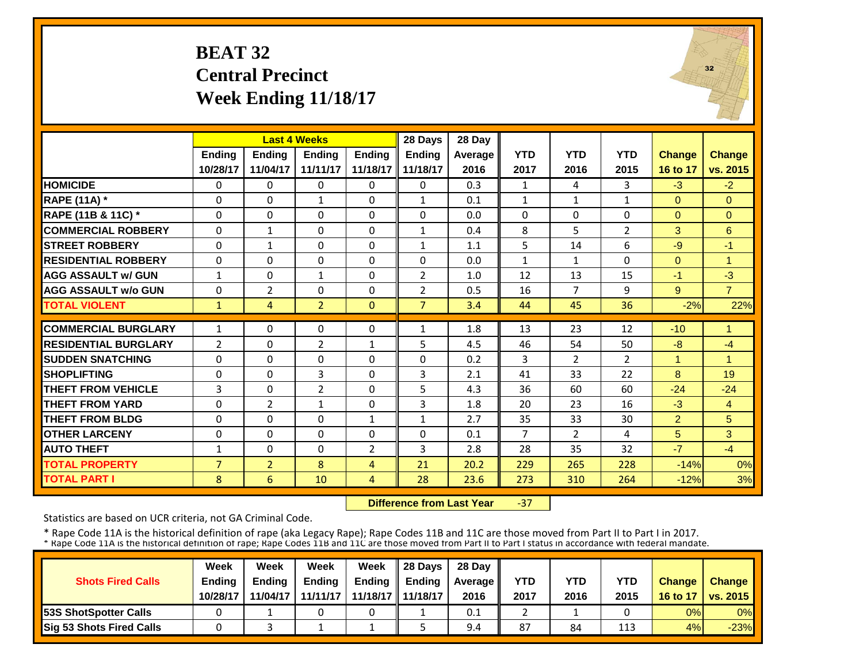# **BEAT 32 Central Precinct Week Ending 11/18/17**



|                             |                | <b>Last 4 Weeks</b> |                |                | 28 Days        | 28 Day  |                |                |                |                |                |
|-----------------------------|----------------|---------------------|----------------|----------------|----------------|---------|----------------|----------------|----------------|----------------|----------------|
|                             | Ending         | <b>Ending</b>       | <b>Ending</b>  | <b>Ending</b>  | Ending         | Average | <b>YTD</b>     | <b>YTD</b>     | <b>YTD</b>     | <b>Change</b>  | <b>Change</b>  |
|                             | 10/28/17       | 11/04/17            | 11/11/17       | 11/18/17       | 11/18/17       | 2016    | 2017           | 2016           | 2015           | 16 to 17       | vs. 2015       |
| <b>HOMICIDE</b>             | $\Omega$       | $\Omega$            | $\Omega$       | $\Omega$       | $\Omega$       | 0.3     | 1              | 4              | 3              | $-3$           | $-2$           |
| <b>RAPE (11A) *</b>         | $\Omega$       | $\Omega$            | $\mathbf{1}$   | $\Omega$       | $\mathbf{1}$   | 0.1     | $\mathbf{1}$   | $\mathbf{1}$   | $\mathbf{1}$   | $\Omega$       | $\Omega$       |
| RAPE (11B & 11C) *          | $\mathbf 0$    | $\Omega$            | $\Omega$       | $\Omega$       | $\Omega$       | 0.0     | $\Omega$       | $\Omega$       | 0              | $\Omega$       | $\Omega$       |
| <b>COMMERCIAL ROBBERY</b>   | $\mathbf 0$    | $\mathbf{1}$        | $\Omega$       | 0              | $\mathbf{1}$   | 0.4     | 8              | 5              | $\overline{2}$ | 3              | 6              |
| <b>ISTREET ROBBERY</b>      | $\Omega$       | $\mathbf{1}$        | $\Omega$       | $\Omega$       | $\mathbf{1}$   | 1.1     | 5              | 14             | 6              | $-9$           | $-1$           |
| <b>RESIDENTIAL ROBBERY</b>  | $\Omega$       | $\Omega$            | $\Omega$       | $\Omega$       | $\Omega$       | 0.0     | $\mathbf{1}$   | 1              | 0              | $\Omega$       | $\overline{1}$ |
| <b>AGG ASSAULT w/ GUN</b>   | $\mathbf{1}$   | $\Omega$            | $\mathbf{1}$   | $\Omega$       | $\overline{2}$ | 1.0     | 12             | 13             | 15             | $-1$           | $-3$           |
| <b>AGG ASSAULT w/o GUN</b>  | $\Omega$       | $\overline{2}$      | $\Omega$       | $\Omega$       | $\overline{2}$ | 0.5     | 16             | 7              | 9              | 9              | $\overline{7}$ |
| <b>TOTAL VIOLENT</b>        | $\mathbf{1}$   | 4                   | $\overline{2}$ | $\mathbf{0}$   | $\overline{7}$ | 3.4     | 44             | 45             | 36             | $-2%$          | 22%            |
| <b>COMMERCIAL BURGLARY</b>  | $\mathbf{1}$   | $\Omega$            | $\Omega$       | $\Omega$       | $\mathbf{1}$   | 1.8     | 13             | 23             | 12             | $-10$          | $\overline{1}$ |
| <b>RESIDENTIAL BURGLARY</b> | $\overline{2}$ | $\Omega$            | $\overline{2}$ | 1              | 5              | 4.5     | 46             | 54             | 50             | $-8$           | $-4$           |
| <b>SUDDEN SNATCHING</b>     | $\Omega$       | $\Omega$            | $\Omega$       | $\Omega$       | $\Omega$       | 0.2     | 3              | $\overline{2}$ | $\overline{2}$ | 1              | 1              |
| <b>SHOPLIFTING</b>          | $\Omega$       | $\Omega$            | 3              | $\Omega$       | 3              | 2.1     | 41             | 33             | 22             | 8              | 19             |
| <b>THEFT FROM VEHICLE</b>   | 3              | $\Omega$            | $\overline{2}$ | $\Omega$       | 5              | 4.3     | 36             | 60             | 60             | $-24$          | $-24$          |
| <b>THEFT FROM YARD</b>      | 0              | $\overline{2}$      | $\mathbf{1}$   | $\Omega$       | 3              | 1.8     | 20             | 23             | 16             | $-3$           | $\overline{4}$ |
| <b>THEFT FROM BLDG</b>      | $\Omega$       | $\Omega$            | $\Omega$       | 1              | $\mathbf{1}$   | 2.7     | 35             | 33             | 30             | $\overline{2}$ | 5              |
| <b>OTHER LARCENY</b>        | $\Omega$       | $\Omega$            | $\Omega$       | $\Omega$       | $\Omega$       | 0.1     | $\overline{7}$ | $\overline{2}$ | 4              | 5              | 3              |
| <b>AUTO THEFT</b>           | $\mathbf{1}$   | $\Omega$            | $\Omega$       | $\overline{2}$ | 3              | 2.8     | 28             | 35             | 32             | $-7$           | $-4$           |
| <b>TOTAL PROPERTY</b>       | $\overline{7}$ | $\overline{2}$      | 8              | 4              | 21             | 20.2    | 229            | 265            | 228            | $-14%$         | 0%             |
| <b>TOTAL PART I</b>         | 8              | 6                   | 10             | $\overline{4}$ | 28             | 23.6    | 273            | 310            | 264            | $-12%$         | 3%             |

 **Difference from Last Year** $-37$ 

Statistics are based on UCR criteria, not GA Criminal Code.

|                               | Week     | Week          | Week          | Week                | $\parallel$ 28 Davs | 28 Day    |      |      |            |               |                     |
|-------------------------------|----------|---------------|---------------|---------------------|---------------------|-----------|------|------|------------|---------------|---------------------|
| <b>Shots Fired Calls</b>      | Ending   | <b>Ending</b> | <b>Ending</b> | <b>Ending</b>       | <b>Ending</b>       | Average I | YTD  | YTD  | <b>YTD</b> | <b>Change</b> | <b>Change</b>       |
|                               | 10/28/17 | 11/04/17      | 11/11/17      | 11/18/17   11/18/17 |                     | 2016      | 2017 | 2016 | 2015       |               | 16 to 17   vs. 2015 |
| <b>153S ShotSpotter Calls</b> |          |               |               |                     |                     | 0.1       |      |      |            | 0%            | $0\%$               |
| Sig 53 Shots Fired Calls      |          |               |               |                     |                     | 9.4       | 87   | 84   | 113        | 4%            | $-23%$              |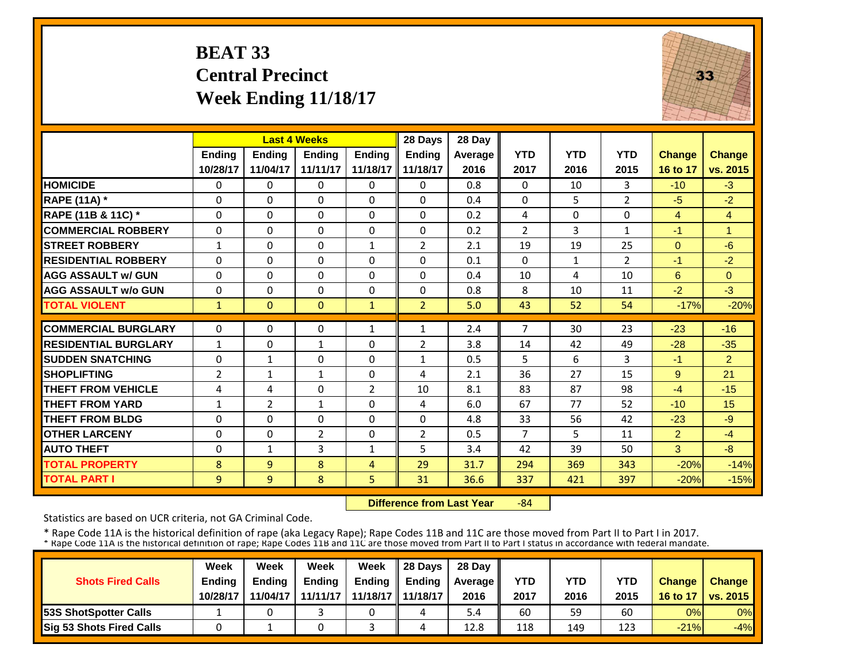# **BEAT 33 Central Precinct Week Ending 11/18/17**



|                             |                | <b>Last 4 Weeks</b> |                |               | 28 Days        | 28 Day  |                |              |                |                |                |
|-----------------------------|----------------|---------------------|----------------|---------------|----------------|---------|----------------|--------------|----------------|----------------|----------------|
|                             | Ending         | Ending              | Ending         | <b>Ending</b> | <b>Ending</b>  | Average | <b>YTD</b>     | <b>YTD</b>   | <b>YTD</b>     | <b>Change</b>  | Change         |
|                             | 10/28/17       | 11/04/17            | 11/11/17       | 11/18/17      | 11/18/17       | 2016    | 2017           | 2016         | 2015           | 16 to 17       | vs. 2015       |
| <b>HOMICIDE</b>             | 0              | $\Omega$            | $\Omega$       | $\Omega$      | 0              | 0.8     | $\Omega$       | 10           | 3              | $-10$          | $-3$           |
| <b>RAPE (11A)</b> *         | $\Omega$       | $\Omega$            | $\Omega$       | $\Omega$      | $\Omega$       | 0.4     | $\Omega$       | 5            | $\overline{2}$ | $-5$           | $-2$           |
| RAPE (11B & 11C) *          | $\Omega$       | $\Omega$            | $\Omega$       | $\Omega$      | $\Omega$       | 0.2     | 4              | $\Omega$     | 0              | $\overline{4}$ | $\overline{4}$ |
| <b>COMMERCIAL ROBBERY</b>   | $\Omega$       | $\Omega$            | $\Omega$       | $\Omega$      | 0              | 0.2     | $\overline{2}$ | 3            | 1              | $-1$           | 1              |
| <b>STREET ROBBERY</b>       | 1              | $\Omega$            | $\Omega$       | $\mathbf{1}$  | 2              | 2.1     | 19             | 19           | 25             | $\Omega$       | $-6$           |
| <b>RESIDENTIAL ROBBERY</b>  | 0              | $\Omega$            | $\Omega$       | $\Omega$      | 0              | 0.1     | $\Omega$       | $\mathbf{1}$ | $\overline{2}$ | $-1$           | $-2$           |
| <b>AGG ASSAULT w/ GUN</b>   | $\Omega$       | $\Omega$            | $\Omega$       | 0             | 0              | 0.4     | 10             | 4            | 10             | 6              | $\Omega$       |
| <b>AGG ASSAULT w/o GUN</b>  | $\Omega$       | $\Omega$            | 0              | $\Omega$      | 0              | 0.8     | 8              | 10           | 11             | $-2$           | $-3$           |
| <b>TOTAL VIOLENT</b>        | $\mathbf{1}$   | $\Omega$            | $\Omega$       | $\mathbf{1}$  | $\overline{2}$ | 5.0     | 43             | 52           | 54             | $-17%$         | $-20%$         |
| <b>COMMERCIAL BURGLARY</b>  | $\Omega$       | $\Omega$            | $\Omega$       | $\mathbf{1}$  | 1              | 2.4     | $\overline{7}$ | 30           | 23             | $-23$          | $-16$          |
| <b>RESIDENTIAL BURGLARY</b> |                |                     |                | $\Omega$      |                | 3.8     |                |              |                | $-28$          |                |
|                             | $\mathbf{1}$   | $\Omega$            | $\mathbf{1}$   |               | $\overline{2}$ |         | 14             | 42           | 49             |                | $-35$          |
| <b>SUDDEN SNATCHING</b>     | 0              | $\mathbf{1}$        | 0              | $\Omega$      | 1              | 0.5     | 5              | 6.           | 3              | $-1$           | $\overline{2}$ |
| <b>SHOPLIFTING</b>          | $\overline{2}$ | $\mathbf{1}$        | 1              | $\Omega$      | 4              | 2.1     | 36             | 27           | 15             | 9              | 21             |
| <b>THEFT FROM VEHICLE</b>   | 4              | 4                   | 0              | 2             | 10             | 8.1     | 83             | 87           | 98             | $-4$           | $-15$          |
| <b>THEFT FROM YARD</b>      | $\mathbf{1}$   | $\overline{2}$      | $\mathbf{1}$   | $\Omega$      | 4              | 6.0     | 67             | 77           | 52             | $-10$          | 15             |
| <b>THEFT FROM BLDG</b>      | $\Omega$       | $\Omega$            | $\Omega$       | $\Omega$      | $\Omega$       | 4.8     | 33             | 56           | 42             | $-23$          | $-9$           |
| <b>OTHER LARCENY</b>        | $\Omega$       | $\Omega$            | $\overline{2}$ | $\Omega$      | $\overline{2}$ | 0.5     | $\overline{7}$ | 5.           | 11             | 2              | $-4$           |
| <b>AUTO THEFT</b>           | $\Omega$       | $\mathbf{1}$        | 3              | $\mathbf{1}$  | 5              | 3.4     | 42             | 39           | 50             | 3              | $-8$           |
| <b>TOTAL PROPERTY</b>       | 8              | 9                   | 8              | 4             | 29             | 31.7    | 294            | 369          | 343            | $-20%$         | $-14%$         |
| <b>TOTAL PART I</b>         | $\overline{9}$ | $\overline{9}$      | 8              | 5             | 31             | 36.6    | 337            | 421          | 397            | $-20%$         | $-15%$         |

 **Difference from Last Year** $-84$ 

Statistics are based on UCR criteria, not GA Criminal Code.

|                               | Week     | Week          | Week          | Week                | $\parallel$ 28 Davs | 28 Day    |      |      |            |               |                     |
|-------------------------------|----------|---------------|---------------|---------------------|---------------------|-----------|------|------|------------|---------------|---------------------|
| <b>Shots Fired Calls</b>      | Ending   | <b>Ending</b> | <b>Ending</b> | <b>Ending</b>       | <b>Ending</b>       | Average I | YTD  | YTD  | <b>YTD</b> | <b>Change</b> | <b>Change</b>       |
|                               | 10/28/17 | 11/04/17      | 11/11/17      | 11/18/17   11/18/17 |                     | 2016      | 2017 | 2016 | 2015       |               | 16 to 17   vs. 2015 |
| <b>153S ShotSpotter Calls</b> |          |               |               |                     |                     | 5.4       | 60   | 59   | 60         | 0%            | $0\%$               |
| Sig 53 Shots Fired Calls      |          |               |               |                     |                     | 12.8      | 118  | 149  | 123        | $-21%$        | $-4%$               |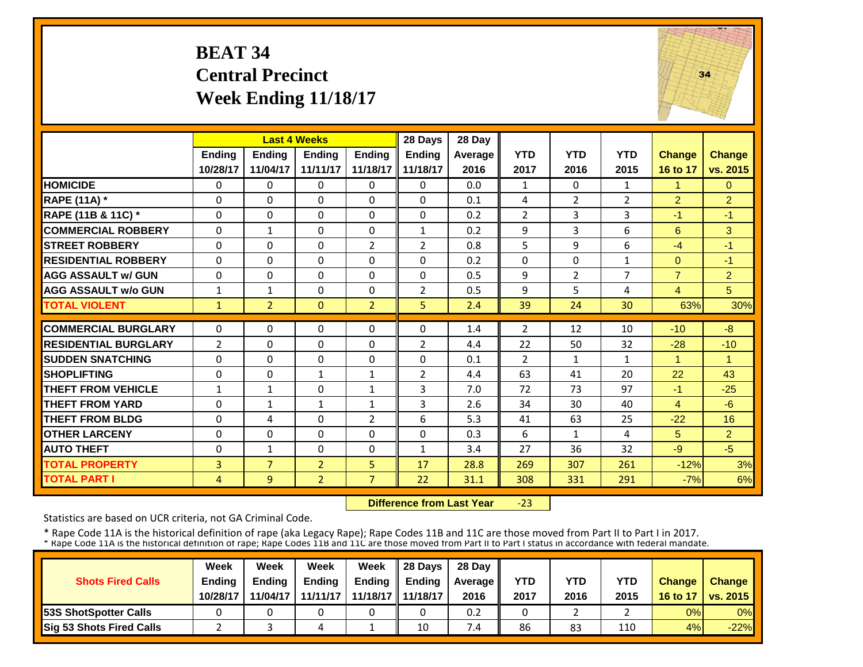# **BEAT 34 Central Precinct Week Ending 11/18/17**



|                             |                | <b>Last 4 Weeks</b> |                |                | 28 Days        | 28 Day  |                |                |                    |                |                |
|-----------------------------|----------------|---------------------|----------------|----------------|----------------|---------|----------------|----------------|--------------------|----------------|----------------|
|                             | <b>Ending</b>  | <b>Ending</b>       | <b>Endina</b>  | <b>Ending</b>  | <b>Endina</b>  | Average | <b>YTD</b>     | <b>YTD</b>     | <b>YTD</b>         | <b>Change</b>  | Change         |
|                             | 10/28/17       | 11/04/17            | 11/11/17       | 11/18/17       | 11/18/17       | 2016    | 2017           | 2016           | 2015               | 16 to 17       | vs. 2015       |
| <b>HOMICIDE</b>             | $\mathbf 0$    | $\Omega$            | 0              | $\Omega$       | 0              | 0.0     | 1              | $\Omega$       | $\mathbf{1}$       | 1              | $\Omega$       |
| <b>RAPE (11A) *</b>         | $\Omega$       | $\Omega$            | $\Omega$       | $\Omega$       | $\Omega$       | 0.1     | 4              | $\overline{2}$ | 2                  | $\overline{2}$ | $\overline{2}$ |
| RAPE (11B & 11C) *          | $\Omega$       | $\Omega$            | $\Omega$       | $\Omega$       | $\Omega$       | 0.2     | $\overline{2}$ | 3              | 3                  | $-1$           | $-1$           |
| <b>COMMERCIAL ROBBERY</b>   | $\Omega$       | $\mathbf{1}$        | $\Omega$       | $\Omega$       | 1              | 0.2     | 9              | 3              | 6                  | 6              | 3              |
| <b>ISTREET ROBBERY</b>      | 0              | $\Omega$            | 0              | $\overline{2}$ | $\overline{2}$ | 0.8     | 5              | 9              | 6                  | $-4$           | $-1$           |
| <b>RESIDENTIAL ROBBERY</b>  | $\Omega$       | $\Omega$            | 0              | 0              | 0              | 0.2     | $\Omega$       | $\Omega$       | 1                  | $\Omega$       | $-1$           |
| <b>AGG ASSAULT w/ GUN</b>   | $\Omega$       | $\Omega$            | $\Omega$       | 0              | 0              | 0.5     | 9              | $\overline{2}$ | 7                  | $\overline{7}$ | $\overline{2}$ |
| <b>AGG ASSAULT w/o GUN</b>  | $\mathbf{1}$   | 1                   | $\Omega$       | 0              | $\overline{2}$ | 0.5     | 9              | 5.             | 4                  | 4              | 5              |
| <b>TOTAL VIOLENT</b>        | $\mathbf{1}$   | $\overline{2}$      | $\Omega$       | $\overline{2}$ | 5.             | 2.4     | 39             | 24             | 30                 | 63%            | 30%            |
| <b>COMMERCIAL BURGLARY</b>  | $\Omega$       | $\Omega$            | $\Omega$       | $\Omega$       | 0              | 1.4     | $\overline{2}$ | 12             | 10                 | $-10$          | $-8$           |
| <b>RESIDENTIAL BURGLARY</b> | $\overline{2}$ | $\Omega$            | $\Omega$       | 0              | 2              | 4.4     | 22             | 50             | 32                 | $-28$          | $-10$          |
| <b>ISUDDEN SNATCHING</b>    | $\Omega$       | $\Omega$            | $\Omega$       | $\Omega$       | 0              | 0.1     | $\overline{2}$ |                |                    |                | 1              |
| <b>SHOPLIFTING</b>          |                |                     |                |                |                |         | 63             | $\mathbf{1}$   | $\mathbf{1}$<br>20 | 22             | 43             |
|                             | $\Omega$       | $\Omega$            | $\mathbf{1}$   | $\mathbf{1}$   | $\overline{2}$ | 4.4     |                | 41             |                    |                |                |
| <b>THEFT FROM VEHICLE</b>   | $\mathbf{1}$   | $\mathbf{1}$        | 0              | $\mathbf{1}$   | 3              | 7.0     | 72             | 73             | 97                 | $-1$           | $-25$          |
| <b>THEFT FROM YARD</b>      | $\Omega$       | $\mathbf{1}$        | $\mathbf{1}$   | 1              | 3              | 2.6     | 34             | 30             | 40                 | $\overline{4}$ | $-6$           |
| <b>THEFT FROM BLDG</b>      | $\Omega$       | 4                   | $\Omega$       | $\overline{2}$ | 6              | 5.3     | 41             | 63             | 25                 | $-22$          | 16             |
| <b>OTHER LARCENY</b>        | $\Omega$       | $\Omega$            | $\Omega$       | $\Omega$       | 0              | 0.3     | 6              | 1              | 4                  | 5              | $\overline{2}$ |
| <b>AUTO THEFT</b>           | $\Omega$       | $\mathbf{1}$        | $\Omega$       | 0              | $\mathbf{1}$   | 3.4     | 27             | 36             | 32                 | $-9$           | $-5$           |
| <b>TOTAL PROPERTY</b>       | 3              | $\overline{7}$      | $\overline{2}$ | 5              | 17             | 28.8    | 269            | 307            | 261                | $-12%$         | 3%             |
| <b>TOTAL PART I</b>         | $\overline{4}$ | 9                   | $\overline{2}$ | $\overline{7}$ | 22             | 31.1    | 308            | 331            | 291                | $-7%$          | 6%             |

 **Difference from Last Year**‐23

Statistics are based on UCR criteria, not GA Criminal Code.

|                               | Week          | Week          | Week          | Week                | $\parallel$ 28 Davs | 28 Day    |      |      |            |               |                     |
|-------------------------------|---------------|---------------|---------------|---------------------|---------------------|-----------|------|------|------------|---------------|---------------------|
| <b>Shots Fired Calls</b>      | <b>Ending</b> | <b>Ending</b> | <b>Ending</b> | <b>Ending</b>       | <b>Ending</b>       | Average I | YTD  | YTD  | <b>YTD</b> | <b>Change</b> | <b>Change</b>       |
|                               | 10/28/17      | 11/04/17      | 11/11/17      | 11/18/17   11/18/17 |                     | 2016      | 2017 | 2016 | 2015       |               | 16 to 17   vs. 2015 |
| <b>153S ShotSpotter Calls</b> |               |               |               |                     |                     | 0.2       |      |      |            | 0%            | $0\%$               |
| Sig 53 Shots Fired Calls      |               |               |               |                     | 10                  | 7.4       | 86   | 83   | 110        | 4%            | $-22%$              |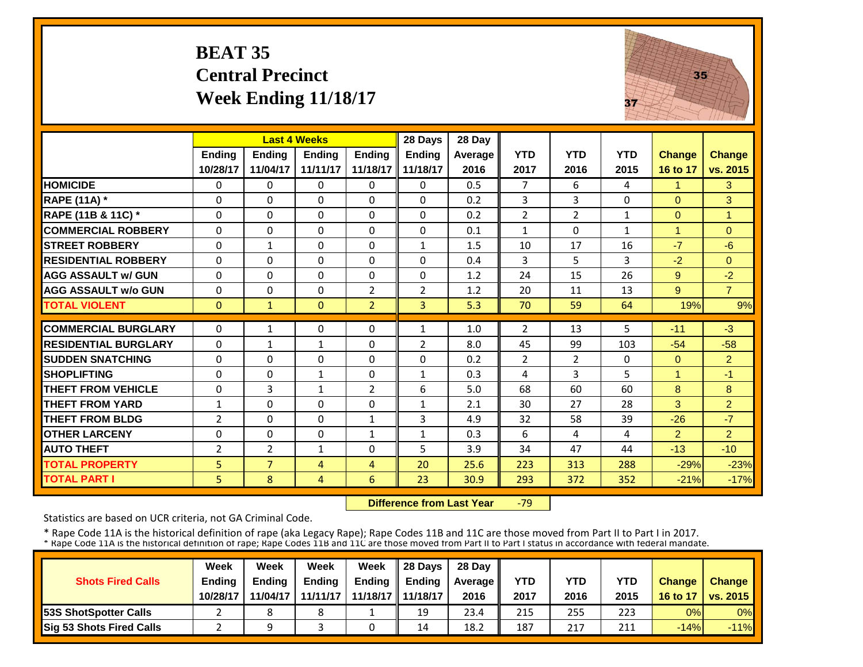# **BEAT 35 Central Precinct Week Ending 11/18/17**



|                             |                | <b>Last 4 Weeks</b> |               |                | 28 Days        | 28 Day  |                |                |              |               |                |
|-----------------------------|----------------|---------------------|---------------|----------------|----------------|---------|----------------|----------------|--------------|---------------|----------------|
|                             | <b>Ending</b>  | <b>Endina</b>       | <b>Endina</b> | <b>Endina</b>  | <b>Ending</b>  | Average | <b>YTD</b>     | <b>YTD</b>     | <b>YTD</b>   | <b>Change</b> | <b>Change</b>  |
|                             | 10/28/17       | 11/04/17            | 11/11/17      | 11/18/17       | 11/18/17       | 2016    | 2017           | 2016           | 2015         | 16 to 17      | vs. 2015       |
| <b>HOMICIDE</b>             | $\Omega$       | $\Omega$            | $\Omega$      | $\Omega$       | 0              | 0.5     | $\overline{7}$ | 6              | 4            | 1             | 3              |
| <b>RAPE (11A) *</b>         | $\Omega$       | $\Omega$            | $\Omega$      | $\Omega$       | 0              | 0.2     | 3              | 3              | 0            | $\Omega$      | 3              |
| RAPE (11B & 11C) *          | $\mathbf{0}$   | $\Omega$            | $\Omega$      | $\Omega$       | 0              | 0.2     | $\overline{2}$ | $\overline{2}$ | $\mathbf{1}$ | $\Omega$      | $\mathbf{1}$   |
| <b>COMMERCIAL ROBBERY</b>   | $\Omega$       | $\Omega$            | $\Omega$      | $\Omega$       | $\Omega$       | 0.1     | $\mathbf{1}$   | $\Omega$       | 1            | 1             | $\Omega$       |
| <b>STREET ROBBERY</b>       | $\Omega$       | 1                   | $\Omega$      | 0              | 1              | 1.5     | 10             | 17             | 16           | $-7$          | $-6$           |
| <b>RESIDENTIAL ROBBERY</b>  | $\Omega$       | $\Omega$            | $\Omega$      | 0              | 0              | 0.4     | 3              | 5              | 3            | $-2$          | $\Omega$       |
| <b>AGG ASSAULT w/ GUN</b>   | $\Omega$       | $\Omega$            | $\Omega$      | $\Omega$       | $\Omega$       | 1.2     | 24             | 15             | 26           | 9             | $-2$           |
| <b>AGG ASSAULT w/o GUN</b>  | 0              | $\Omega$            | $\Omega$      | 2              | $\overline{2}$ | 1.2     | 20             | 11             | 13           | 9             | $\overline{7}$ |
| <b>TOTAL VIOLENT</b>        | $\mathbf{0}$   | $\mathbf{1}$        | $\Omega$      | $\overline{2}$ | $\overline{3}$ | 5.3     | 70             | 59             | 64           | 19%           | 9%             |
| <b>COMMERCIAL BURGLARY</b>  | $\Omega$       | $\mathbf{1}$        | $\Omega$      | 0              | $\mathbf{1}$   | 1.0     | 2              | 13             | 5            | $-11$         | $-3$           |
| <b>RESIDENTIAL BURGLARY</b> | $\Omega$       | $\mathbf{1}$        | $\mathbf 1$   | $\Omega$       | $\overline{2}$ | 8.0     | 45             | 99             | 103          | $-54$         | $-58$          |
|                             |                |                     |               |                |                |         |                |                |              |               |                |
| <b>SUDDEN SNATCHING</b>     | 0              | $\Omega$            | 0             | 0              | 0              | 0.2     | $\overline{2}$ | $\overline{2}$ | 0            | $\Omega$<br>1 | 2 <sup>1</sup> |
| <b>SHOPLIFTING</b>          | 0              | $\Omega$            | $\mathbf{1}$  | 0              | 1              | 0.3     | 4              | 3              | 5            |               | $-1$           |
| <b>THEFT FROM VEHICLE</b>   | $\Omega$       | 3                   | $\mathbf{1}$  | 2              | 6              | 5.0     | 68             | 60             | 60           | 8             | 8              |
| <b>THEFT FROM YARD</b>      | $\mathbf{1}$   | $\Omega$            | $\Omega$      | $\Omega$       | $\mathbf{1}$   | 2.1     | 30             | 27             | 28           | 3             | $\overline{2}$ |
| <b>THEFT FROM BLDG</b>      | $\overline{2}$ | $\Omega$            | $\Omega$      | 1              | 3              | 4.9     | 32             | 58             | 39           | $-26$         | $-7$           |
| <b>OTHER LARCENY</b>        | $\Omega$       | $\Omega$            | $\Omega$      | $\mathbf{1}$   | $\mathbf{1}$   | 0.3     | 6              | 4              | 4            | 2             | $\overline{2}$ |
| <b>AUTO THEFT</b>           | $\overline{2}$ | $\overline{2}$      | $\mathbf{1}$  | $\Omega$       | 5              | 3.9     | 34             | 47             | 44           | $-13$         | $-10$          |
| <b>TOTAL PROPERTY</b>       | 5              | $\overline{7}$      | 4             | 4              | 20             | 25.6    | 223            | 313            | 288          | $-29%$        | $-23%$         |
| <b>TOTAL PART I</b>         | 5              | 8                   | 4             | 6              | 23             | 30.9    | 293            | 372            | 352          | $-21%$        | $-17%$         |

 **Difference from Last Year**‐79

Statistics are based on UCR criteria, not GA Criminal Code.

|                                 | Week          | Week          | Week     | Week                | 28 Davs       | 28 Day    |      |      |            |               |                       |
|---------------------------------|---------------|---------------|----------|---------------------|---------------|-----------|------|------|------------|---------------|-----------------------|
| <b>Shots Fired Calls</b>        | <b>Endina</b> | <b>Endina</b> | Ending   | <b>Ending</b>       | <b>Endina</b> | Average I | YTD  | YTD  | <b>YTD</b> | <b>Change</b> | <b>Change</b>         |
|                                 | 10/28/17      | 11/04/17      | 11/11/17 | 11/18/17   11/18/17 |               | 2016      | 2017 | 2016 | 2015       | 16 to 17      | <b>O</b> I vs. 2015 I |
| <b>153S ShotSpotter Calls</b>   |               |               |          |                     | 19            | 23.4      | 215  | 255  | 223        | 0%            | $0\%$                 |
| <b>Sig 53 Shots Fired Calls</b> |               |               |          |                     | 14            | 18.2      | 187  | 217  | 211        | $-14%$        | $-11%$                |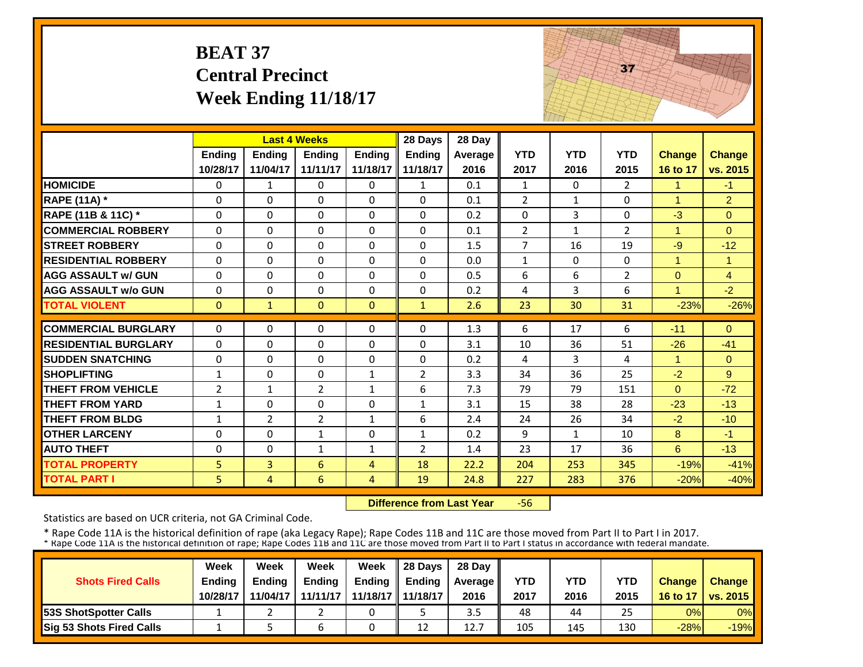|                             | <b>BEAT 37</b> | <b>Central Precinct</b><br><b>Week Ending 11/18/17</b> |                |               |                |         |                |              | 37             |                      |                |
|-----------------------------|----------------|--------------------------------------------------------|----------------|---------------|----------------|---------|----------------|--------------|----------------|----------------------|----------------|
|                             |                | <b>Last 4 Weeks</b>                                    |                |               | 28 Days        | 28 Day  |                |              |                |                      |                |
|                             | <b>Ending</b>  | <b>Ending</b>                                          | <b>Ending</b>  | <b>Ending</b> | Ending         | Average | <b>YTD</b>     | <b>YTD</b>   | <b>YTD</b>     | <b>Change</b>        | <b>Change</b>  |
|                             | 10/28/17       | 11/04/17                                               | 11/11/17       | 11/18/17      | 11/18/17       | 2016    | 2017           | 2016         | 2015           | 16 to 17             | vs. 2015       |
| <b>HOMICIDE</b>             | 0              | 1                                                      | $\Omega$       | 0             | 1              | 0.1     | 1              | 0            | $\overline{2}$ | 1                    | -1             |
| <b>RAPE (11A) *</b>         | $\Omega$       | $\Omega$                                               | $\Omega$       | $\Omega$      | $\Omega$       | 0.1     | $\overline{2}$ | $\mathbf{1}$ | $\Omega$       | $\blacktriangleleft$ | $\overline{2}$ |
| RAPE (11B & 11C) *          | $\mathbf 0$    | $\Omega$                                               | $\Omega$       | $\Omega$      | $\Omega$       | 0.2     | $\mathbf{0}$   | 3            | 0              | $-3$                 | $\Omega$       |
| <b>COMMERCIAL ROBBERY</b>   | $\Omega$       | $\Omega$                                               | $\Omega$       | 0             | $\Omega$       | 0.1     | $\overline{2}$ | $\mathbf{1}$ | $\overline{2}$ | $\mathbf{1}$         | $\Omega$       |
| <b>STREET ROBBERY</b>       | $\mathbf 0$    | $\Omega$                                               | 0              | 0             | $\Omega$       | 1.5     | $\overline{7}$ | 16           | 19             | $-9$                 | $-12$          |
| <b>RESIDENTIAL ROBBERY</b>  | $\Omega$       | $\mathbf 0$                                            | $\mathbf{0}$   | $\Omega$      | $\Omega$       | 0.0     | $\mathbf{1}$   | $\Omega$     | 0              | $\mathbf{1}$         | $\mathbf{1}$   |
| <b>AGG ASSAULT w/ GUN</b>   | $\mathbf 0$    | $\Omega$                                               | $\mathbf 0$    | 0             | $\Omega$       | 0.5     | 6              | 6            | $\overline{2}$ | $\mathbf{0}$         | $\overline{4}$ |
| <b>AGG ASSAULT w/o GUN</b>  | $\mathbf 0$    | $\mathbf 0$                                            | $\mathbf{0}$   | $\Omega$      | 0              | 0.2     | 4              | 3            | 6              | $\overline{1}$       | $-2$           |
| <b>TOTAL VIOLENT</b>        | $\mathbf{0}$   | $\mathbf{1}$                                           | $\Omega$       | $\Omega$      | $\mathbf{1}$   | 2.6     | 23             | 30           | 31             | $-23%$               | $-26%$         |
| <b>COMMERCIAL BURGLARY</b>  | $\Omega$       | $\Omega$                                               | $\Omega$       | $\Omega$      | $\Omega$       | 1.3     | 6              | 17           | 6              | $-11$                | $\Omega$       |
| <b>RESIDENTIAL BURGLARY</b> | $\Omega$       | $\Omega$                                               | $\Omega$       | 0             | $\Omega$       | 3.1     | 10             | 36           | 51             | $-26$                | $-41$          |
| <b>SUDDEN SNATCHING</b>     | $\mathbf 0$    | 0                                                      | 0              | 0             | 0              | 0.2     | 4              | 3            | 4              | $\mathbf{1}$         | $\overline{0}$ |
| <b>SHOPLIFTING</b>          | $\mathbf{1}$   | 0                                                      | 0              | $\mathbf{1}$  | $\overline{2}$ | 3.3     | 34             | 36           | 25             | $-2$                 | 9              |
| <b>THEFT FROM VEHICLE</b>   | $\overline{2}$ | $\mathbf{1}$                                           | $\overline{2}$ | $\mathbf{1}$  | 6              | 7.3     | 79             | 79           | 151            | $\overline{0}$       | $-72$          |
| <b>THEFT FROM YARD</b>      | $\mathbf{1}$   | $\Omega$                                               | $\Omega$       | 0             | $\mathbf{1}$   | 3.1     | 15             | 38           | 28             | $-23$                | $-13$          |
| <b>THEFT FROM BLDG</b>      | $\mathbf{1}$   | $\overline{2}$                                         | $\overline{2}$ | $\mathbf{1}$  | 6              | 2.4     | 24             | 26           | 34             | $-2$                 | $-10$          |
| <b>OTHER LARCENY</b>        | $\mathbf 0$    | 0                                                      | $\mathbf{1}$   | 0             | $\mathbf{1}$   | 0.2     | 9              | $\mathbf{1}$ | 10             | 8                    | $-1$           |
| <b>AUTO THEFT</b>           | $\Omega$       | $\Omega$                                               | $\mathbf{1}$   | $\mathbf{1}$  | $\overline{2}$ | 1.4     | 23             | 17           | 36             | 6                    | $-13$          |
| <b>TOTAL PROPERTY</b>       | 5              | 3                                                      | 6              | 4             | 18             | 22.2    | 204            | 253          | 345            | $-19%$               | $-41%$         |
| <b>TOTAL PART I</b>         | 5              | $\overline{4}$                                         | 6              | 4             | 19             | 24.8    | 227            | 283          | 376            | $-20%$               | $-40%$         |

 **Difference from Last Year**‐56

Statistics are based on UCR criteria, not GA Criminal Code.

|                               | Week     | Week          | Week          | Week          | 28 Davs       | 28 Day         |      |      |      |               |                    |
|-------------------------------|----------|---------------|---------------|---------------|---------------|----------------|------|------|------|---------------|--------------------|
| <b>Shots Fired Calls</b>      | Ending   | <b>Endina</b> | <b>Ending</b> | <b>Ending</b> | <b>Endina</b> | <b>Average</b> | YTD  | YTD  | YTD  | <b>Change</b> | Change             |
|                               | 10/28/17 | 11/04/17      | 11/11/17      | 11/18/17      | 11/18/17      | 2016           | 2017 | 2016 | 2015 | 16 to 17      | <b>│vs. 2015 ┃</b> |
| <b>153S ShotSpotter Calls</b> |          |               |               |               |               | 3.5            | 48   | 44   | 25   | 0%            | $0\%$              |
| Sig 53 Shots Fired Calls      |          |               |               |               | 12            | 12.7           | 105  | 145  | 130  | $-28%$        | $-19%$             |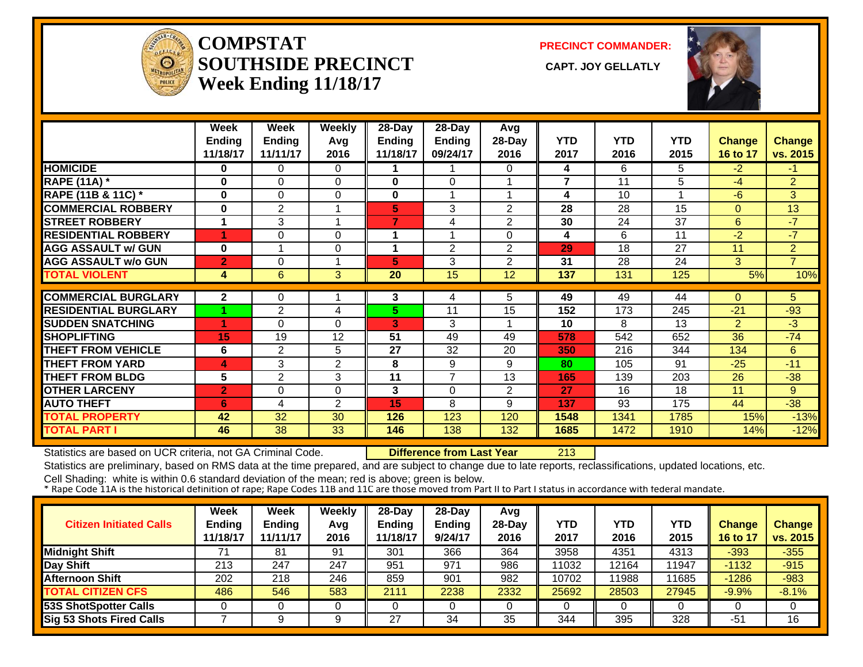

**COMPSTATSOUTHSIDE PRECINCT** CAPT. JOY GELLATLY **Week Ending 11/18/17**

**PRECINCT COMMANDER:**



|                             | Week           | Week          | Weekly         | 28-Day   | 28-Day         | Avg            |                |            |            |                |                |
|-----------------------------|----------------|---------------|----------------|----------|----------------|----------------|----------------|------------|------------|----------------|----------------|
|                             | <b>Ending</b>  | <b>Ending</b> | Avg            | Ending   | Ending         | 28-Day         | <b>YTD</b>     | <b>YTD</b> | <b>YTD</b> | <b>Change</b>  | <b>Change</b>  |
|                             | 11/18/17       | 11/11/17      | 2016           | 11/18/17 | 09/24/17       | 2016           | 2017           | 2016       | 2015       | 16 to 17       | vs. 2015       |
| <b>HOMICIDE</b>             | 0              | 0             | 0              |          |                | 0              | 4              | 6          | 5          | $-2$           | $-1$           |
| <b>RAPE (11A)</b> *         | $\bf{0}$       | $\Omega$      | $\Omega$       | 0        | $\Omega$       |                | $\overline{7}$ | 11         | 5          | -4             | $\overline{2}$ |
| RAPE (11B & 11C) *          | $\bf{0}$       | 0             | $\Omega$       | 0        | 1              |                | 4              | 10         |            | $-6$           | 3              |
| <b>COMMERCIAL ROBBERY</b>   | 0              | $\mathbf{2}$  | 1              | 5        | 3              | 2              | 28             | 28         | 15         | $\Omega$       | 13             |
| <b>STREET ROBBERY</b>       | 1              | 3             | 1              | 7        | 4              | $\overline{2}$ | 30             | 24         | 37         | 6              | $-7$           |
| <b>RESIDENTIAL ROBBERY</b>  | и              | $\Omega$      | $\Omega$       | 1        | 1              | 0              | 4              | 6          | 11         | $-2$           | $-7$           |
| <b>AGG ASSAULT w/ GUN</b>   | $\bf{0}$       | 1             | 0              | 1        | $\overline{2}$ | $\overline{2}$ | 29             | 18         | 27         | 11             | $\overline{2}$ |
| <b>AGG ASSAULT w/o GUN</b>  | $\overline{2}$ | $\Omega$      | 1              | 5        | 3              | $\overline{2}$ | 31             | 28         | 24         | 3              | $\overline{7}$ |
| <b>TOTAL VIOLENT</b>        | 4              | 6             | 3              | 20       | 15             | 12             | 137            | 131        | 125        | 5%             | 10%            |
|                             |                |               |                |          |                |                |                |            |            |                |                |
| <b>COMMERCIAL BURGLARY</b>  | $\overline{2}$ | 0             |                | 3        | 4              | 5              | 49             | 49         | 44         | $\Omega$       | 5.             |
| <b>RESIDENTIAL BURGLARY</b> |                | 2             | 4              | 5        | 11             | 15             | 152            | 173        | 245        | $-21$          | $-93$          |
| <b>SUDDEN SNATCHING</b>     | 4              | 0             | $\Omega$       | 3        | 3              |                | 10             | 8          | 13         | $\overline{2}$ | $-3$           |
| <b>SHOPLIFTING</b>          | 15             | 19            | 12             | 51       | 49             | 49             | 578            | 542        | 652        | 36             | $-74$          |
| <b>THEFT FROM VEHICLE</b>   | 6              | 2             | 5              | 27       | 32             | 20             | 350            | 216        | 344        | 134            | 6              |
| <b>THEFT FROM YARD</b>      | 4              | 3             | 2              | 8        | 9              | 9              | 80             | 105        | 91         | $-25$          | $-11$          |
| <b>THEFT FROM BLDG</b>      | 5              | 2             | 3              | 11       | $\overline{7}$ | 13             | 165            | 139        | 203        | 26             | $-38$          |
| <b>OTHER LARCENY</b>        | $\overline{2}$ | $\Omega$      | $\Omega$       | 3        | $\Omega$       | $\overline{2}$ | 27             | 16         | 18         | 11             | 9              |
| <b>AUTO THEFT</b>           | 6              | 4             | $\overline{2}$ | 15       | 8              | 9              | 137            | 93         | 175        | 44             | $-38$          |
| <b>TOTAL PROPERTY</b>       | 42             | 32            | 30             | 126      | 123            | 120            | 1548           | 1341       | 1785       | 15%            | $-13%$         |
| <b>TOTAL PART I</b>         | 46             | 38            | 33             | 146      | 138            | 132            | 1685           | 1472       | 1910       | 14%            | $-12%$         |

Statistics are based on UCR criteria, not GA Criminal Code. **Difference from Last Year** 213

Statistics are preliminary, based on RMS data at the time prepared, and are subject to change due to late reports, reclassifications, updated locations, etc.

| <b>Citizen Initiated Calls</b>  | Week<br><b>Ending</b><br>11/18/17 | Week<br><b>Ending</b><br>11/11/17 | Weekly<br>Avg<br>2016 | 28-Day<br>Ending<br>11/18/17 | $28-Dav$<br><b>Ending</b><br>9/24/17 | Avg<br>$28-Day$<br>2016 | YTD<br>2017 | YTD<br>2016 | <b>YTD</b><br>2015 | Change<br>16 to 17 | <b>Change</b><br>vs. 2015 |
|---------------------------------|-----------------------------------|-----------------------------------|-----------------------|------------------------------|--------------------------------------|-------------------------|-------------|-------------|--------------------|--------------------|---------------------------|
| <b>Midnight Shift</b>           | 71                                | 81                                | 91                    | 301                          | 366                                  | 364                     | 3958        | 4351        | 4313               | $-393$             | $-355$                    |
| Day Shift                       | 213                               | 247                               | 247                   | 951                          | 971                                  | 986                     | 11032       | 2164        | 11947              | $-1132$            | $-915$                    |
| <b>Afternoon Shift</b>          | 202                               | 218                               | 246                   | 859                          | 901                                  | 982                     | 10702       | 1988        | 11685              | $-1286$            | $-983$                    |
| <b>TOTAL CITIZEN CFS</b>        | 486                               | 546                               | 583                   | 2111                         | 2238                                 | 2332                    | 25692       | 28503       | 27945              | $-9.9%$            | $-8.1%$                   |
| 53S ShotSpotter Calls           |                                   |                                   |                       |                              |                                      |                         |             |             |                    |                    |                           |
| <b>Sig 53 Shots Fired Calls</b> |                                   |                                   |                       | 27                           | 34                                   | 35                      | 344         | 395         | 328                | -51                | 16                        |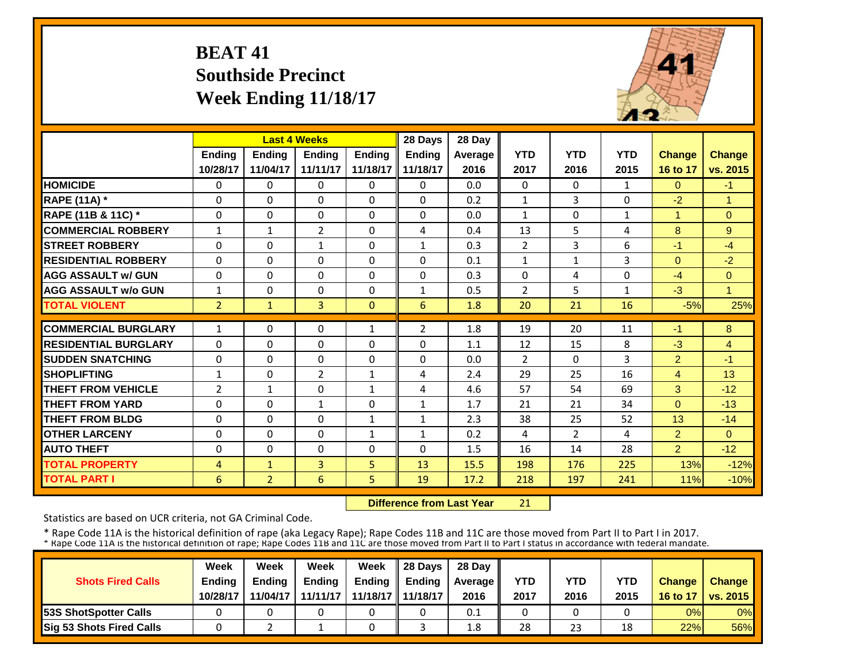# **BEAT 41 Southside Precinct Week Ending 11/18/17**



|                             |                | <b>Last 4 Weeks</b> |                |               | 28 Days        | 28 Day     |                |                |              |                                  |                |
|-----------------------------|----------------|---------------------|----------------|---------------|----------------|------------|----------------|----------------|--------------|----------------------------------|----------------|
|                             | Ending         | <b>Ending</b>       | <b>Ending</b>  | <b>Ending</b> | Ending         | Average    | <b>YTD</b>     | <b>YTD</b>     | <b>YTD</b>   | <b>Change</b>                    | <b>Change</b>  |
|                             | 10/28/17       | 11/04/17            | 11/11/17       | 11/18/17      | 11/18/17       | 2016       | 2017           | 2016           | 2015         | 16 to 17                         | vs. 2015       |
| <b>HOMICIDE</b>             | $\Omega$       | $\Omega$            | $\Omega$       | $\Omega$      | 0              | 0.0        | $\Omega$       | $\Omega$       | $\mathbf{1}$ | $\Omega$                         | $-1$           |
| <b>RAPE (11A)</b> *         | $\Omega$       | $\Omega$            | $\Omega$       | $\Omega$      | $\Omega$       | 0.2        | $\mathbf{1}$   | 3              | 0            | $-2$                             | $\overline{1}$ |
| RAPE (11B & 11C) *          | $\mathbf 0$    | $\Omega$            | $\Omega$       | $\Omega$      | $\Omega$       | 0.0        | $\mathbf{1}$   | $\Omega$       | $\mathbf{1}$ | 1                                | $\Omega$       |
| <b>COMMERCIAL ROBBERY</b>   | $\mathbf{1}$   | $\mathbf{1}$        | $\overline{2}$ | $\Omega$      | 4              | 0.4        | 13             | 5              | 4            | 8                                | 9              |
| <b>STREET ROBBERY</b>       | $\Omega$       | $\Omega$            | $\mathbf{1}$   | $\Omega$      | $\mathbf{1}$   | 0.3        | $\overline{2}$ | 3              | 6            | $-1$                             | $-4$           |
| <b>RESIDENTIAL ROBBERY</b>  | $\Omega$       | $\Omega$            | $\Omega$       | $\Omega$      | $\Omega$       | 0.1        | $\mathbf{1}$   | 1              | 3            | $\Omega$                         | $-2$           |
| <b>AGG ASSAULT w/ GUN</b>   | $\Omega$       | $\Omega$            | $\Omega$       | $\Omega$      | $\Omega$       | 0.3        | $\Omega$       | 4              | 0            | $-4$                             | $\Omega$       |
| <b>AGG ASSAULT w/o GUN</b>  | 1              | $\Omega$            | $\mathbf{0}$   | 0             | 1              | 0.5        | $\overline{2}$ | 5              | 1            | $-3$                             | $\overline{1}$ |
| <b>TOTAL VIOLENT</b>        | $\overline{2}$ | $\mathbf{1}$        | $\overline{3}$ | $\Omega$      | 6              | 1.8        | 20             | 21             | 16           | $-5%$                            | 25%            |
| <b>COMMERCIAL BURGLARY</b>  | $\mathbf{1}$   | $\Omega$            | $\Omega$       | $\mathbf{1}$  | $\overline{2}$ | 1.8        | 19             | 20             | 11           | $-1$                             | 8              |
| <b>RESIDENTIAL BURGLARY</b> | $\Omega$       | $\Omega$            | $\Omega$       | $\Omega$      | $\Omega$       | 1.1        | 12             | 15             | 8            | $-3$                             | $\overline{4}$ |
| <b>ISUDDEN SNATCHING</b>    | $\Omega$       | $\Omega$            | $\Omega$       | $\Omega$      | $\Omega$       | 0.0        | $\overline{2}$ | $\Omega$       | 3            |                                  | $-1$           |
| <b>SHOPLIFTING</b>          | $\mathbf{1}$   | $\Omega$            | $\overline{2}$ | $\mathbf{1}$  | 4              | 2.4        | 29             | 25             | 16           | $\overline{2}$<br>$\overline{4}$ | 13             |
| <b>THEFT FROM VEHICLE</b>   | $\overline{2}$ | $\mathbf{1}$        | $\Omega$       | $\mathbf{1}$  | 4              | 4.6        | 57             | 54             | 69           | 3                                | $-12$          |
| <b>THEFT FROM YARD</b>      | 0              | $\Omega$            | 1              | 0             | 1              | 1.7        | 21             | 21             | 34           | $\Omega$                         | $-13$          |
| <b>THEFT FROM BLDG</b>      | 0              | $\Omega$            | $\Omega$       | 1             | 1              | 2.3        | 38             | 25             | 52           | 13                               | $-14$          |
| <b>OTHER LARCENY</b>        | 0              | $\Omega$            | $\Omega$       | $\mathbf{1}$  | $\mathbf{1}$   |            | 4              | $\overline{2}$ | 4            |                                  | $\Omega$       |
| <b>AUTO THEFT</b>           | $\Omega$       | $\Omega$            | $\Omega$       | $\Omega$      | 0              | 0.2<br>1.5 | 16             | 14             | 28           | $\overline{2}$<br>$\overline{2}$ | $-12$          |
| <b>TOTAL PROPERTY</b>       | 4              | $\mathbf{1}$        | 3              | 5             | 13             | 15.5       | 198            | 176            | 225          | 13%                              | $-12%$         |
|                             |                |                     |                |               |                |            |                |                |              |                                  |                |
| <b>TOTAL PART I</b>         | 6              | $\overline{2}$      | 6              | 5             | 19             | 17.2       | 218            | 197            | 241          | 11%                              | $-10%$         |

 **Difference from Last Year**21

Statistics are based on UCR criteria, not GA Criminal Code.

|                                 | Week          | Week          | Week     | Week                | 28 Davs       | 28 Day    |      |      |            |               |                     |
|---------------------------------|---------------|---------------|----------|---------------------|---------------|-----------|------|------|------------|---------------|---------------------|
| <b>Shots Fired Calls</b>        | <b>Endina</b> | <b>Endina</b> | Ending   | <b>Ending</b>       | <b>Endina</b> | Average I | YTD  | YTD  | <b>YTD</b> | <b>Change</b> | <b>Change</b>       |
|                                 | 10/28/17      | 11/04/17      | 11/11/17 | 11/18/17   11/18/17 |               | 2016      | 2017 | 2016 | 2015       |               | 16 to 17   vs. 2015 |
| <b>153S ShotSpotter Calls</b>   |               |               |          |                     |               | 0.1       |      |      |            | 0%            | $0\%$               |
| <b>Sig 53 Shots Fired Calls</b> |               |               |          |                     |               | 1.8       | 28   | 23   | 18         | 22%           | <b>56%</b>          |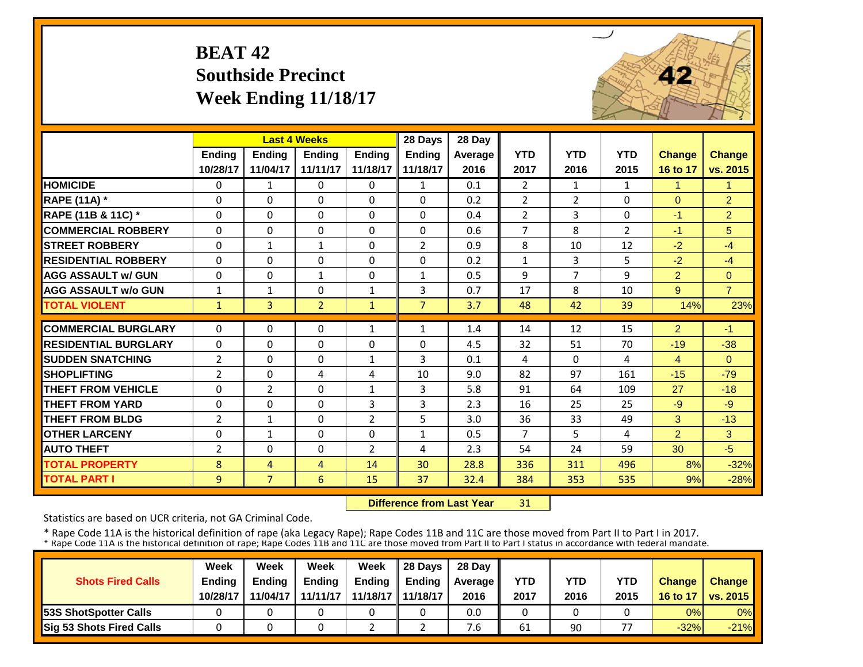# **BEAT 42 Southside Precinct Week Ending 11/18/17**



|                             |                | <b>Last 4 Weeks</b> |                |                | 28 Days        | 28 Day  |                |                |                |                |                |
|-----------------------------|----------------|---------------------|----------------|----------------|----------------|---------|----------------|----------------|----------------|----------------|----------------|
|                             | Ending         | <b>Ending</b>       | <b>Endina</b>  | <b>Endina</b>  | <b>Ending</b>  | Average | <b>YTD</b>     | <b>YTD</b>     | <b>YTD</b>     | Change         | <b>Change</b>  |
|                             | 10/28/17       | 11/04/17            | 11/11/17       | 11/18/17       | 11/18/17       | 2016    | 2017           | 2016           | 2015           | 16 to 17       | vs. 2015       |
| <b>HOMICIDE</b>             | $\Omega$       | $\mathbf{1}$        | $\Omega$       | $\Omega$       | $\mathbf{1}$   | 0.1     | 2              | 1              | $\mathbf{1}$   | 1              | $\mathbf{1}$   |
| <b>RAPE (11A)</b> *         | $\Omega$       | $\Omega$            | $\Omega$       | $\Omega$       | $\Omega$       | 0.2     | $\overline{2}$ | $\overline{2}$ | 0              | $\Omega$       | $\overline{2}$ |
| RAPE (11B & 11C) *          | $\Omega$       | $\Omega$            | $\Omega$       | $\Omega$       | $\Omega$       | 0.4     | $\overline{2}$ | 3              | 0              | $-1$           | $\overline{2}$ |
| <b>COMMERCIAL ROBBERY</b>   | $\Omega$       | $\Omega$            | $\Omega$       | $\Omega$       | $\Omega$       | 0.6     | $\overline{7}$ | 8              | $\overline{2}$ | $-1$           | 5              |
| <b>STREET ROBBERY</b>       | $\Omega$       | $\mathbf{1}$        | $\mathbf{1}$   | $\Omega$       | $\overline{2}$ | 0.9     | 8              | 10             | 12             | $-2$           | $-4$           |
| <b>RESIDENTIAL ROBBERY</b>  | $\Omega$       | $\Omega$            | $\Omega$       | $\Omega$       | $\Omega$       | 0.2     | $\mathbf{1}$   | 3              | 5              | $-2$           | $-4$           |
| <b>AGG ASSAULT w/ GUN</b>   | $\Omega$       | $\Omega$            | $\mathbf{1}$   | $\Omega$       | $\mathbf{1}$   | 0.5     | 9              | $\overline{7}$ | 9              | $\overline{2}$ | $\Omega$       |
| <b>AGG ASSAULT w/o GUN</b>  | $\mathbf{1}$   | 1                   | 0              | 1              | 3              | 0.7     | 17             | 8              | 10             | 9              | $\overline{7}$ |
| <b>TOTAL VIOLENT</b>        | $\mathbf{1}$   | $\overline{3}$      | $\overline{2}$ | $\mathbf{1}$   | $\overline{7}$ | 3.7     | 48             | 42             | 39             | 14%            | 23%            |
| <b>COMMERCIAL BURGLARY</b>  | $\Omega$       | $\Omega$            | $\Omega$       | 1              | $\mathbf{1}$   | 1.4     | 14             | 12             | 15             | $\overline{2}$ | $-1$           |
| <b>RESIDENTIAL BURGLARY</b> | $\Omega$       | $\Omega$            | $\Omega$       | 0              | $\Omega$       | 4.5     | 32             | 51             | 70             | $-19$          | $-38$          |
| <b>ISUDDEN SNATCHING</b>    | $\overline{2}$ | $\Omega$            | $\Omega$       | $\mathbf{1}$   | 3              | 0.1     | 4              | $\Omega$       | 4              | 4              | $\Omega$       |
| <b>SHOPLIFTING</b>          | $\overline{2}$ | $\Omega$            | 4              | 4              | 10             | 9.0     | 82             | 97             | 161            | $-15$          | $-79$          |
| <b>THEFT FROM VEHICLE</b>   | $\Omega$       | 2                   | $\Omega$       | $\mathbf{1}$   | 3              | 5.8     | 91             | 64             | 109            | 27             | $-18$          |
| <b>THEFT FROM YARD</b>      | 0              | 0                   | 0              | 3              | 3              | 2.3     | 16             | 25             | 25             | $-9$           | $-9$           |
| <b>THEFT FROM BLDG</b>      | $\overline{2}$ | $\mathbf{1}$        | 0              | 2              | 5              | 3.0     | 36             | 33             | 49             | 3              | $-13$          |
| <b>OTHER LARCENY</b>        | $\Omega$       | $\mathbf{1}$        | $\Omega$       | $\Omega$       | $\mathbf{1}$   | 0.5     | $\overline{7}$ | 5.             | 4              | $\overline{2}$ | 3              |
| <b>AUTO THEFT</b>           | $\overline{2}$ | $\Omega$            | $\Omega$       | $\overline{2}$ | 4              | 2.3     | 54             | 24             | 59             | 30             | $-5$           |
| <b>TOTAL PROPERTY</b>       | 8              | 4                   | 4              | 14             | 30             | 28.8    | 336            | 311            | 496            | 8%             | $-32%$         |
| <b>TOTAL PART I</b>         | 9              | 7 <sup>1</sup>      | 6              | 15             | 37             | 32.4    | 384            | 353            | 535            | 9%             | $-28%$         |

 **Difference from Last Year**31

Statistics are based on UCR criteria, not GA Criminal Code.

|                               | Week     | Week     | Week          | Week                | Il 28 Davs    | 28 Day         |      |      |      |               |                 |
|-------------------------------|----------|----------|---------------|---------------------|---------------|----------------|------|------|------|---------------|-----------------|
| <b>Shots Fired Calls</b>      | Ending   | Ending   | <b>Ending</b> | <b>Ending</b>       | <b>Ending</b> | <b>Average</b> | YTD  | YTD  | YTD  | <b>Change</b> | <b>Change</b>   |
|                               | 10/28/17 | 11/04/17 | 11/11/17      | 11/18/17   11/18/17 |               | 2016           | 2017 | 2016 | 2015 | 16 to 17      | <b>vs. 2015</b> |
| <b>153S ShotSpotter Calls</b> |          |          |               |                     |               | 0.0            |      |      |      | 0%            | 0%              |
| Sig 53 Shots Fired Calls      |          |          |               |                     |               | ∕.b            | 61   | 90   | $-1$ | $-32%$        | $-21%$          |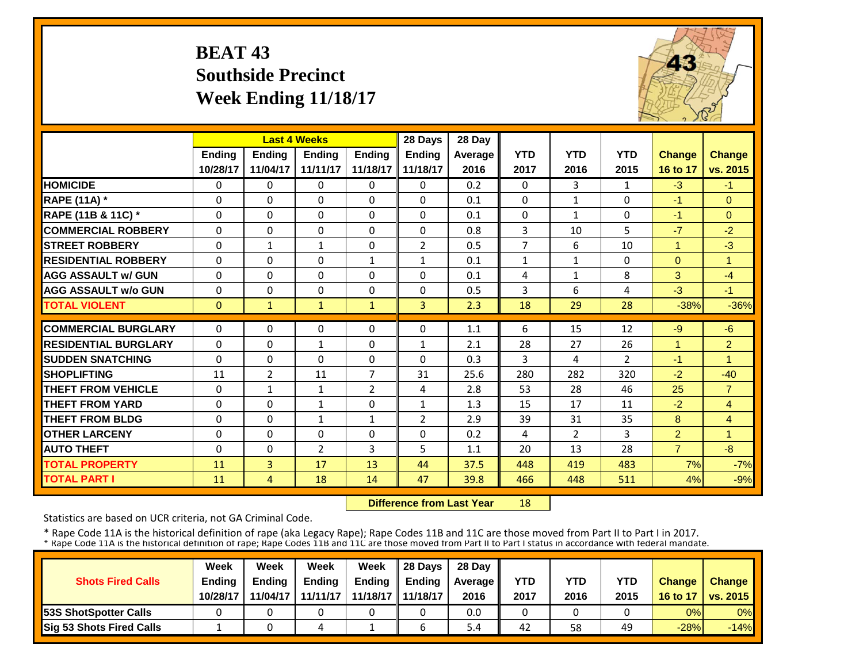# **BEAT 43 Southside Precinct Week Ending 11/18/17**



|                             |               | <b>Last 4 Weeks</b> |                |                | 28 Days        | 28 Day  |                |                |                |                |                |
|-----------------------------|---------------|---------------------|----------------|----------------|----------------|---------|----------------|----------------|----------------|----------------|----------------|
|                             | <b>Ending</b> | <b>Endina</b>       | <b>Endina</b>  | <b>Endina</b>  | <b>Ending</b>  | Average | <b>YTD</b>     | <b>YTD</b>     | <b>YTD</b>     | <b>Change</b>  | <b>Change</b>  |
|                             | 10/28/17      | 11/04/17            | 11/11/17       | 11/18/17       | 11/18/17       | 2016    | 2017           | 2016           | 2015           | 16 to 17       | vs. 2015       |
| <b>HOMICIDE</b>             | $\Omega$      | $\Omega$            | $\Omega$       | $\Omega$       | 0              | 0.2     | $\Omega$       | 3              | $\mathbf{1}$   | $-3$           | $-1$           |
| <b>RAPE (11A) *</b>         | $\Omega$      | $\Omega$            | $\Omega$       | $\Omega$       | 0              | 0.1     | $\Omega$       | $\mathbf{1}$   | 0              | $-1$           | $\Omega$       |
| RAPE (11B & 11C) *          | $\mathbf 0$   | $\Omega$            | $\Omega$       | $\Omega$       | $\Omega$       | 0.1     | $\mathbf 0$    | $\mathbf{1}$   | 0              | $-1$           | $\Omega$       |
| <b>COMMERCIAL ROBBERY</b>   | $\Omega$      | $\Omega$            | $\Omega$       | $\Omega$       | 0              | 0.8     | $\overline{3}$ | 10             | 5              | $-7$           | $-2$           |
| <b>ISTREET ROBBERY</b>      | $\Omega$      | 1                   | $\mathbf{1}$   | $\Omega$       | $\overline{2}$ | 0.5     | $\overline{7}$ | 6              | 10             | 1              | $-3$           |
| <b>RESIDENTIAL ROBBERY</b>  | $\Omega$      | $\Omega$            | $\Omega$       | $\mathbf{1}$   | $\mathbf{1}$   | 0.1     | $\mathbf{1}$   | $\mathbf{1}$   | 0              | $\Omega$       | 1              |
| <b>AGG ASSAULT w/ GUN</b>   | $\Omega$      | $\Omega$            | $\Omega$       | $\Omega$       | 0              | 0.1     | 4              | $\mathbf{1}$   | 8              | 3              | $-4$           |
| <b>AGG ASSAULT w/o GUN</b>  | $\Omega$      | $\Omega$            | $\Omega$       | $\Omega$       | 0              | 0.5     | 3              | 6              | 4              | $-3$           | $-1$           |
| <b>TOTAL VIOLENT</b>        | $\mathbf{0}$  | $\mathbf{1}$        | $\mathbf{1}$   | $\mathbf{1}$   | $\overline{3}$ | 2.3     | 18             | 29             | 28             | $-38%$         | $-36%$         |
| <b>COMMERCIAL BURGLARY</b>  | $\Omega$      | $\Omega$            | $\Omega$       | $\Omega$       | 0              | 1.1     | 6              | 15             | 12             | $-9$           | $-6$           |
| <b>RESIDENTIAL BURGLARY</b> | $\Omega$      | $\Omega$            | $\mathbf{1}$   | 0              | 1              | 2.1     | 28             | 27             | 26             | 1              | $\overline{2}$ |
| <b>ISUDDEN SNATCHING</b>    | $\Omega$      | $\Omega$            | $\Omega$       | $\Omega$       | 0              | 0.3     | 3              | 4              | $\overline{2}$ | $-1$           | $\overline{1}$ |
| <b>SHOPLIFTING</b>          | 11            | 2                   | 11             | 7              | 31             | 25.6    | 280            | 282            | 320            | $-2$           | $-40$          |
| <b>THEFT FROM VEHICLE</b>   | $\Omega$      | $\mathbf{1}$        | 1              | $\overline{2}$ | 4              | 2.8     | 53             | 28             | 46             | 25             | $\overline{7}$ |
| <b>THEFT FROM YARD</b>      | $\Omega$      | $\Omega$            | 1              | $\Omega$       | $\mathbf{1}$   | 1.3     | 15             | 17             | 11             | $-2$           | $\overline{4}$ |
| <b>THEFT FROM BLDG</b>      | $\Omega$      | $\Omega$            | $\mathbf{1}$   | 1              | $\overline{2}$ | 2.9     | 39             | 31             | 35             | 8              | $\overline{4}$ |
| <b>OTHER LARCENY</b>        | $\Omega$      | $\Omega$            | $\Omega$       | $\Omega$       | 0              | 0.2     | 4              | $\overline{2}$ | 3              | 2              | $\overline{1}$ |
| <b>AUTO THEFT</b>           | $\Omega$      | $\Omega$            | $\overline{2}$ | 3              | 5              | 1.1     | 20             | 13             | 28             | $\overline{7}$ | $-8$           |
| <b>TOTAL PROPERTY</b>       | 11            | $\overline{3}$      | 17             | 13             | 44             | 37.5    | 448            | 419            | 483            | 7%             | $-7%$          |
| <b>TOTAL PART I</b>         | 11            | 4                   | 18             | 14             | 47             | 39.8    | 466            | 448            | 511            | 4%             | $-9%$          |

 **Difference from Last Year**18

Statistics are based on UCR criteria, not GA Criminal Code.

|                               | Week          | Week          | Week          | Week                | $\parallel$ 28 Davs | 28 Day    |      |      |      |               |                     |
|-------------------------------|---------------|---------------|---------------|---------------------|---------------------|-----------|------|------|------|---------------|---------------------|
| <b>Shots Fired Calls</b>      | <b>Ending</b> | <b>Ending</b> | <b>Ending</b> | <b>Ending</b>       | <b>Ending</b>       | Average I | YTD  | YTD  | YTD  | <b>Change</b> | <b>Change</b>       |
|                               | 10/28/17      | 11/04/17      | 11/11/17      | 11/18/17   11/18/17 |                     | 2016      | 2017 | 2016 | 2015 |               | 16 to 17   vs. 2015 |
| <b>153S ShotSpotter Calls</b> |               |               |               |                     |                     | 0.0       |      |      |      | 0%            | $0\%$               |
| Sig 53 Shots Fired Calls      |               |               |               |                     |                     | 5.4       | 42   | 58   | 49   | $-28%$        | $-14%$              |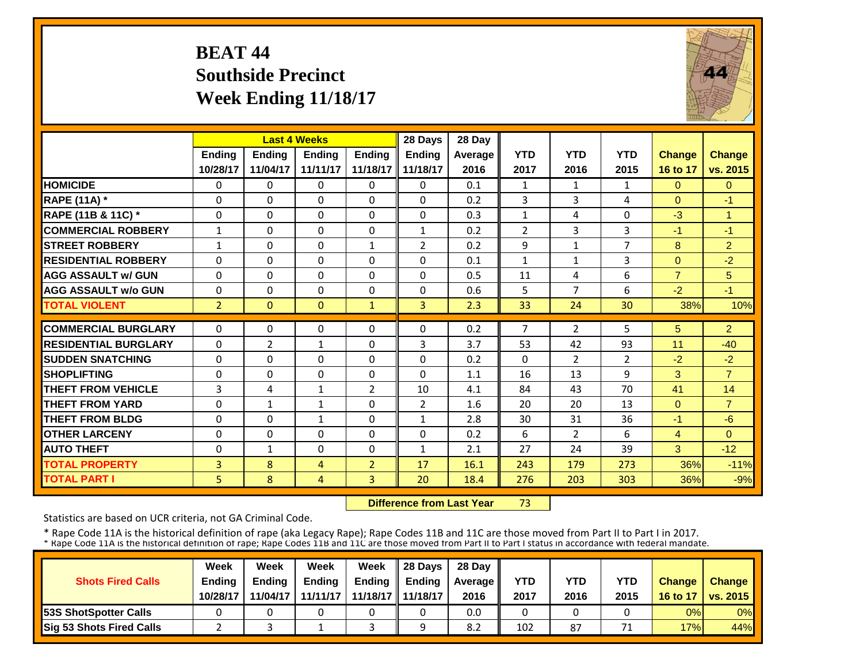# **BEAT 44 Southside Precinct Week Ending 11/18/17**



|                             |                | <b>Last 4 Weeks</b> |               |                | 28 Days        | 28 Day  |                |                |                |                |                |
|-----------------------------|----------------|---------------------|---------------|----------------|----------------|---------|----------------|----------------|----------------|----------------|----------------|
|                             | <b>Endina</b>  | <b>Ending</b>       | <b>Endina</b> | <b>Endina</b>  | <b>Ending</b>  | Average | <b>YTD</b>     | <b>YTD</b>     | <b>YTD</b>     | <b>Change</b>  | <b>Change</b>  |
|                             | 10/28/17       | 11/04/17            | 11/11/17      | 11/18/17       | 11/18/17       | 2016    | 2017           | 2016           | 2015           | 16 to 17       | vs. 2015       |
| <b>HOMICIDE</b>             | $\Omega$       | 0                   | $\Omega$      | $\Omega$       | $\Omega$       | 0.1     | $\mathbf{1}$   | $\mathbf{1}$   | $\mathbf{1}$   | $\Omega$       | $\Omega$       |
| <b>RAPE (11A) *</b>         | $\Omega$       | $\Omega$            | $\Omega$      | $\Omega$       | $\Omega$       | 0.2     | 3              | 3              | 4              | $\Omega$       | $-1$           |
| RAPE (11B & 11C) *          | $\mathbf 0$    | 0                   | $\mathbf 0$   | $\Omega$       | $\mathbf 0$    | 0.3     | $\mathbf{1}$   | 4              | 0              | $-3$           | $\overline{1}$ |
| <b>COMMERCIAL ROBBERY</b>   | $\mathbf{1}$   | $\Omega$            | $\Omega$      | $\Omega$       | $\mathbf{1}$   | 0.2     | $\overline{2}$ | 3              | 3              | $-1$           | $-1$           |
| <b>STREET ROBBERY</b>       | $\mathbf{1}$   | $\Omega$            | 0             | $\mathbf{1}$   | 2              | 0.2     | 9              | $\mathbf{1}$   | $\overline{7}$ | 8              | $\overline{2}$ |
| <b>RESIDENTIAL ROBBERY</b>  | $\Omega$       | 0                   | $\Omega$      | $\Omega$       | $\Omega$       | 0.1     | $\mathbf{1}$   | $\mathbf{1}$   | 3              | $\Omega$       | $-2$           |
| <b>AGG ASSAULT w/ GUN</b>   | $\Omega$       | 0                   | 0             | 0              | $\Omega$       | 0.5     | 11             | 4              | 6              | $\overline{7}$ | 5 <sup>5</sup> |
| <b>AGG ASSAULT w/o GUN</b>  | $\Omega$       | 0                   | $\Omega$      | $\Omega$       | 0              | 0.6     | 5              | $\overline{7}$ | 6              | $-2$           | $-1$           |
| <b>TOTAL VIOLENT</b>        | $\overline{2}$ | $\Omega$            | $\Omega$      | $\mathbf{1}$   | 3              | 2.3     | 33             | 24             | 30             | 38%            | 10%            |
| <b>COMMERCIAL BURGLARY</b>  | $\Omega$       | 0                   | $\Omega$      | $\Omega$       | 0              | 0.2     | 7              | $\overline{2}$ | 5              | 5              | $\overline{2}$ |
| <b>RESIDENTIAL BURGLARY</b> | $\Omega$       | $\overline{2}$      | 1             | $\Omega$       | 3              | 3.7     | 53             | 42             | 93             | 11             | $-40$          |
| <b>SUDDEN SNATCHING</b>     | $\Omega$       | $\Omega$            | $\Omega$      | 0              | $\Omega$       | 0.2     | $\Omega$       | $\overline{2}$ | $\overline{2}$ | $-2$           | $-2$           |
| <b>SHOPLIFTING</b>          | $\Omega$       | $\Omega$            | $\Omega$      | $\Omega$       | $\Omega$       | 1.1     | 16             | 13             | 9              | 3              | $\overline{7}$ |
| <b>THEFT FROM VEHICLE</b>   | 3              | 4                   | $\mathbf{1}$  | 2              | 10             | 4.1     | 84             | 43             | 70             | 41             | 14             |
| <b>THEFT FROM YARD</b>      | $\Omega$       | $\mathbf{1}$        | $\mathbf{1}$  | $\Omega$       | $\overline{2}$ | 1.6     | 20             | 20             | 13             | $\Omega$       | $\overline{7}$ |
| <b>THEFT FROM BLDG</b>      | $\Omega$       | $\Omega$            | $\mathbf{1}$  | $\Omega$       | $\mathbf{1}$   | 2.8     | 30             | 31             | 36             | $-1$           | $-6$           |
| <b>OTHER LARCENY</b>        | $\Omega$       | $\Omega$            | $\Omega$      | $\Omega$       | $\Omega$       | 0.2     | 6              | $\overline{2}$ | 6              | $\overline{4}$ | $\Omega$       |
| <b>AUTO THEFT</b>           | $\mathbf 0$    | $\mathbf{1}$        | $\Omega$      | $\Omega$       | $\mathbf{1}$   | 2.1     | 27             | 24             | 39             | 3              | $-12$          |
| <b>TOTAL PROPERTY</b>       | 3              | 8                   | 4             | $\overline{2}$ | 17             | 16.1    | 243            | 179            | 273            | 36%            | $-11%$         |
|                             | 5 <sup>1</sup> | 8                   |               | $\overline{3}$ | 20             | 18.4    | 276            | 203            | 303            |                |                |
| <b>TOTAL PART I</b>         |                |                     | 4             |                |                |         |                |                |                | 36%            | $-9%$          |

 **Difference from Last Year**73

Statistics are based on UCR criteria, not GA Criminal Code.

|                               | Week          | Week          | Week          | Week                | $\parallel$ 28 Davs | 28 Day    |      |      |            |               |                     |
|-------------------------------|---------------|---------------|---------------|---------------------|---------------------|-----------|------|------|------------|---------------|---------------------|
| <b>Shots Fired Calls</b>      | <b>Ending</b> | <b>Ending</b> | <b>Ending</b> | <b>Ending</b>       | <b>Ending</b>       | Average I | YTD  | YTD  | <b>YTD</b> | <b>Change</b> | <b>Change</b>       |
|                               | 10/28/17      | 11/04/17      | 11/11/17      | 11/18/17   11/18/17 |                     | 2016      | 2017 | 2016 | 2015       |               | 16 to 17   vs. 2015 |
| <b>153S ShotSpotter Calls</b> |               |               |               |                     |                     | 0.0       |      |      |            | 0%            | $0\%$               |
| Sig 53 Shots Fired Calls      |               |               |               |                     |                     | 8.2       | 102  | 87   | 74         | 17%           | 44%                 |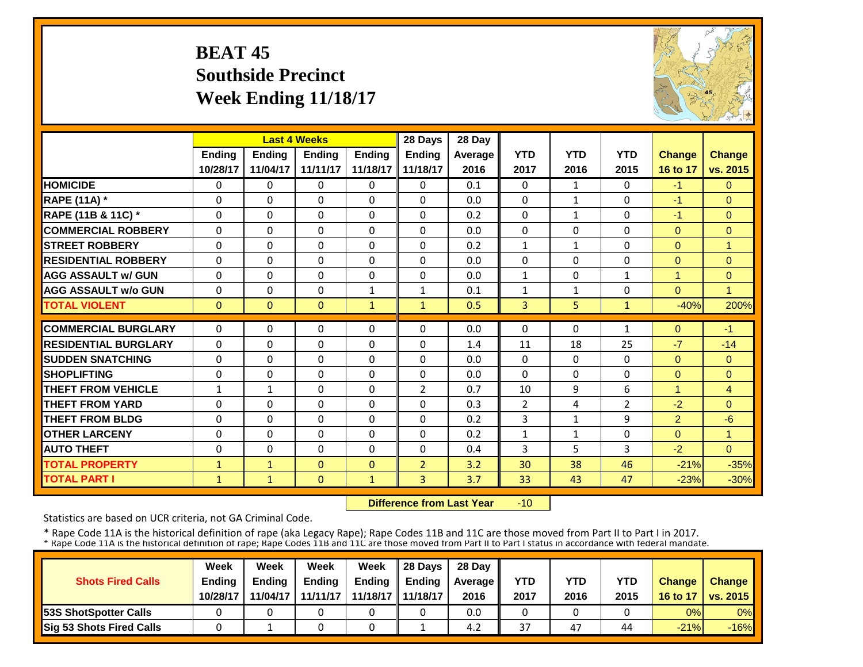## **BEAT 45 Southside Precinct Week Ending 11/18/17**



|                             |               | <b>Last 4 Weeks</b> |               |               | 28 Days        | 28 Day  |                |              |              |                |                |
|-----------------------------|---------------|---------------------|---------------|---------------|----------------|---------|----------------|--------------|--------------|----------------|----------------|
|                             | <b>Ending</b> | Ending              | <b>Ending</b> | <b>Endina</b> | <b>Ending</b>  | Average | <b>YTD</b>     | <b>YTD</b>   | <b>YTD</b>   | <b>Change</b>  | <b>Change</b>  |
|                             | 10/28/17      | 11/04/17            | 11/11/17      | 11/18/17      | 11/18/17       | 2016    | 2017           | 2016         | 2015         | 16 to 17       | vs. 2015       |
| <b>HOMICIDE</b>             | $\Omega$      | $\Omega$            | $\Omega$      | $\Omega$      | $\Omega$       | 0.1     | $\Omega$       | $\mathbf{1}$ | 0            | $-1$           | $\Omega$       |
| <b>RAPE (11A) *</b>         | $\Omega$      | $\Omega$            | $\Omega$      | $\Omega$      | $\Omega$       | 0.0     | $\Omega$       | $\mathbf{1}$ | 0            | $-1$           | $\Omega$       |
| RAPE (11B & 11C) *          | $\Omega$      | $\Omega$            | $\Omega$      | $\Omega$      | $\Omega$       | 0.2     | $\Omega$       | $\mathbf{1}$ | $\Omega$     | $-1$           | $\Omega$       |
| <b>COMMERCIAL ROBBERY</b>   | $\mathbf 0$   | $\Omega$            | $\Omega$      | $\Omega$      | 0              | 0.0     | $\Omega$       | $\Omega$     | 0            | $\Omega$       | $\overline{0}$ |
| <b>STREET ROBBERY</b>       | 0             | $\Omega$            | $\Omega$      | $\Omega$      | 0              | 0.2     | $\mathbf{1}$   | $\mathbf{1}$ | 0            | $\Omega$       | $\mathbf{1}$   |
| <b>RESIDENTIAL ROBBERY</b>  | $\Omega$      | $\Omega$            | $\Omega$      | $\Omega$      | $\Omega$       | 0.0     | $\Omega$       | $\Omega$     | 0            | $\Omega$       | $\Omega$       |
| <b>AGG ASSAULT w/ GUN</b>   | $\Omega$      | $\Omega$            | $\Omega$      | $\Omega$      | $\Omega$       | 0.0     | $\mathbf{1}$   | $\Omega$     | 1            | 1              | $\mathbf{0}$   |
| <b>AGG ASSAULT w/o GUN</b>  | 0             | $\Omega$            | $\Omega$      | $\mathbf{1}$  | $\mathbf{1}$   | 0.1     | $\mathbf{1}$   | $\mathbf{1}$ | 0            | $\mathbf{0}$   | 1              |
| <b>TOTAL VIOLENT</b>        | $\mathbf{0}$  | $\mathbf{0}$        | $\mathbf{0}$  | $\mathbf{1}$  | $\mathbf{1}$   | 0.5     | $\overline{3}$ | 5.           | $\mathbf{1}$ | $-40%$         | 200%           |
| <b>COMMERCIAL BURGLARY</b>  | $\Omega$      | $\Omega$            | $\Omega$      | 0             | 0              | 0.0     | $\Omega$       | $\Omega$     | 1            | $\Omega$       | $-1$           |
| <b>RESIDENTIAL BURGLARY</b> | $\Omega$      |                     |               |               | $\Omega$       |         |                |              |              | $-7$           |                |
|                             |               | $\Omega$            | $\Omega$      | 0             |                | 1.4     | 11             | 18           | 25           |                | $-14$          |
| <b>SUDDEN SNATCHING</b>     | $\Omega$      | $\Omega$            | $\Omega$      | $\Omega$      | 0              | 0.0     | $\Omega$       | $\Omega$     | 0            | $\Omega$       | $\Omega$       |
| <b>SHOPLIFTING</b>          | 0             | $\Omega$            | $\Omega$      | $\Omega$      | $\Omega$       | 0.0     | $\Omega$       | $\Omega$     | 0            | $\Omega$       | $\Omega$       |
| <b>THEFT FROM VEHICLE</b>   | $\mathbf{1}$  | $\mathbf{1}$        | $\Omega$      | $\Omega$      | $\overline{2}$ | 0.7     | 10             | 9            | 6            | $\overline{4}$ | $\overline{4}$ |
| <b>THEFT FROM YARD</b>      | 0             | 0                   | 0             | $\Omega$      | 0              | 0.3     | $\overline{2}$ | 4            | 2            | $-2$           | $\overline{0}$ |
| <b>THEFT FROM BLDG</b>      | $\Omega$      | $\Omega$            | 0             | 0             | 0              | 0.2     | 3              | $\mathbf{1}$ | 9            | $\overline{2}$ | $-6$           |
| <b>OTHER LARCENY</b>        | $\Omega$      | $\Omega$            | $\Omega$      | $\Omega$      | $\Omega$       | 0.2     | $\mathbf{1}$   | $\mathbf{1}$ | 0            | $\Omega$       | $\overline{1}$ |
| <b>AUTO THEFT</b>           | $\Omega$      | $\Omega$            | $\Omega$      | 0             | 0              | 0.4     | 3              | 5.           | 3            | $-2$           | $\Omega$       |
| <b>TOTAL PROPERTY</b>       | $\mathbf{1}$  | $\mathbf{1}$        | $\Omega$      | $\Omega$      | $\overline{2}$ | 3.2     | 30             | 38           | 46           | $-21%$         | $-35%$         |
| <b>TOTAL PART I</b>         | $\mathbf{1}$  | $\mathbf{1}$        | $\mathbf{0}$  | $\mathbf{1}$  | $\overline{3}$ | 3.7     | 33             | 43           | 47           | $-23%$         | $-30%$         |

 **Difference from Last Year** $-10$ 

Statistics are based on UCR criteria, not GA Criminal Code.

|                               | Week          | Week          | Week          | Week                | $\parallel$ 28 Davs | 28 Day    |      |      |            |               |                     |
|-------------------------------|---------------|---------------|---------------|---------------------|---------------------|-----------|------|------|------------|---------------|---------------------|
| <b>Shots Fired Calls</b>      | <b>Ending</b> | <b>Ending</b> | <b>Ending</b> | <b>Ending</b>       | <b>Ending</b>       | Average I | YTD  | YTD  | <b>YTD</b> | <b>Change</b> | <b>Change</b>       |
|                               | 10/28/17      | 11/04/17      | 11/11/17      | 11/18/17   11/18/17 |                     | 2016      | 2017 | 2016 | 2015       |               | 16 to 17   vs. 2015 |
| <b>153S ShotSpotter Calls</b> |               |               |               |                     |                     | 0.0       |      |      |            | 0%            | $0\%$               |
| Sig 53 Shots Fired Calls      |               |               |               |                     |                     | 4.2       | 37   | 47   | 44         | $-21%$        | $-16%$              |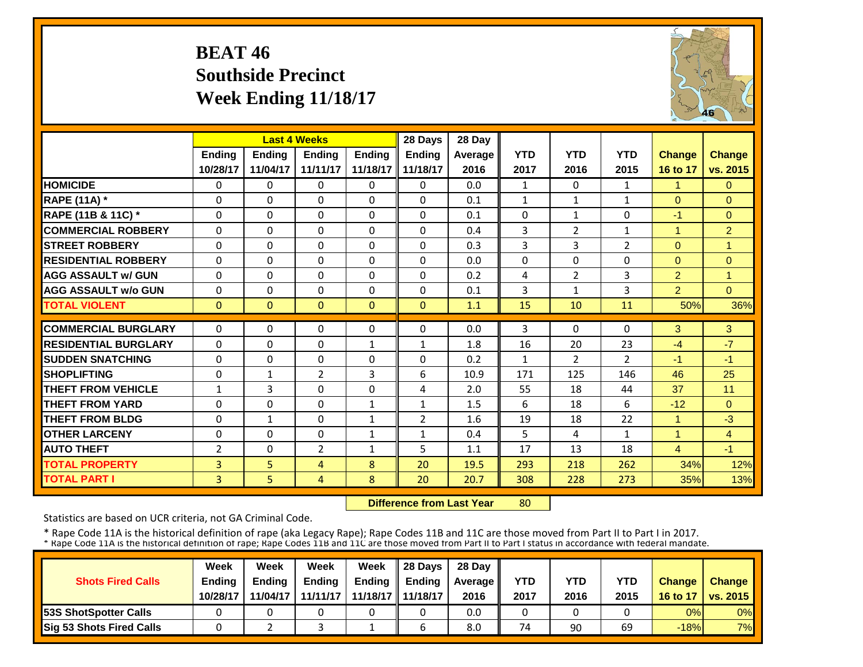## **BEAT 46 Southside Precinct Week Ending 11/18/17**



|                             |                | <b>Last 4 Weeks</b> |                |               | 28 Days        | 28 Day  |                |                |                |                |                |
|-----------------------------|----------------|---------------------|----------------|---------------|----------------|---------|----------------|----------------|----------------|----------------|----------------|
|                             | <b>Ending</b>  | Ending              | Ending         | <b>Ending</b> | <b>Ending</b>  | Average | <b>YTD</b>     | <b>YTD</b>     | <b>YTD</b>     | <b>Change</b>  | Change         |
|                             | 10/28/17       | 11/04/17            | 11/11/17       | 11/18/17      | 11/18/17       | 2016    | 2017           | 2016           | 2015           | 16 to 17       | vs. 2015       |
| <b>HOMICIDE</b>             | $\Omega$       | $\Omega$            | $\Omega$       | 0             | $\Omega$       | 0.0     | $\mathbf{1}$   | $\Omega$       | $\mathbf{1}$   | 1              | $\Omega$       |
| <b>RAPE (11A) *</b>         | $\Omega$       | $\Omega$            | $\Omega$       | $\Omega$      | 0              | 0.1     | $\mathbf{1}$   | $\mathbf{1}$   | 1              | $\Omega$       | $\Omega$       |
| RAPE (11B & 11C) *          | $\Omega$       | $\Omega$            | $\Omega$       | 0             | $\Omega$       | 0.1     | $\Omega$       | $\mathbf{1}$   | 0              | $-1$           | $\Omega$       |
| <b>COMMERCIAL ROBBERY</b>   | $\Omega$       | $\Omega$            | $\Omega$       | $\Omega$      | $\Omega$       | 0.4     | $\overline{3}$ | $\overline{2}$ | $\mathbf{1}$   | 1              | $\overline{2}$ |
| <b>STREET ROBBERY</b>       | $\Omega$       | $\Omega$            | $\Omega$       | $\Omega$      | $\Omega$       | 0.3     | 3              | 3              | 2              | $\Omega$       | $\overline{1}$ |
| <b>RESIDENTIAL ROBBERY</b>  | $\Omega$       | $\Omega$            | $\Omega$       | $\Omega$      | $\Omega$       | 0.0     | $\Omega$       | $\Omega$       | 0              | $\Omega$       | $\overline{0}$ |
| <b>AGG ASSAULT w/ GUN</b>   | $\Omega$       | $\Omega$            | $\Omega$       | $\Omega$      | 0              | 0.2     | 4              | $\overline{2}$ | 3              | $\overline{2}$ | $\overline{1}$ |
| <b>AGG ASSAULT w/o GUN</b>  | $\Omega$       | $\Omega$            | $\Omega$       | $\Omega$      | $\Omega$       | 0.1     | 3              | 1              | 3              | $\overline{2}$ | $\Omega$       |
| <b>TOTAL VIOLENT</b>        | $\Omega$       | $\overline{0}$      | $\Omega$       | $\Omega$      | $\Omega$       | 1.1     | 15             | 10             | 11             | 50%            | 36%            |
| <b>COMMERCIAL BURGLARY</b>  | $\Omega$       | $\Omega$            | $\Omega$       | 0             | 0              | 0.0     | 3              | 0              | 0              | 3              | 3              |
| <b>RESIDENTIAL BURGLARY</b> | $\Omega$       | $\Omega$            | $\Omega$       | $\mathbf{1}$  | $\mathbf{1}$   | 1.8     | 16             | 20             | 23             | $-4$           | $-7$           |
| <b>SUDDEN SNATCHING</b>     | $\Omega$       | $\Omega$            | $\Omega$       | $\Omega$      | $\Omega$       | 0.2     | $\mathbf{1}$   | $\overline{2}$ | $\overline{2}$ | $-1$           | $-1$           |
| <b>SHOPLIFTING</b>          | $\Omega$       | $\mathbf{1}$        | 2              | 3             | 6              | 10.9    | 171            | 125            | 146            | 46             | 25             |
| <b>THEFT FROM VEHICLE</b>   | $\mathbf{1}$   | 3                   | $\Omega$       | $\Omega$      | 4              | 2.0     | 55             | 18             | 44             | 37             | 11             |
| <b>THEFT FROM YARD</b>      | $\Omega$       | $\Omega$            | $\Omega$       | $\mathbf{1}$  | $\mathbf{1}$   | 1.5     | 6              | 18             | 6              | $-12$          | $\Omega$       |
| <b>THEFT FROM BLDG</b>      | $\Omega$       | $\mathbf{1}$        | $\Omega$       | $\mathbf{1}$  | $\overline{2}$ | 1.6     | 19             | 18             | 22             | 1              | $-3$           |
| <b>OTHER LARCENY</b>        | $\Omega$       | $\Omega$            | $\Omega$       | $\mathbf{1}$  | $\mathbf{1}$   | 0.4     | 5              | 4              | $\mathbf{1}$   | 1              | $\overline{4}$ |
| <b>AUTO THEFT</b>           | $\overline{2}$ | $\Omega$            | $\overline{2}$ | $\mathbf{1}$  | 5              |         | 17             | 13             | 18             | $\overline{4}$ | $-1$           |
|                             |                |                     |                |               |                | 1.1     |                |                |                |                |                |
| <b>TOTAL PROPERTY</b>       | 3              | 5                   | 4              | 8             | 20             | 19.5    | 293            | 218            | 262            | 34%            | 12%            |
| <b>TOTAL PART I</b>         | $\overline{3}$ | 5                   | 4              | 8             | 20             | 20.7    | 308            | 228            | 273            | 35%            | 13%            |

 **Difference from Last Year**80

Statistics are based on UCR criteria, not GA Criminal Code.

|                               | Week          | Week          | Week          | Week                | $\parallel$ 28 Davs | 28 Day    |      |      |            |               |                     |
|-------------------------------|---------------|---------------|---------------|---------------------|---------------------|-----------|------|------|------------|---------------|---------------------|
| <b>Shots Fired Calls</b>      | <b>Ending</b> | <b>Ending</b> | <b>Ending</b> | <b>Ending</b>       | <b>Ending</b>       | Average I | YTD  | YTD  | <b>YTD</b> | <b>Change</b> | <b>Change</b>       |
|                               | 10/28/17      | 11/04/17      | 11/11/17      | 11/18/17   11/18/17 |                     | 2016      | 2017 | 2016 | 2015       |               | 16 to 17   vs. 2015 |
| <b>153S ShotSpotter Calls</b> |               |               |               |                     |                     | 0.0       |      |      |            | 0%            | $0\%$               |
| Sig 53 Shots Fired Calls      |               |               |               |                     |                     | 8.0       | 74   | 90   | 69         | $-18%$        | 7%                  |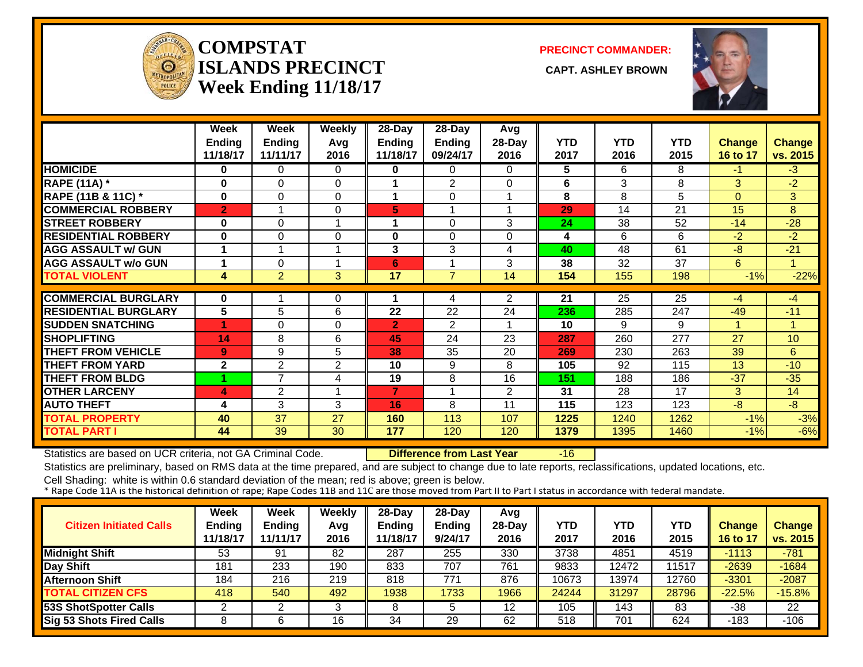

#### **COMPSTATISLANDS PRECINCT** CAPT. ASHLEY BROWN **Week Ending 11/18/17**

**PRECINCT COMMANDER:**



|                             | Week           | Week           | <b>Weekly</b>        | 28-Day          | 28-Day         | Avg            |            |                 |                 |               |               |
|-----------------------------|----------------|----------------|----------------------|-----------------|----------------|----------------|------------|-----------------|-----------------|---------------|---------------|
|                             | <b>Ending</b>  | <b>Ending</b>  | Avg                  | <b>Ending</b>   | Ending         | $28$ -Day      | <b>YTD</b> | <b>YTD</b>      | <b>YTD</b>      | <b>Change</b> | <b>Change</b> |
|                             | 11/18/17       | 11/11/17       | 2016                 | 11/18/17        | 09/24/17       | 2016           | 2017       | 2016            | 2015            | 16 to 17      | vs. 2015      |
| <b>HOMICIDE</b>             | 0              | 0              | $\Omega$             | 0               | 0              | 0              | 5          | 6               | 8               | $-1$          | $-3$          |
| <b>RAPE (11A) *</b>         | 0              | 0              | $\Omega$             | 1               | 2              | 0              | 6          | 3               | 8               | 3             | $-2$          |
| RAPE (11B & 11C) *          | 0              | 0              | $\Omega$             | 1               | $\Omega$       |                | 8          | 8               | 5               | $\Omega$      | 3             |
| <b>COMMERCIAL ROBBERY</b>   | $\overline{2}$ |                | $\mathbf 0$          | 5               | 1              |                | 29         | 14              | 21              | 15            | 8             |
| <b>STREET ROBBERY</b>       | $\bf{0}$       | 0              | 1                    | 1               | $\Omega$       | 3              | 24         | 38              | 52              | $-14$         | $-28$         |
| <b>RESIDENTIAL ROBBERY</b>  | $\bf{0}$       | 0              | $\Omega$             | 0               | $\Omega$       | 0              | 4          | 6               | 6               | $-2$          | $-2$          |
| <b>AGG ASSAULT w/ GUN</b>   | 1              |                | 1                    | 3               | 3              | 4              | 40         | 48              | 61              | $-8$          | $-21$         |
| <b>AGG ASSAULT w/o GUN</b>  |                | 0              | $\blacktriangleleft$ | 6               | 1              | 3              | 38         | $\overline{32}$ | $\overline{37}$ | 6             | 1             |
| <b>TOTAL VIOLENT</b>        | 4              | $\overline{2}$ | 3                    | $\overline{17}$ | $\overline{7}$ | 14             | 154        | 155             | 198             | $-1%$         | $-22%$        |
|                             |                |                |                      |                 |                |                |            |                 |                 |               |               |
| <b>COMMERCIAL BURGLARY</b>  | 0              |                | 0                    |                 | 4              | $\overline{2}$ | 21         | 25              | 25              | -4            | $-4$          |
| <b>RESIDENTIAL BURGLARY</b> | 5              | 5              | 6                    | 22              | 22             | 24             | 236        | 285             | 247             | $-49$         | $-11$         |
| <b>SUDDEN SNATCHING</b>     | 4              | 0              | $\Omega$             | $\mathbf{2}$    | 2              |                | 10         | 9               | 9               |               | 1             |
| <b>SHOPLIFTING</b>          | 14             | 8              | 6                    | 45              | 24             | 23             | 287        | 260             | 277             | 27            | 10            |
| <b>THEFT FROM VEHICLE</b>   | 9 <sup>°</sup> | 9              | 5                    | 38              | 35             | 20             | 269        | 230             | 263             | 39            | 6             |
| <b>THEFT FROM YARD</b>      | $\mathbf{2}$   | 2              | 2                    | 10              | 9              | 8              | 105        | 92              | 115             | 13            | $-10$         |
| <b>THEFT FROM BLDG</b>      |                | $\overline{7}$ | 4                    | 19              | 8              | 16             | 151        | 188             | 186             | $-37$         | $-35$         |
| <b>OTHER LARCENY</b>        | 4              | $\overline{2}$ | 1                    | 7               | 1              | $\overline{2}$ | 31         | 28              | 17              | 3             | 14            |
| <b>AUTO THEFT</b>           | 4              | 3              | 3                    | 16              | 8              | 11             | 115        | 123             | 123             | $-8$          | $-8$          |
| <b>TOTAL PROPERTY</b>       | 40             | 37             | 27                   | 160             | 113            | 107            | 1225       | 1240            | 1262            | $-1%$         | $-3%$         |
| <b>TOTAL PART I</b>         | 44             | 39             | 30                   | 177             | 120            | 120            | 1379       | 1395            | 1460            | $-1%$         | $-6%$         |

Statistics are based on UCR criteria, not GA Criminal Code. **Difference from Last Year** -16

Statistics are preliminary, based on RMS data at the time prepared, and are subject to change due to late reports, reclassifications, updated locations, etc.

| <b>Citizen Initiated Calls</b>  | <b>Week</b><br><b>Ending</b><br>11/18/17 | <b>Week</b><br><b>Ending</b><br>11/11/17 | Weekly<br>Avg<br>2016 | 28-Day<br>Ending<br>11/18/17 | 28-Day<br><b>Ending</b><br>9/24/17 | Avg<br>$28-Day$<br>2016 | <b>YTD</b><br>2017 | YTD<br>2016 | <b>YTD</b><br>2015 | <b>Change</b><br>16 to 17 | <b>Change</b><br>vs. 2015 |
|---------------------------------|------------------------------------------|------------------------------------------|-----------------------|------------------------------|------------------------------------|-------------------------|--------------------|-------------|--------------------|---------------------------|---------------------------|
| <b>Midnight Shift</b>           | 53                                       | 91                                       | 82                    | 287                          | 255                                | 330                     | 3738               | 4851        | 4519               | $-1113$                   | $-781$                    |
| Day Shift                       | 181                                      | 233                                      | 190                   | 833                          | 707                                | 761                     | 9833               | 12472       | 11517              | $-2639$                   | $-1684$                   |
| <b>Afternoon Shift</b>          | 184                                      | 216                                      | 219                   | 818                          | 771                                | 876                     | 10673              | 13974       | 12760              | $-3301$                   | $-2087$                   |
| <b>TOTAL CITIZEN CFS</b>        | 418                                      | 540                                      | 492                   | 1938                         | 1733                               | 1966                    | 24244              | 31297       | 28796              | $-22.5%$                  | $-15.8%$                  |
| <b>53S ShotSpotter Calls</b>    |                                          |                                          |                       |                              |                                    | 12                      | 105                | 143         | 83                 | -38                       | 22                        |
| <b>Sig 53 Shots Fired Calls</b> |                                          |                                          | 16                    | 34                           | 29                                 | 62                      | 518                | 701         | 624                | $-183$                    | $-106$                    |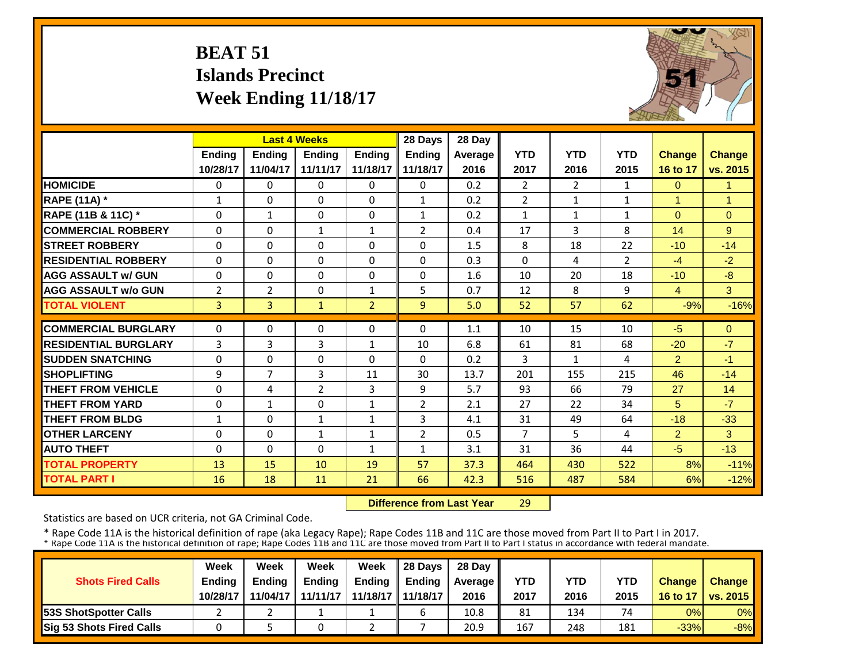# **BEAT 51 Islands PrecinctWeek Ending 11/18/17**



|                             |                | <b>Last 4 Weeks</b> |                |                | 28 Days        | 28 Day         |                |                |                |                |                |
|-----------------------------|----------------|---------------------|----------------|----------------|----------------|----------------|----------------|----------------|----------------|----------------|----------------|
|                             | <b>Ending</b>  | Ending              | <b>Ending</b>  | <b>Endina</b>  | <b>Ending</b>  | <b>Average</b> | <b>YTD</b>     | <b>YTD</b>     | <b>YTD</b>     | <b>Change</b>  | <b>Change</b>  |
|                             | 10/28/17       | 11/04/17            | 11/11/17       | 11/18/17       | 11/18/17       | 2016           | 2017           | 2016           | 2015           | 16 to 17       | vs. 2015       |
| <b>HOMICIDE</b>             | $\Omega$       | $\Omega$            | $\Omega$       | $\Omega$       | $\Omega$       | 0.2            | $\overline{2}$ | $\overline{2}$ | $\mathbf{1}$   | $\Omega$       | $\mathbf{1}$   |
| <b>RAPE (11A) *</b>         | $\mathbf{1}$   | $\Omega$            | $\Omega$       | $\Omega$       | $\mathbf{1}$   | 0.2            | $\overline{2}$ | $\mathbf{1}$   | $\mathbf{1}$   | $\overline{1}$ | $\overline{1}$ |
| RAPE (11B & 11C) *          | 0              | $\mathbf{1}$        | $\Omega$       | $\Omega$       | $\mathbf{1}$   | 0.2            | $\mathbf{1}$   | $\mathbf{1}$   | $\mathbf{1}$   | $\Omega$       | $\Omega$       |
| <b>COMMERCIAL ROBBERY</b>   | $\Omega$       | $\Omega$            | $\mathbf{1}$   | $\mathbf{1}$   | $\overline{2}$ | 0.4            | 17             | 3              | 8              | 14             | 9              |
| <b>STREET ROBBERY</b>       | $\Omega$       | $\Omega$            | $\Omega$       | $\Omega$       | $\Omega$       | 1.5            | 8              | 18             | 22             | $-10$          | $-14$          |
| <b>RESIDENTIAL ROBBERY</b>  | $\Omega$       | 0                   | $\Omega$       | $\Omega$       | $\Omega$       | 0.3            | $\Omega$       | 4              | $\overline{2}$ | $-4$           | $-2$           |
| <b>AGG ASSAULT w/ GUN</b>   | $\Omega$       | $\Omega$            | $\Omega$       | $\Omega$       | 0              | 1.6            | 10             | 20             | 18             | $-10$          | $-8$           |
| <b>AGG ASSAULT w/o GUN</b>  | $\overline{2}$ | 2                   | 0              | $\mathbf{1}$   | 5              | 0.7            | 12             | 8              | 9              | $\overline{4}$ | $\mathbf{3}$   |
| <b>TOTAL VIOLENT</b>        | $\overline{3}$ | $\overline{3}$      | $\mathbf{1}$   | $\overline{2}$ | $\overline{9}$ | 5.0            | 52             | 57             | 62             | $-9%$          | $-16%$         |
| <b>COMMERCIAL BURGLARY</b>  | $\Omega$       | 0                   | $\Omega$       | $\Omega$       | $\Omega$       | 1.1            | 10             | 15             | 10             | $-5$           | $\Omega$       |
| <b>RESIDENTIAL BURGLARY</b> | 3              | 3                   | 3              | $\mathbf{1}$   | 10             | 6.8            | 61             | 81             | 68             | $-20$          | $-7$           |
| <b>SUDDEN SNATCHING</b>     | $\Omega$       | $\Omega$            | $\Omega$       | $\Omega$       | $\Omega$       | 0.2            | 3              | $\mathbf{1}$   | 4              | $\overline{2}$ | $-1$           |
| <b>SHOPLIFTING</b>          | 9              | 7                   | 3              | 11             | 30             | 13.7           | 201            | 155            | 215            | 46             | $-14$          |
| <b>THEFT FROM VEHICLE</b>   | $\Omega$       | 4                   | $\overline{2}$ | 3              | 9              | 5.7            | 93             | 66             | 79             | 27             | 14             |
| <b>THEFT FROM YARD</b>      | 0              | 1                   | $\Omega$       | 1              | $\overline{2}$ | 2.1            | 27             | 22             | 34             | 5              | $-7$           |
| <b>THEFT FROM BLDG</b>      | 1              | $\Omega$            | 1              | 1              | 3              | 4.1            | 31             | 49             | 64             | $-18$          | $-33$          |
| <b>OTHER LARCENY</b>        | $\Omega$       | 0                   | $\mathbf{1}$   | $\mathbf{1}$   | $\overline{2}$ | 0.5            | $\overline{7}$ | 5.             | 4              | $\overline{2}$ | 3              |
| <b>AUTO THEFT</b>           | $\Omega$       | 0                   | $\Omega$       | 1              | $\mathbf{1}$   | 3.1            | 31             | 36             | 44             | $-5$           | $-13$          |
| <b>TOTAL PROPERTY</b>       | 13             | 15                  | 10             | 19             | 57             | 37.3           | 464            | 430            | 522            | 8%             | $-11%$         |
|                             |                |                     |                |                |                |                |                |                |                |                |                |
| <b>TOTAL PART I</b>         | 16             | 18                  | 11             | 21             | 66             | 42.3           | 516            | 487            | 584            | 6%             | $-12%$         |

 **Difference from Last Year**29

Statistics are based on UCR criteria, not GA Criminal Code.

|                               | Week          | Week          | Week          | Week                | $\parallel$ 28 Davs | 28 Day    |      |      |            |               |                     |
|-------------------------------|---------------|---------------|---------------|---------------------|---------------------|-----------|------|------|------------|---------------|---------------------|
| <b>Shots Fired Calls</b>      | <b>Ending</b> | <b>Ending</b> | <b>Ending</b> | <b>Ending</b>       | <b>Ending</b>       | Average I | YTD  | YTD  | <b>YTD</b> | <b>Change</b> | <b>Change</b>       |
|                               | 10/28/17      | 11/04/17      | 11/11/17      | 11/18/17   11/18/17 |                     | 2016      | 2017 | 2016 | 2015       |               | 16 to 17   vs. 2015 |
| <b>153S ShotSpotter Calls</b> |               |               |               |                     |                     | 10.8      | 81   | 134  | 74         | 0%            | $0\%$               |
| Sig 53 Shots Fired Calls      |               |               |               |                     |                     | 20.9      | 167  | 248  | 181        | $-33%$        | $-8%$               |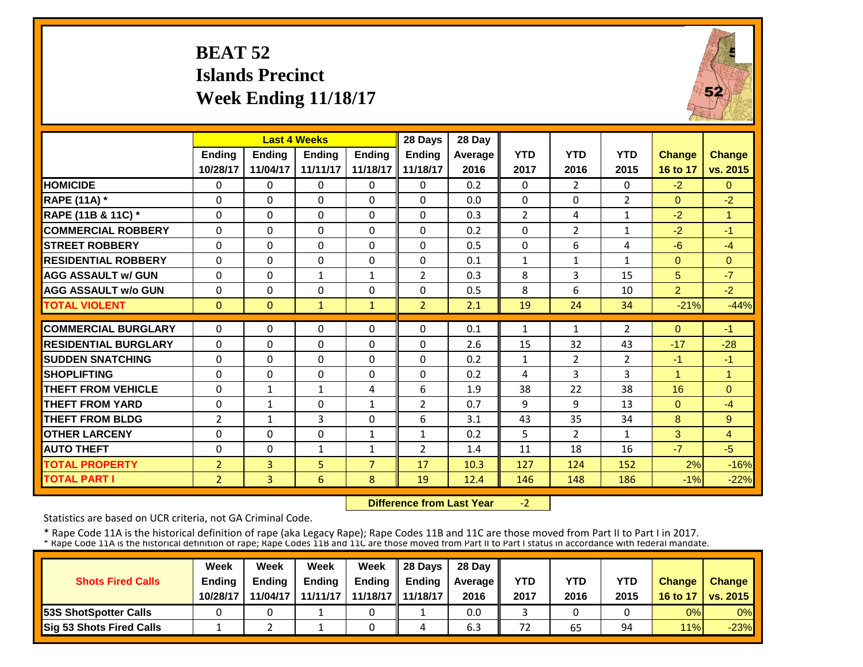# **BEAT 52 Islands PrecinctWeek Ending 11/18/17**



|                             |                | <b>Last 4 Weeks</b> |              |                | 28 Days        | 28 Day  |                |                |                |                |                |
|-----------------------------|----------------|---------------------|--------------|----------------|----------------|---------|----------------|----------------|----------------|----------------|----------------|
|                             | <b>Ending</b>  | <b>Ending</b>       | Ending       | <b>Ending</b>  | <b>Ending</b>  | Average | <b>YTD</b>     | <b>YTD</b>     | <b>YTD</b>     | <b>Change</b>  | <b>Change</b>  |
|                             | 10/28/17       | 11/04/17            | 11/11/17     | 11/18/17       | 11/18/17       | 2016    | 2017           | 2016           | 2015           | 16 to 17       | vs. 2015       |
| <b>HOMICIDE</b>             | 0              | $\Omega$            | 0            | $\Omega$       | 0              | 0.2     | $\Omega$       | $\overline{2}$ | 0              | $-2$           | $\Omega$       |
| <b>RAPE (11A)</b> *         | $\Omega$       | $\Omega$            | $\Omega$     | $\Omega$       | 0              | 0.0     | $\Omega$       | $\Omega$       | $\overline{2}$ | $\Omega$       | $-2$           |
| RAPE (11B & 11C) *          | $\mathbf 0$    | $\Omega$            | $\Omega$     | $\Omega$       | $\Omega$       | 0.3     | $\overline{2}$ | 4              | 1              | $-2$           | 1              |
| <b>COMMERCIAL ROBBERY</b>   | $\Omega$       | $\Omega$            | $\Omega$     | $\Omega$       | 0              | 0.2     | $\Omega$       | $\overline{2}$ | 1              | $-2$           | $-1$           |
| <b>STREET ROBBERY</b>       | $\Omega$       | $\Omega$            | $\Omega$     | $\Omega$       | 0              | 0.5     | $\Omega$       | 6              | 4              | $-6$           | $-4$           |
| <b>RESIDENTIAL ROBBERY</b>  | $\Omega$       | $\Omega$            | $\Omega$     | $\Omega$       | $\Omega$       | 0.1     | $\mathbf{1}$   | $\mathbf{1}$   | $\mathbf{1}$   | $\Omega$       | $\Omega$       |
| <b>AGG ASSAULT w/ GUN</b>   | 0              | $\Omega$            | $\mathbf 1$  | 1              | $\overline{2}$ | 0.3     | 8              | 3              | 15             | 5              | $-7$           |
| <b>AGG ASSAULT w/o GUN</b>  | $\Omega$       | $\Omega$            | $\Omega$     | $\Omega$       | 0              | 0.5     | 8              | 6              | 10             | $\overline{2}$ | $-2$           |
| <b>TOTAL VIOLENT</b>        | $\mathbf{0}$   | $\Omega$            | $\mathbf{1}$ | $\mathbf{1}$   | $\overline{2}$ | 2.1     | 19             | 24             | 34             | $-21%$         | $-44%$         |
| <b>COMMERCIAL BURGLARY</b>  | $\Omega$       | $\Omega$            | 0            | 0              | 0              | 0.1     | 1              | 1              | $\overline{2}$ | $\Omega$       | $-1$           |
| <b>RESIDENTIAL BURGLARY</b> | 0              | $\Omega$            | 0            | $\Omega$       | 0              | 2.6     | 15             | 32             | 43             | $-17$          | $-28$          |
| <b>SUDDEN SNATCHING</b>     | $\Omega$       | $\Omega$            | $\Omega$     | $\Omega$       | 0              | 0.2     | $\mathbf{1}$   | $\overline{2}$ | $\overline{2}$ | $-1$           | $-1$           |
| <b>SHOPLIFTING</b>          | $\Omega$       | $\Omega$            | $\Omega$     | 0              | 0              | 0.2     | 4              | 3              | 3              | 1              | $\overline{1}$ |
| <b>THEFT FROM VEHICLE</b>   | $\Omega$       | $\mathbf{1}$        | $\mathbf{1}$ | 4              | 6              | 1.9     | 38             | 22             | 38             | 16             | $\Omega$       |
| <b>THEFT FROM YARD</b>      | $\Omega$       | $\mathbf{1}$        | $\Omega$     | $\mathbf{1}$   | $\overline{2}$ | 0.7     | 9              | 9              | 13             | $\Omega$       | $-4$           |
| <b>THEFT FROM BLDG</b>      | $\overline{2}$ | $\mathbf{1}$        | 3            | $\Omega$       | 6              | 3.1     | 43             | 35             | 34             | 8              | 9              |
| <b>OTHER LARCENY</b>        | $\Omega$       | $\Omega$            | $\Omega$     | $\mathbf{1}$   | $\mathbf{1}$   | 0.2     | 5              | $\overline{2}$ | 1              | 3              | $\overline{4}$ |
| <b>AUTO THEFT</b>           | $\Omega$       | $\Omega$            | $\mathbf{1}$ | $\mathbf{1}$   | $\overline{2}$ | 1.4     | 11             | 18             | 16             | $-7$           | $-5$           |
| <b>TOTAL PROPERTY</b>       | $\overline{2}$ | $\overline{3}$      | 5            | $\overline{7}$ | 17             | 10.3    | 127            | 124            | 152            | 2%             | $-16%$         |
| <b>TOTAL PART I</b>         |                |                     |              |                |                |         |                |                |                | $-1%$          |                |
|                             | $\overline{2}$ | $\overline{3}$      | 6            | 8              | 19             | 12.4    | 146            | 148            | 186            |                | $-22%$         |

 **Difference from Last Year** $-2$ 

Statistics are based on UCR criteria, not GA Criminal Code.

|                                 | Week          | Week          | <b>Week</b>   | Week                | $\parallel$ 28 Davs | 28 Day  |            |      |            |               |                     |
|---------------------------------|---------------|---------------|---------------|---------------------|---------------------|---------|------------|------|------------|---------------|---------------------|
| <b>Shots Fired Calls</b>        | <b>Ending</b> | <b>Ending</b> | <b>Ending</b> | <b>Ending</b>       | <b>Ending</b>       | Average | <b>YTD</b> | YTD  | <b>YTD</b> | <b>Change</b> | <b>Change</b>       |
|                                 | 10/28/17      | 11/04/17      | 11/11/17      | 11/18/17   11/18/17 |                     | 2016    | 2017       | 2016 | 2015       |               | 16 to 17   vs. 2015 |
| <b>153S ShotSpotter Calls</b>   |               |               |               |                     |                     | 0.0     |            |      |            | 0%            | $0\%$               |
| <b>Sig 53 Shots Fired Calls</b> |               |               |               |                     |                     | 6.3     | 72         | 65   | 94         | 11%           | $-23%$              |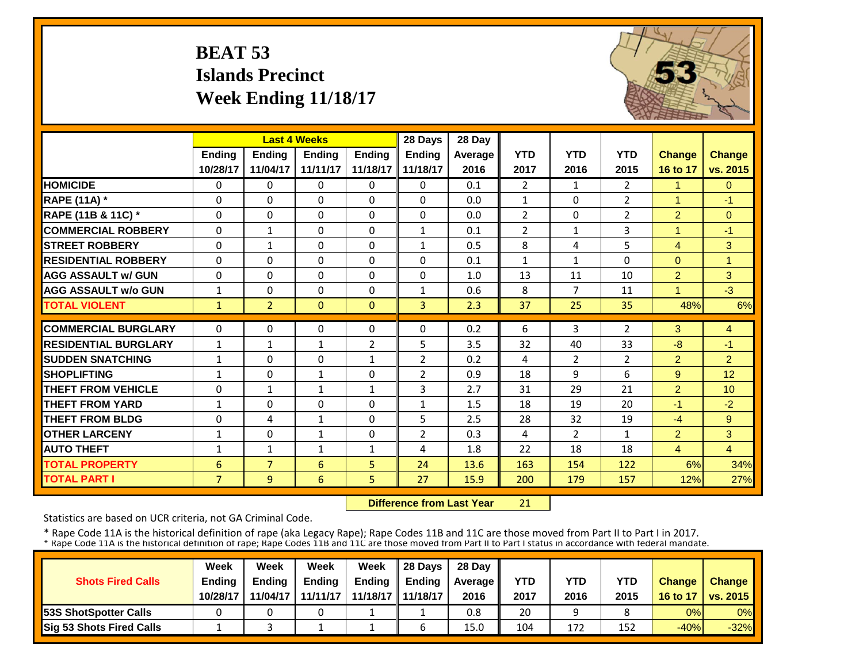# **BEAT 53 Islands PrecinctWeek Ending 11/18/17**



|                             |                | <b>Last 4 Weeks</b> |               |                | 28 Days        | 28 Day  |                |                |                |                |                |
|-----------------------------|----------------|---------------------|---------------|----------------|----------------|---------|----------------|----------------|----------------|----------------|----------------|
|                             | <b>Ending</b>  | <b>Ending</b>       | <b>Endina</b> | <b>Endina</b>  | <b>Ending</b>  | Average | <b>YTD</b>     | <b>YTD</b>     | <b>YTD</b>     | <b>Change</b>  | <b>Change</b>  |
|                             | 10/28/17       | 11/04/17            | 11/11/17      | 11/18/17       | 11/18/17       | 2016    | 2017           | 2016           | 2015           | 16 to 17       | vs. 2015       |
| <b>HOMICIDE</b>             | $\Omega$       | 0                   | $\Omega$      | $\Omega$       | $\Omega$       | 0.1     | $\overline{2}$ | $\mathbf{1}$   | $\overline{2}$ | 1              | $\Omega$       |
| <b>RAPE (11A)</b> *         | $\Omega$       | $\Omega$            | $\Omega$      | $\Omega$       | $\Omega$       | 0.0     | $\mathbf{1}$   | $\Omega$       | $\overline{2}$ | $\overline{1}$ | $-1$           |
| RAPE (11B & 11C) *          | $\Omega$       | $\Omega$            | $\Omega$      | $\Omega$       | $\Omega$       | 0.0     | $\overline{2}$ | $\Omega$       | 2              | $\overline{2}$ | $\Omega$       |
| <b>COMMERCIAL ROBBERY</b>   | $\Omega$       | $\mathbf{1}$        | 0             | $\Omega$       | $\mathbf{1}$   | 0.1     | $\overline{2}$ | $\mathbf{1}$   | 3              | $\overline{1}$ | $-1$           |
| <b>STREET ROBBERY</b>       | $\Omega$       | $\mathbf{1}$        | $\Omega$      | $\Omega$       | $\mathbf{1}$   | 0.5     | 8              | 4              | 5              | $\overline{4}$ | 3              |
| <b>RESIDENTIAL ROBBERY</b>  | $\Omega$       | 0                   | $\Omega$      | $\Omega$       | $\Omega$       | 0.1     | $\mathbf{1}$   | $\mathbf{1}$   | 0              | $\Omega$       | 1              |
| <b>AGG ASSAULT w/ GUN</b>   | $\Omega$       | 0                   | $\Omega$      | $\Omega$       | 0              | 1.0     | 13             | 11             | 10             | $\overline{2}$ | 3              |
| <b>AGG ASSAULT w/o GUN</b>  | $\mathbf{1}$   | 0                   | $\Omega$      | $\Omega$       | $\mathbf{1}$   | 0.6     | 8              | 7              | 11             | 1              | $-3$           |
| <b>TOTAL VIOLENT</b>        | $\mathbf{1}$   | $\overline{2}$      | $\mathbf{0}$  | $\Omega$       | 3              | 2.3     | 37             | 25             | 35             | 48%            | 6%             |
| <b>COMMERCIAL BURGLARY</b>  | $\Omega$       | 0                   | $\Omega$      | 0              | $\Omega$       | 0.2     | 6              | 3              | $\overline{2}$ | 3              | 4              |
| <b>RESIDENTIAL BURGLARY</b> | $\mathbf{1}$   | $\mathbf{1}$        | $\mathbf{1}$  | $\overline{2}$ | 5              | 3.5     | 32             | 40             | 33             | $-8$           | $-1$           |
| <b>SUDDEN SNATCHING</b>     | $\mathbf{1}$   | 0                   | 0             | $\mathbf{1}$   | $\overline{2}$ | 0.2     | 4              | $\overline{2}$ | $\overline{2}$ | $\overline{2}$ | $\overline{2}$ |
| <b>SHOPLIFTING</b>          | $\mathbf{1}$   | $\Omega$            | 1             | $\Omega$       | $\overline{2}$ | 0.9     | 18             | 9              | 6              | 9              | 12             |
| <b>THEFT FROM VEHICLE</b>   | $\Omega$       | $\mathbf{1}$        | $\mathbf{1}$  | $\mathbf{1}$   | 3              | 2.7     | 31             | 29             | 21             | $\overline{2}$ | 10             |
| <b>THEFT FROM YARD</b>      | $\mathbf{1}$   | 0                   | $\Omega$      | $\Omega$       | $\mathbf{1}$   | 1.5     | 18             | 19             | 20             | $-1$           | $-2$           |
| <b>THEFT FROM BLDG</b>      | $\Omega$       | 4                   | 1             | $\Omega$       | 5              | 2.5     | 28             | 32             | 19             | $-4$           | 9              |
| <b>OTHER LARCENY</b>        | $\mathbf{1}$   | 0                   | 1             | 0              | $\overline{2}$ | 0.3     | 4              | $\overline{2}$ | 1              | $\overline{2}$ | 3              |
| <b>AUTO THEFT</b>           | 1              | $\mathbf{1}$        | $\mathbf{1}$  | 1              | 4              | 1.8     | 22             | 18             | 18             | $\overline{4}$ | $\overline{4}$ |
| <b>TOTAL PROPERTY</b>       | 6              | $\overline{7}$      | 6             | 5              | 24             | 13.6    | 163            | 154            | 122            | 6%             | 34%            |
| <b>TOTAL PART I</b>         | $\overline{7}$ | 9                   | 6             | 5              | 27             | 15.9    | 200            | 179            | 157            | 12%            | 27%            |

 **Difference from Last Year**21

Statistics are based on UCR criteria, not GA Criminal Code.

|                               | Week          | Week          | Week          | Week                | $\parallel$ 28 Davs | 28 Day    |      |      |      |               |                     |
|-------------------------------|---------------|---------------|---------------|---------------------|---------------------|-----------|------|------|------|---------------|---------------------|
| <b>Shots Fired Calls</b>      | <b>Ending</b> | <b>Ending</b> | <b>Ending</b> | <b>Ending</b>       | <b>Ending</b>       | Average I | YTD  | YTD  | YTD  | <b>Change</b> | <b>Change</b>       |
|                               | 10/28/17      | 11/04/17      | 11/11/17      | 11/18/17   11/18/17 |                     | 2016      | 2017 | 2016 | 2015 |               | 16 to 17   vs. 2015 |
| <b>153S ShotSpotter Calls</b> |               |               |               |                     |                     | 0.8       | 20   |      |      | 0%            | $0\%$               |
| Sig 53 Shots Fired Calls      |               |               |               |                     |                     | 15.0      | 104  | 172  | 152  | $-40%$        | $-32%$              |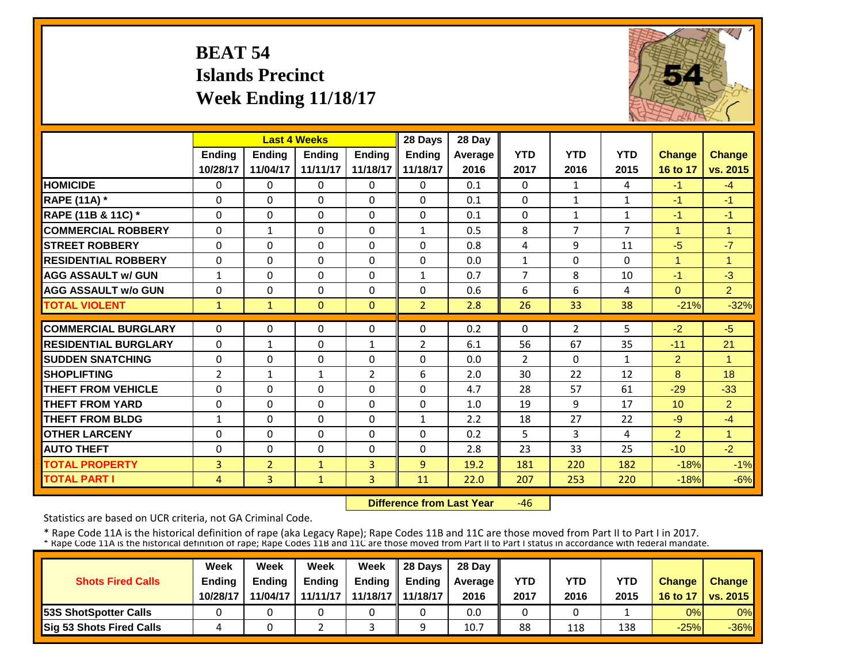# **BEAT 54 Islands PrecinctWeek Ending 11/18/17**



|                             |                | <b>Last 4 Weeks</b> |               |                | 28 Days        | 28 Day  |                |                |                |                |                      |
|-----------------------------|----------------|---------------------|---------------|----------------|----------------|---------|----------------|----------------|----------------|----------------|----------------------|
|                             | <b>Ending</b>  | <b>Ending</b>       | <b>Endina</b> | <b>Ending</b>  | <b>Endina</b>  | Average | <b>YTD</b>     | <b>YTD</b>     | <b>YTD</b>     | <b>Change</b>  | <b>Change</b>        |
|                             | 10/28/17       | 11/04/17            | 11/11/17      | 11/18/17       | 11/18/17       | 2016    | 2017           | 2016           | 2015           | 16 to 17       | vs. 2015             |
| <b>HOMICIDE</b>             | 0              | 0                   | 0             | $\Omega$       | $\Omega$       | 0.1     | $\Omega$       | $\mathbf{1}$   | 4              | $-1$           | $-4$                 |
| <b>RAPE (11A)</b> *         | $\Omega$       | $\Omega$            | $\Omega$      | $\Omega$       | $\Omega$       | 0.1     | $\Omega$       | $\mathbf{1}$   | $\mathbf{1}$   | -1             | $-1$                 |
| RAPE (11B & 11C) *          | $\Omega$       | $\Omega$            | $\Omega$      | $\Omega$       | $\Omega$       | 0.1     | $\mathbf{0}$   | $\mathbf{1}$   | $\mathbf{1}$   | $-1$           | $-1$                 |
| <b>COMMERCIAL ROBBERY</b>   | $\Omega$       | 1                   | $\Omega$      | 0              | $\mathbf{1}$   | 0.5     | 8              | 7              | $\overline{7}$ | $\overline{1}$ | 1                    |
| <b>STREET ROBBERY</b>       | $\mathbf 0$    | $\Omega$            | 0             | 0              | $\Omega$       | 0.8     | $\overline{4}$ | 9              | 11             | $-5$           | $-7$                 |
| <b>RESIDENTIAL ROBBERY</b>  | 0              | $\Omega$            | 0             | 0              | $\Omega$       | 0.0     | $\mathbf{1}$   | $\Omega$       | 0              | 1              | -1                   |
| <b>AGG ASSAULT w/ GUN</b>   | $\mathbf{1}$   | $\Omega$            | $\Omega$      | $\Omega$       | $\mathbf{1}$   | 0.7     | 7              | 8              | 10             | $-1$           | $-3$                 |
| <b>AGG ASSAULT w/o GUN</b>  | 0              | 0                   | 0             | $\Omega$       | 0              | 0.6     | 6              | 6              | 4              | $\Omega$       | 2 <sup>1</sup>       |
| <b>TOTAL VIOLENT</b>        | $\mathbf{1}$   | $\mathbf{1}$        | $\Omega$      | $\Omega$       | $\overline{2}$ | 2.8     | 26             | 33             | 38             | $-21%$         | $-32%$               |
| <b>COMMERCIAL BURGLARY</b>  | $\Omega$       | $\Omega$            | $\Omega$      | $\Omega$       | $\Omega$       | 0.2     | $\Omega$       | $\overline{2}$ | 5              | $-2$           | $-5$                 |
| <b>RESIDENTIAL BURGLARY</b> | $\Omega$       | $\mathbf{1}$        | $\Omega$      | $\mathbf{1}$   | $\overline{2}$ | 6.1     | 56             | 67             | 35             | $-11$          | 21                   |
| <b>SUDDEN SNATCHING</b>     | 0              | $\Omega$            | $\Omega$      | $\Omega$       | $\Omega$       | 0.0     | $\overline{2}$ | 0              | $\mathbf{1}$   | 2              | -1                   |
| <b>SHOPLIFTING</b>          | $\overline{2}$ | $\mathbf{1}$        | $\mathbf{1}$  | $\overline{2}$ | 6              | 2.0     | 30             | 22             | 12             | 8              | 18                   |
| <b>THEFT FROM VEHICLE</b>   | $\Omega$       | $\Omega$            | $\Omega$      | $\Omega$       | 0              | 4.7     | 28             | 57             | 61             | $-29$          | $-33$                |
| <b>THEFT FROM YARD</b>      | $\Omega$       | $\Omega$            | $\Omega$      | $\Omega$       | $\Omega$       | 1.0     | 19             | 9              | 17             | 10             | $\overline{2}$       |
| <b>THEFT FROM BLDG</b>      | 1              | $\Omega$            | $\Omega$      | $\Omega$       | $\mathbf{1}$   | 2.2     | 18             | 27             | 22             | $-9$           | $-4$                 |
| <b>OTHER LARCENY</b>        | $\Omega$       | $\Omega$            | $\Omega$      | $\Omega$       | $\Omega$       | 0.2     | 5              | 3              | 4              | $\overline{2}$ | $\blacktriangleleft$ |
| <b>AUTO THEFT</b>           | $\Omega$       | $\Omega$            | $\Omega$      | $\Omega$       | 0              | 2.8     | 23             | 33             | 25             | $-10$          | $-2$                 |
| <b>TOTAL PROPERTY</b>       | 3              | $\overline{2}$      | $\mathbf{1}$  | 3              | $\overline{9}$ | 19.2    | 181            | 220            | 182            | $-18%$         | $-1%$                |
| <b>TOTAL PART I</b>         | $\overline{4}$ | $\overline{3}$      | $\mathbf{1}$  | 3              | 11             | 22.0    | 207            | 253            | 220            | $-18%$         | $-6%$                |

 **Difference from Last Year** $-46$ 

Statistics are based on UCR criteria, not GA Criminal Code.

|                                 | Week          | Week          | Week     | Week                | 28 Davs       | 28 Day    |      |      |            |               |                     |
|---------------------------------|---------------|---------------|----------|---------------------|---------------|-----------|------|------|------------|---------------|---------------------|
| <b>Shots Fired Calls</b>        | <b>Endina</b> | <b>Endina</b> | Ending   | <b>Ending</b>       | <b>Endina</b> | Average I | YTD  | YTD  | <b>YTD</b> | <b>Change</b> | <b>Change</b>       |
|                                 | 10/28/17      | 11/04/17      | 11/11/17 | 11/18/17   11/18/17 |               | 2016      | 2017 | 2016 | 2015       |               | 16 to 17   vs. 2015 |
| <b>153S ShotSpotter Calls</b>   |               |               |          |                     |               | 0.0       |      |      |            | 0%            | $0\%$               |
| <b>Sig 53 Shots Fired Calls</b> |               |               |          |                     |               | 10.7      | 88   | 118  | 138        | $-25%$        | $-36\%$             |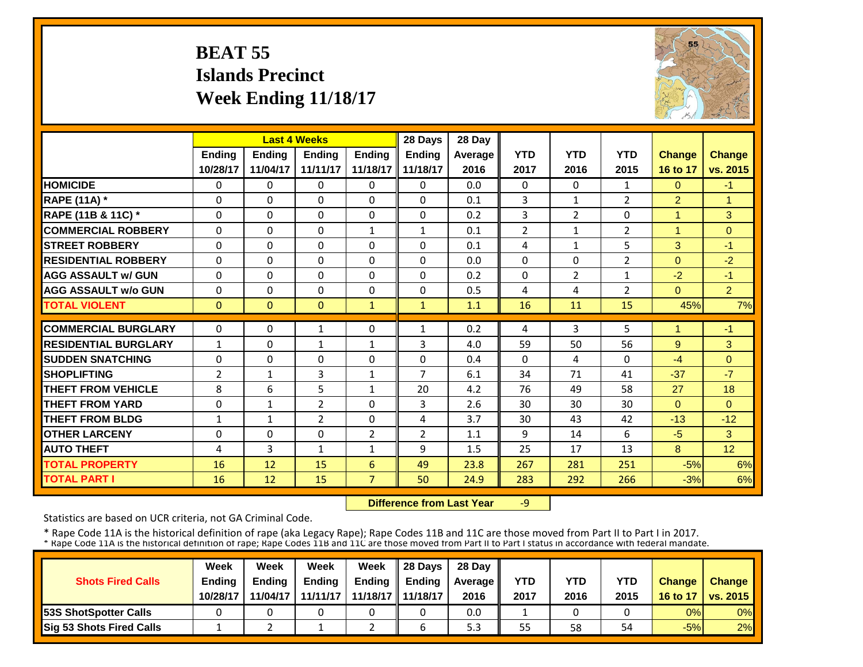# **BEAT 55 Islands PrecinctWeek Ending 11/18/17**



|                             |                | <b>Last 4 Weeks</b> |               |               | 28 Days                    | 28 Day  |                |                |                |                |                |
|-----------------------------|----------------|---------------------|---------------|---------------|----------------------------|---------|----------------|----------------|----------------|----------------|----------------|
|                             | Ending         | <b>Ending</b>       | <b>Endina</b> | <b>Endina</b> | Ending                     | Average | <b>YTD</b>     | <b>YTD</b>     | <b>YTD</b>     | <b>Change</b>  | <b>Change</b>  |
|                             | 10/28/17       | 11/04/17            | 11/11/17      | 11/18/17      | 11/18/17                   | 2016    | 2017           | 2016           | 2015           | 16 to 17       | vs. 2015       |
| <b>HOMICIDE</b>             | $\Omega$       | $\Omega$            | $\Omega$      | $\Omega$      | $\Omega$                   | 0.0     | $\Omega$       | $\Omega$       | $\mathbf{1}$   | $\Omega$       | $-1$           |
| <b>RAPE (11A) *</b>         | $\Omega$       | $\Omega$            | $\Omega$      | $\Omega$      | $\Omega$                   | 0.1     | 3              | $\mathbf{1}$   | $\overline{2}$ | $\overline{2}$ | $\overline{1}$ |
| RAPE (11B & 11C) *          | $\Omega$       | $\Omega$            | $\Omega$      | $\Omega$      | $\Omega$                   | 0.2     | 3              | $\overline{2}$ | 0              | 1              | 3              |
| <b>COMMERCIAL ROBBERY</b>   | $\Omega$       | $\Omega$            | $\Omega$      | $\mathbf{1}$  | $\mathbf{1}$               | 0.1     | $\overline{2}$ | $\mathbf{1}$   | $\overline{2}$ | 1              | $\mathbf{0}$   |
| <b>STREET ROBBERY</b>       | $\mathbf 0$    | $\Omega$            | $\Omega$      | $\Omega$      | $\Omega$                   | 0.1     | 4              | $\mathbf{1}$   | 5              | 3              | $-1$           |
| <b>RESIDENTIAL ROBBERY</b>  | $\Omega$       | $\Omega$            | $\Omega$      | $\Omega$      | $\Omega$                   | 0.0     | $\Omega$       | $\Omega$       | $\overline{2}$ | $\Omega$       | $-2$           |
| <b>AGG ASSAULT w/ GUN</b>   | $\Omega$       | $\Omega$            | $\Omega$      | $\Omega$      | $\Omega$                   | 0.2     | $\Omega$       | $\overline{2}$ | 1              | $-2$           | $-1$           |
| <b>AGG ASSAULT w/o GUN</b>  | $\Omega$       | $\Omega$            | $\Omega$      | $\Omega$      | 0                          | 0.5     | 4              | 4              | $\overline{2}$ | $\Omega$       | $\overline{2}$ |
| <b>TOTAL VIOLENT</b>        | $\mathbf{0}$   | $\Omega$            | $\Omega$      | $\mathbf{1}$  | $\mathbf{1}$               | 1.1     | 16             | 11             | 15             | 45%            | 7%             |
| <b>COMMERCIAL BURGLARY</b>  | $\Omega$       | $\Omega$            |               | $\Omega$      | $\mathbf{1}$               | 0.2     | 4              | 3              | 5              |                | $-1$           |
| <b>RESIDENTIAL BURGLARY</b> |                |                     | $\mathbf{1}$  |               |                            |         |                |                |                |                |                |
|                             | $\mathbf{1}$   | $\Omega$            | $\mathbf{1}$  | 1             | 3                          | 4.0     | 59             | 50             | 56             | 9              | 3              |
| <b>ISUDDEN SNATCHING</b>    | 0              | $\Omega$            | $\Omega$      | 0             | $\Omega$<br>$\overline{7}$ | 0.4     | $\Omega$       | 4              | 0              | $-4$           | $\Omega$       |
| <b>SHOPLIFTING</b>          | $\overline{2}$ | $\mathbf{1}$        | 3             | 1             |                            | 6.1     | 34             | 71             | 41             | $-37$          | $-7$           |
| <b>THEFT FROM VEHICLE</b>   | 8              | 6                   | 5             | $\mathbf{1}$  | 20                         | 4.2     | 76             | 49             | 58             | 27             | 18             |
| <b>THEFT FROM YARD</b>      | $\Omega$       | $\mathbf{1}$        | 2             | 0             | 3                          | 2.6     | 30             | 30             | 30             | $\Omega$       | $\Omega$       |
| <b>THEFT FROM BLDG</b>      | $\mathbf{1}$   | $\mathbf{1}$        | 2             | $\Omega$      | 4                          | 3.7     | 30             | 43             | 42             | $-13$          | $-12$          |
| <b>OTHER LARCENY</b>        | 0              | $\Omega$            | $\Omega$      | 2             | $\overline{2}$             | 1.1     | 9              | 14             | 6              | $-5$           | 3              |
| <b>AUTO THEFT</b>           | 4              | 3                   | $\mathbf{1}$  | 1             | 9                          | 1.5     | 25             | 17             | 13             | 8              | 12             |
| <b>TOTAL PROPERTY</b>       | 16             | 12                  | 15            | 6             | 49                         | 23.8    | 267            | 281            | 251            | $-5%$          | 6%             |
| <b>TOTAL PART I</b>         | 16             | $12 \overline{ }$   | 15            | 7             | 50                         | 24.9    | 283            | 292            | 266            | $-3%$          | 6%             |

 **Difference from Last Year** $-9$ 

Statistics are based on UCR criteria, not GA Criminal Code.

|                               | Week          | Week          | Week          | Week                | $\parallel$ 28 Davs | 28 Day    |      |      |            |               |                     |
|-------------------------------|---------------|---------------|---------------|---------------------|---------------------|-----------|------|------|------------|---------------|---------------------|
| <b>Shots Fired Calls</b>      | <b>Ending</b> | <b>Ending</b> | <b>Ending</b> | <b>Ending</b>       | <b>Ending</b>       | Average I | YTD  | YTD  | <b>YTD</b> | <b>Change</b> | <b>Change</b>       |
|                               | 10/28/17      | 11/04/17      | 11/11/17      | 11/18/17   11/18/17 |                     | 2016      | 2017 | 2016 | 2015       |               | 16 to 17   vs. 2015 |
| <b>153S ShotSpotter Calls</b> |               |               |               |                     |                     | 0.0       |      |      |            | 0%            | $0\%$               |
| Sig 53 Shots Fired Calls      |               |               |               |                     |                     | 5.3       | 55   | 58   | 54         | $-5%$         | 2%                  |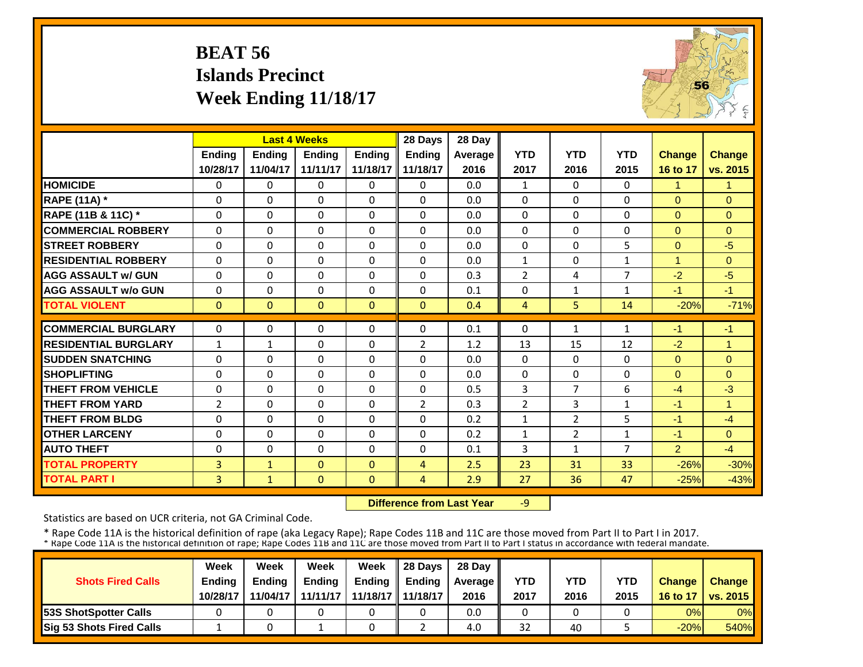# **BEAT 56 Islands Precinct Week Ending 11/18/17**



|                             |                | <b>Last 4 Weeks</b> |               |                | 28 Days        | 28 Day  |                |                |                |                |                |
|-----------------------------|----------------|---------------------|---------------|----------------|----------------|---------|----------------|----------------|----------------|----------------|----------------|
|                             | Ending         | <b>Ending</b>       | <b>Ending</b> | <b>Ending</b>  | <b>Ending</b>  | Average | <b>YTD</b>     | <b>YTD</b>     | <b>YTD</b>     | <b>Change</b>  | <b>Change</b>  |
|                             | 10/28/17       | 11/04/17            | 11/11/17      | 11/18/17       | 11/18/17       | 2016    | 2017           | 2016           | 2015           | 16 to 17       | vs. 2015       |
| <b>HOMICIDE</b>             | $\Omega$       | $\Omega$            | $\Omega$      | $\Omega$       | $\Omega$       | 0.0     | $\mathbf{1}$   | $\Omega$       | 0              | $\mathbf{1}$   | $\mathbf{1}$   |
| <b>RAPE (11A) *</b>         | $\Omega$       | $\Omega$            | $\Omega$      | $\Omega$       | 0              | 0.0     | $\Omega$       | $\Omega$       | $\Omega$       | $\Omega$       | $\Omega$       |
| RAPE (11B & 11C) *          | 0              | $\Omega$            | $\Omega$      | $\Omega$       | $\Omega$       | 0.0     | 0              | $\Omega$       | $\Omega$       | $\mathbf{0}$   | $\mathbf{0}$   |
| <b>COMMERCIAL ROBBERY</b>   | $\Omega$       | $\Omega$            | $\Omega$      | $\Omega$       | $\Omega$       | 0.0     | $\Omega$       | $\Omega$       | $\Omega$       | $\Omega$       | $\Omega$       |
| <b>STREET ROBBERY</b>       | $\Omega$       | $\Omega$            | $\Omega$      | $\Omega$       | $\Omega$       | 0.0     | $\Omega$       | $\Omega$       | 5              | $\Omega$       | $-5$           |
| <b>RESIDENTIAL ROBBERY</b>  | $\Omega$       | $\Omega$            | $\Omega$      | $\Omega$       | $\Omega$       | 0.0     | $\mathbf{1}$   | $\Omega$       | $\mathbf{1}$   | $\mathbf{1}$   | $\Omega$       |
| <b>AGG ASSAULT w/ GUN</b>   | $\Omega$       | $\Omega$            | $\Omega$      | $\Omega$       | $\Omega$       | 0.3     | $\overline{2}$ | 4              | 7              | $-2$           | $-5$           |
| <b>AGG ASSAULT w/o GUN</b>  | $\mathbf 0$    | $\Omega$            | $\Omega$      | $\Omega$       | $\Omega$       | 0.1     | $\Omega$       | $\mathbf{1}$   | $\mathbf{1}$   | $-1$           | $-1$           |
| <b>TOTAL VIOLENT</b>        | $\mathbf{0}$   | $\Omega$            | $\Omega$      | $\Omega$       | $\Omega$       | 0.4     | $\overline{4}$ | 5 <sup>1</sup> | 14             | $-20%$         | $-71%$         |
| <b>COMMERCIAL BURGLARY</b>  | $\Omega$       | $\Omega$            | $\Omega$      | $\Omega$       | $\Omega$       | 0.1     | $\Omega$       | $\mathbf{1}$   | 1              | $-1$           | $-1$           |
|                             |                |                     |               |                |                |         |                |                |                |                |                |
| <b>RESIDENTIAL BURGLARY</b> | $\mathbf{1}$   | $\mathbf{1}$        | $\Omega$      | $\Omega$       | $\overline{2}$ | 1.2     | 13             | 15             | 12             | $-2$           | $\overline{1}$ |
| <b>SUDDEN SNATCHING</b>     | $\mathbf 0$    | $\Omega$            | $\Omega$      | $\Omega$       | $\Omega$       | 0.0     | $\Omega$       | $\Omega$       | $\Omega$       | $\Omega$       | $\Omega$       |
| <b>SHOPLIFTING</b>          | $\Omega$       | $\Omega$            | $\Omega$      | $\Omega$       | $\Omega$       | 0.0     | $\Omega$       | $\Omega$       | $\Omega$       | $\Omega$       | $\Omega$       |
| <b>THEFT FROM VEHICLE</b>   | 0              | $\Omega$            | $\Omega$      | $\Omega$       | $\Omega$       | 0.5     | 3              | 7              | 6              | $-4$           | $-3$           |
| <b>THEFT FROM YARD</b>      | $\overline{2}$ | $\Omega$            | $\Omega$      | $\Omega$       | $\overline{2}$ | 0.3     | $\overline{2}$ | 3              | $\mathbf{1}$   | $-1$           | $\mathbf{1}$   |
| <b>THEFT FROM BLDG</b>      | 0              | $\Omega$            | $\Omega$      | 0              | $\Omega$       | 0.2     | $\mathbf{1}$   | $\overline{2}$ | 5              | $-1$           | $-4$           |
| <b>OTHER LARCENY</b>        | 0              | $\Omega$            | 0             | 0              | $\Omega$       | 0.2     | $\mathbf{1}$   | $\overline{2}$ | $\mathbf{1}$   | $-1$           | $\Omega$       |
| <b>AUTO THEFT</b>           | $\mathbf 0$    | $\Omega$            | $\Omega$      | $\Omega$       | $\Omega$       | 0.1     | 3              | $\mathbf 1$    | $\overline{7}$ | $\overline{2}$ | $-4$           |
| <b>TOTAL PROPERTY</b>       | 3              | $\mathbf{1}$        | $\Omega$      | $\Omega$       | 4              | 2.5     | 23             | 31             | 33             | $-26%$         | $-30%$         |
| <b>TOTAL PART I</b>         | 3              | $\mathbf{1}$        | $\mathbf{0}$  | $\overline{0}$ | 4              | 2.9     | 27             | 36             | 47             | $-25%$         | $-43%$         |

 **Difference from Last Year**‐9

Statistics are based on UCR criteria, not GA Criminal Code.

|                               | Week     | Week          | Week          | Week              | $\parallel$ 28 Davs | 28 Day    |      |      |            |               |                     |
|-------------------------------|----------|---------------|---------------|-------------------|---------------------|-----------|------|------|------------|---------------|---------------------|
| <b>Shots Fired Calls</b>      | Ending   | <b>Ending</b> | <b>Ending</b> | <b>Ending</b>     | <b>Ending</b>       | Average I | YTD  | YTD  | <b>YTD</b> | <b>Change</b> | <b>Change</b>       |
|                               | 10/28/17 | 11/04/17      | 11/11/17      | 11/18/17 11/18/17 |                     | 2016      | 2017 | 2016 | 2015       |               | 16 to 17   vs. 2015 |
| <b>153S ShotSpotter Calls</b> |          |               |               |                   |                     | 0.0       |      |      |            | 0%            | $0\%$               |
| Sig 53 Shots Fired Calls      |          |               |               |                   |                     | 4.0       | 32   | 40   |            | $-20%$        | <b>540%</b>         |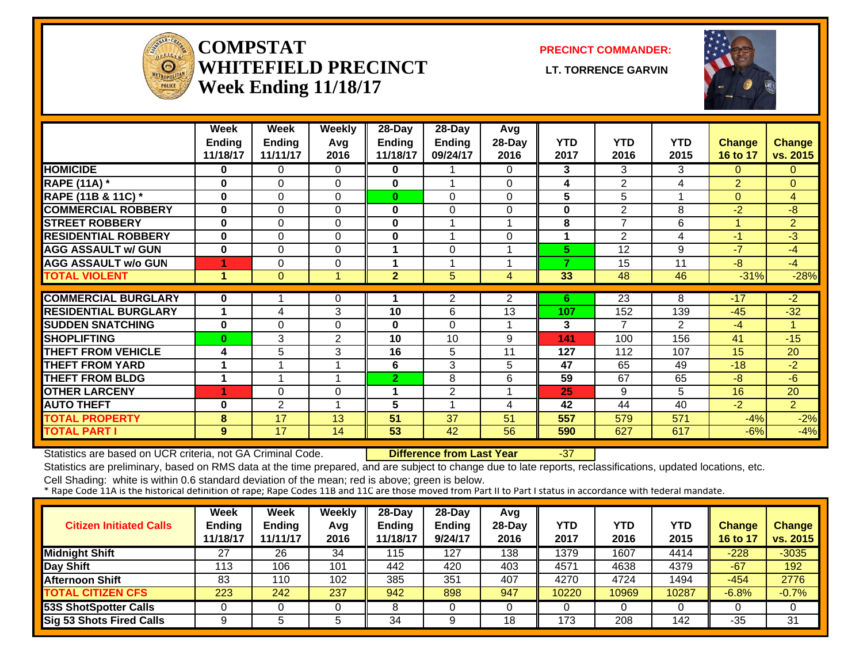

#### **COMPSTATWHITEFIELD PRECINCT** LT. TORRENCE GARVIN **Week Ending 11/18/17**

**PRECINCT COMMANDER:**



|                             | Week     | Week           | Weekly                  | $28$ -Day      | 28-Day                  | Avg            |            |                |            |                |                |
|-----------------------------|----------|----------------|-------------------------|----------------|-------------------------|----------------|------------|----------------|------------|----------------|----------------|
|                             | Ending   | <b>Ending</b>  | Avg                     | Ending         | Ending                  | 28-Day         | <b>YTD</b> | <b>YTD</b>     | <b>YTD</b> | <b>Change</b>  | <b>Change</b>  |
|                             | 11/18/17 | 11/11/17       | 2016                    | 11/18/17       | 09/24/17                | 2016           | 2017       | 2016           | 2015       | 16 to 17       | vs. 2015       |
| <b>HOMICIDE</b>             | $\bf{0}$ | 0              | $\Omega$                | 0              |                         | $\Omega$       | 3          | 3              | 3          | $\Omega$       | $\overline{0}$ |
| <b>RAPE (11A)</b> *         | $\bf{0}$ | $\Omega$       | $\Omega$                | 0              | $\overline{\mathbf{A}}$ | $\Omega$       | 4          | 2              | 4          | $\overline{2}$ | $\mathbf{0}$   |
| RAPE (11B & 11C) *          | $\bf{0}$ | $\Omega$       | 0                       | $\bf{0}$       | $\Omega$                | $\Omega$       | 5          | 5              |            | $\Omega$       | $\overline{4}$ |
| <b>COMMERCIAL ROBBERY</b>   | $\bf{0}$ | $\Omega$       | $\Omega$                | $\bf{0}$       | 0                       | $\Omega$       | $\bf{0}$   | 2              | 8          | $-2$           | -8             |
| <b>STREET ROBBERY</b>       | $\bf{0}$ | $\Omega$       | $\Omega$                | 0              |                         |                | 8          | 7              | 6          |                | 2              |
| <b>RESIDENTIAL ROBBERY</b>  | $\bf{0}$ | $\Omega$       | $\Omega$                | 0              | $\overline{\mathbf{A}}$ | $\Omega$       |            | $\overline{2}$ | 4          | $-1$           | $-3$           |
| <b>AGG ASSAULT w/ GUN</b>   | $\bf{0}$ | $\Omega$       | $\Omega$                | 1              | $\Omega$                |                | 5.         | 12             | 9          | $-7$           | $-4$           |
| <b>AGG ASSAULT w/o GUN</b>  | 4        | $\Omega$       | 0                       | 1              |                         |                | 7          | 15             | 11         | $-8$           | $-4$           |
| <b>TOTAL VIOLENT</b>        | 1        | $\Omega$       |                         | $\overline{2}$ | 5                       | 4              | 33         | 48             | 46         | $-31%$         | $-28%$         |
|                             |          |                |                         |                |                         |                |            |                |            |                |                |
| <b>COMMERCIAL BURGLARY</b>  | $\bf{0}$ |                | 0                       |                | 2                       | $\overline{2}$ | 6          | 23             | 8          | $-17$          | $-2$           |
| <b>RESIDENTIAL BURGLARY</b> | 1        | 4              | 3                       | 10             | 6                       | 13             | 107        | 152            | 139        | $-45$          | $-32$          |
| <b>SUDDEN SNATCHING</b>     | $\bf{0}$ | $\Omega$       | $\Omega$                | 0              | $\Omega$                |                | 3          | 7              | 2          | $-4$           | 1              |
| <b>SHOPLIFTING</b>          | $\bf{0}$ | 3              | $\mathbf{2}$            | 10             | 10                      | 9              | 141        | 100            | 156        | 41             | $-15$          |
| <b>THEFT FROM VEHICLE</b>   | 4        | 5              | 3                       | 16             | 5                       | 11             | 127        | 112            | 107        | 15             | 20             |
| <b>THEFT FROM YARD</b>      | 1        | $\overline{ }$ | 4                       | 6              | 3                       | 5              | 47         | 65             | 49         | $-18$          | $-2$           |
| <b>THEFT FROM BLDG</b>      | 1        | $\overline{ }$ | $\overline{\mathbf{A}}$ | $\overline{2}$ | 8                       | 6              | 59         | 67             | 65         | $-8$           | $-6$           |
| <b>OTHER LARCENY</b>        | 4        | $\Omega$       | 0                       | 1              | $\overline{2}$          |                | 25         | 9              | 5          | 16             | 20             |
| <b>AUTO THEFT</b>           | 0        | $\overline{2}$ | $\overline{\mathbf{A}}$ | 5              | $\overline{\mathbf{A}}$ | 4              | 42         | 44             | 40         | $-2$           | $\overline{2}$ |
| <b>TOTAL PROPERTY</b>       | 8        | 17             | 13                      | 51             | 37                      | 51             | 557        | 579            | 571        | $-4%$          | $-2%$          |
| <b>TOTAL PART I</b>         | 9        | 17             | 14                      | 53             | 42                      | 56             | 590        | 627            | 617        | $-6%$          | $-4%$          |

Statistics are based on UCR criteria, not GA Criminal Code. **Difference from Last Year** -37

Statistics are preliminary, based on RMS data at the time prepared, and are subject to change due to late reports, reclassifications, updated locations, etc.

| <b>Citizen Initiated Calls</b>  | <b>Week</b><br><b>Ending</b><br>11/18/17 | <b>Week</b><br><b>Ending</b><br>11/11/17 | Weekly<br>Avg<br>2016 | 28-Day<br><b>Ending</b><br>11/18/17 | 28-Day<br><b>Ending</b><br>9/24/17 | Avg<br>$28-Day$<br>2016 | <b>YTD</b><br>2017 | YTD<br>2016 | YTD<br>2015 | <b>Change</b><br>16 to 17 | <b>Change</b><br>vs. 2015 |
|---------------------------------|------------------------------------------|------------------------------------------|-----------------------|-------------------------------------|------------------------------------|-------------------------|--------------------|-------------|-------------|---------------------------|---------------------------|
| <b>Midnight Shift</b>           | 27                                       | 26                                       | 34                    | 115                                 | 127                                | 138                     | 1379               | 1607        | 4414        | $-228$                    | $-3035$                   |
| Day Shift                       | 113                                      | 106                                      | 101                   | 442                                 | 420                                | 403                     | 4571               | 4638        | 4379        | $-67$                     | 192                       |
| <b>Afternoon Shift</b>          | 83                                       | 110                                      | 102                   | 385                                 | 351                                | 407                     | 4270               | 4724        | 1494        | $-454$                    | 2776                      |
| <b>TOTAL CITIZEN CFS</b>        | 223                                      | 242                                      | 237                   | 942                                 | 898                                | 947                     | 10220              | 10969       | 10287       | $-6.8%$                   | $-0.7%$                   |
| <b>53S ShotSpotter Calls</b>    |                                          |                                          |                       |                                     |                                    |                         |                    |             |             |                           |                           |
| <b>Sig 53 Shots Fired Calls</b> |                                          |                                          |                       | 34                                  |                                    | 18                      | 173                | 208         | 142         | $-35$                     | 31                        |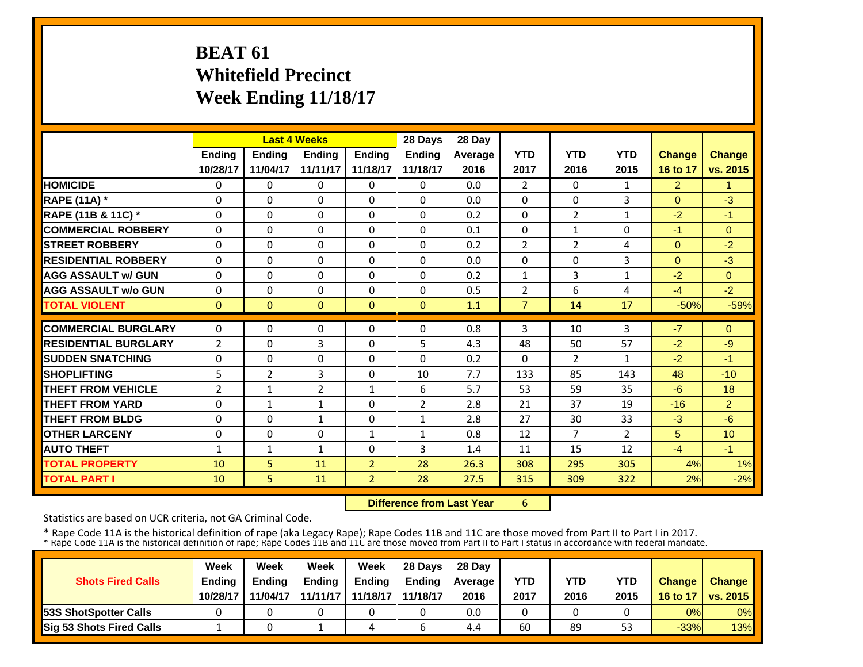# **BEAT 61 Whitefield Precinct Week Ending 11/18/17**

|                             |                | <b>Last 4 Weeks</b> |                |                | 28 Days        | 28 Day  |                |                |                |                |                 |
|-----------------------------|----------------|---------------------|----------------|----------------|----------------|---------|----------------|----------------|----------------|----------------|-----------------|
|                             | <b>Ending</b>  | Ending              | <b>Ending</b>  | Ending         | Ending         | Average | <b>YTD</b>     | <b>YTD</b>     | <b>YTD</b>     | <b>Change</b>  | Change          |
|                             | 10/28/17       | 11/04/17            | 11/11/17       | 11/18/17       | 11/18/17       | 2016    | 2017           | 2016           | 2015           | 16 to 17       | vs. 2015        |
| <b>HOMICIDE</b>             | 0              | $\Omega$            | $\mathbf{0}$   | 0              | $\Omega$       | 0.0     | $\overline{2}$ | $\Omega$       | $\mathbf{1}$   | $\overline{2}$ | 1               |
| <b>RAPE (11A) *</b>         | $\Omega$       | $\Omega$            | $\Omega$       | $\Omega$       | $\Omega$       | 0.0     | $\Omega$       | $\Omega$       | 3              | $\Omega$       | $-3$            |
| RAPE (11B & 11C) *          | $\Omega$       | $\Omega$            | $\Omega$       | $\Omega$       | $\Omega$       | 0.2     | $\Omega$       | $\overline{2}$ | $\mathbf{1}$   | $-2$           | $-1$            |
| <b>COMMERCIAL ROBBERY</b>   | $\Omega$       | $\Omega$            | $\mathbf{0}$   | $\Omega$       | $\Omega$       | 0.1     | $\Omega$       | $\mathbf{1}$   | $\Omega$       | -1             | $\Omega$        |
| <b>STREET ROBBERY</b>       | $\Omega$       | $\Omega$            | $\Omega$       | $\Omega$       | $\Omega$       | 0.2     | $\overline{2}$ | $\overline{2}$ | 4              | $\Omega$       | $-2$            |
| <b>RESIDENTIAL ROBBERY</b>  | 0              | $\Omega$            | $\Omega$       | $\Omega$       | $\Omega$       | 0.0     | 0              | $\Omega$       | 3              | $\Omega$       | $-3$            |
| <b>AGG ASSAULT w/ GUN</b>   | $\Omega$       | $\Omega$            | $\mathbf{0}$   | $\Omega$       | $\Omega$       | 0.2     | 1              | 3              | 1              | $-2$           | $\Omega$        |
| <b>AGG ASSAULT w/o GUN</b>  | 0              | $\Omega$            | $\mathbf{0}$   | $\Omega$       | $\Omega$       | 0.5     | $\overline{2}$ | 6              | 4              | $-4$           | $-2$            |
| <b>TOTAL VIOLENT</b>        | $\mathbf{0}$   | $\Omega$            | $\Omega$       | $\Omega$       | $\Omega$       | 1.1     | $\overline{7}$ | 14             | 17             | $-50%$         | $-59%$          |
| <b>COMMERCIAL BURGLARY</b>  | $\Omega$       | $\Omega$            | $\mathbf{0}$   | $\Omega$       | 0              | 0.8     | 3              | 10             | 3              | $-7$           | $\Omega$        |
| <b>RESIDENTIAL BURGLARY</b> | $\overline{2}$ | $\Omega$            | 3              | $\Omega$       | 5              | 4.3     | 48             | 50             | 57             | $-2$           | $-9$            |
| <b>SUDDEN SNATCHING</b>     | $\Omega$       | $\Omega$            | $\Omega$       | $\Omega$       | $\Omega$       | 0.2     | $\Omega$       | 2              | $\mathbf{1}$   | $-2$           | $-1$            |
| <b>SHOPLIFTING</b>          | 5              | $\overline{2}$      | 3              | $\Omega$       | 10             | 7.7     | 133            | 85             | 143            | 48             | $-10$           |
| <b>THEFT FROM VEHICLE</b>   | $\overline{2}$ | $\mathbf{1}$        | $\overline{2}$ | 1              | 6              | 5.7     | 53             | 59             | 35             | $-6$           | 18              |
| <b>THEFT FROM YARD</b>      | 0              | $\mathbf{1}$        | $\mathbf{1}$   | $\Omega$       | $\overline{2}$ | 2.8     | 21             | 37             | 19             | $-16$          | $\overline{2}$  |
| <b>THEFT FROM BLDG</b>      | 0              | $\Omega$            | $\mathbf{1}$   | $\Omega$       | $\mathbf{1}$   | 2.8     | 27             | 30             | 33             | $-3$           | $-6$            |
| <b>OTHER LARCENY</b>        | $\Omega$       | $\Omega$            | $\Omega$       | $\mathbf{1}$   | $\mathbf{1}$   | 0.8     | 12             | $\overline{7}$ | $\overline{2}$ | 5              | 10 <sup>1</sup> |
| <b>AUTO THEFT</b>           | 1              | $\mathbf{1}$        | $\mathbf{1}$   | $\Omega$       | 3              | 1.4     | 11             | 15             | 12             | $-4$           | $-1$            |
| <b>TOTAL PROPERTY</b>       | 10             | 5 <sub>1</sub>      | 11             | $\overline{2}$ | 28             | 26.3    | 308            | 295            | 305            | 4%             | 1%              |
| <b>TOTAL PART I</b>         | 10             | 5 <sup>1</sup>      | 11             | $\overline{2}$ | 28             | 27.5    | 315            | 309            | 322            | 2%             | $-2%$           |

 **Difference from Last Year**

6

Statistics are based on UCR criteria, not GA Criminal Code.

| <b>Shots Fired Calls</b>        | Week<br><b>Ending</b><br>10/28/17 | Week<br><b>Ending</b><br>11/04/17 | Week<br><b>Ending</b><br>11/11/17 | Week<br><b>Endina</b><br>11/18/17 L | 28 Days<br><b>Endina</b><br>11/18/17 | 28 Day<br>Average II<br>2016 | YTD<br>2017 | YTD<br>2016 | <b>YTD</b><br>2015 | <b>Change</b><br>16 to 17 | <b>Change</b><br><b>VS. 2015</b> |
|---------------------------------|-----------------------------------|-----------------------------------|-----------------------------------|-------------------------------------|--------------------------------------|------------------------------|-------------|-------------|--------------------|---------------------------|----------------------------------|
| <b>153S ShotSpotter Calls</b>   |                                   |                                   |                                   |                                     |                                      | 0.0                          |             |             |                    | 0%                        | $0\%$                            |
| <b>Sig 53 Shots Fired Calls</b> |                                   |                                   |                                   | 4                                   |                                      | 4.4                          | 60          | 89          | 53                 | $-33%$                    | 13%                              |